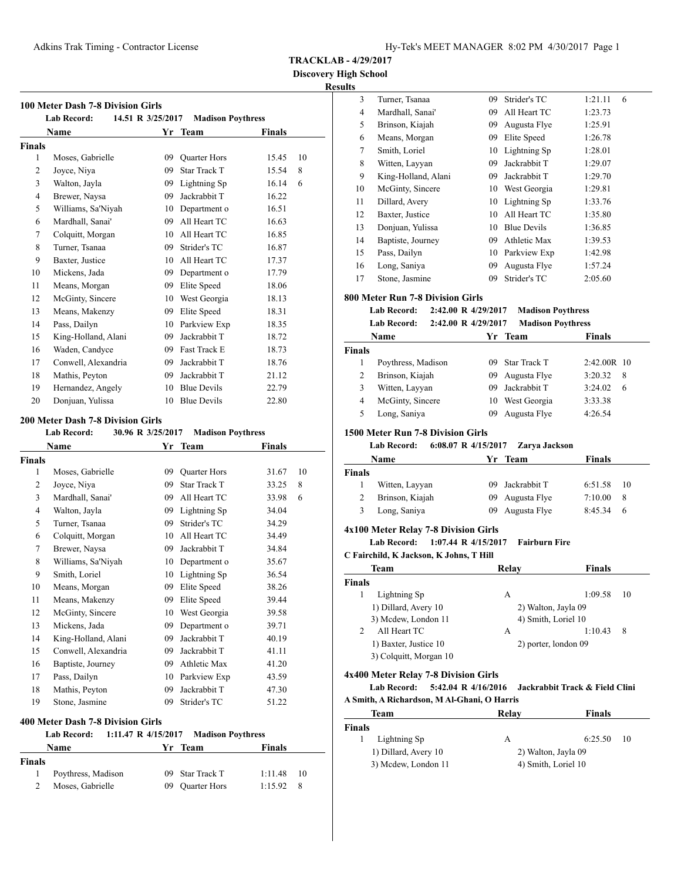**Discovery High School**

# **Results**

|                | <b>Lab Record:</b>  | 14.51 R 3/25/2017 | <b>Madison Poythress</b> |        |    |
|----------------|---------------------|-------------------|--------------------------|--------|----|
|                | Name                |                   | Yr Team                  | Finals |    |
| Finals         |                     |                   |                          |        |    |
| 1              | Moses, Gabrielle    | 09                | <b>Quarter Hors</b>      | 15.45  | 10 |
| 2              | Joyce, Niya         | 09                | <b>Star Track T</b>      | 15.54  | 8  |
| 3              | Walton, Jayla       | 09                | Lightning Sp             | 16.14  | 6  |
| $\overline{4}$ | Brewer, Naysa       | 09                | Jackrabbit T             | 16.22  |    |
| 5              | Williams, Sa'Niyah  | 10                | Department o             | 16.51  |    |
| 6              | Mardhall, Sanai'    | 09                | All Heart TC             | 16.63  |    |
| 7              | Colquitt, Morgan    | 10                | All Heart TC             | 16.85  |    |
| 8              | Turner, Tsanaa      | 09                | Strider's TC             | 16.87  |    |
| 9              | Baxter, Justice     | 10                | All Heart TC             | 17.37  |    |
| 10             | Mickens, Jada       | 09                | Department o             | 17.79  |    |
| 11             | Means, Morgan       | 09                | Elite Speed              | 18.06  |    |
| 12             | McGinty, Sincere    | 10                | West Georgia             | 18.13  |    |
| 13             | Means, Makenzy      | 09                | Elite Speed              | 18.31  |    |
| 14             | Pass, Dailyn        | 10                | Parkview Exp             | 18.35  |    |
| 15             | King-Holland, Alani | 09                | Jackrabbit T             | 18.72  |    |
| 16             | Waden, Candyce      | 09                | Fast Track E             | 18.73  |    |
| 17             | Conwell, Alexandria | 09                | Jackrabbit T             | 18.76  |    |
| 18             | Mathis, Peyton      | 09                | Jackrabbit T             | 21.12  |    |
| 19             | Hernandez, Angely   | 10                | <b>Blue Devils</b>       | 22.79  |    |
| 20             | Donjuan, Yulissa    | 10                | <b>Blue Devils</b>       | 22.80  |    |

#### **200 Meter Dash 7-8 Division Girls**

| <b>Lab Record:</b><br>30.96 R 3/25/2017<br><b>Madison Poythress</b> |                     |    |                     |               |    |
|---------------------------------------------------------------------|---------------------|----|---------------------|---------------|----|
|                                                                     | Name                | Yr | <b>Team</b>         | <b>Finals</b> |    |
| Finals                                                              |                     |    |                     |               |    |
| 1                                                                   | Moses, Gabrielle    | 09 | <b>Quarter Hors</b> | 31.67         | 10 |
| $\overline{2}$                                                      | Joyce, Niya         | 09 | Star Track T        | 33.25         | 8  |
| 3                                                                   | Mardhall, Sanai'    | 09 | All Heart TC        | 33.98         | 6  |
| $\overline{4}$                                                      | Walton, Jayla       | 09 | Lightning Sp        | 34.04         |    |
| 5                                                                   | Turner, Tsanaa      | 09 | Strider's TC        | 34.29         |    |
| 6                                                                   | Colquitt, Morgan    | 10 | All Heart TC        | 34.49         |    |
| 7                                                                   | Brewer, Naysa       | 09 | Jackrabbit T        | 34.84         |    |
| 8                                                                   | Williams, Sa'Niyah  | 10 | Department o        | 35.67         |    |
| 9                                                                   | Smith, Loriel       | 10 | Lightning Sp        | 36.54         |    |
| 10                                                                  | Means, Morgan       | 09 | Elite Speed         | 38.26         |    |
| 11                                                                  | Means, Makenzy      | 09 | Elite Speed         | 39.44         |    |
| 12                                                                  | McGinty, Sincere    | 10 | West Georgia        | 39.58         |    |
| 13                                                                  | Mickens, Jada       | 09 | Department o        | 39.71         |    |
| 14                                                                  | King-Holland, Alani | 09 | Jackrabbit T        | 40.19         |    |
| 15                                                                  | Conwell, Alexandria | 09 | Jackrabbit T        | 41.11         |    |
| 16                                                                  | Baptiste, Journey   | 09 | Athletic Max        | 41.20         |    |
| 17                                                                  | Pass, Dailyn        | 10 | Parkview Exp        | 43.59         |    |
| 18                                                                  | Mathis, Peyton      | 09 | Jackrabbit T        | 47.30         |    |
| 19                                                                  | Stone, Jasmine      | 09 | Strider's TC        | 51.22         |    |
|                                                                     |                     |    |                     |               |    |

# **400 Meter Dash 7-8 Division Girls**

|               | Lab Record:        |  | $1:11.47 \text{ R } 4/15/2017$ Madison Poythress |         |     |
|---------------|--------------------|--|--------------------------------------------------|---------|-----|
|               | Name               |  | Yr Team                                          | Finals  |     |
| <b>Finals</b> |                    |  |                                                  |         |     |
|               | Poythress, Madison |  | 09 Star Track T                                  | 1:11.48 | -10 |
|               | Moses, Gabrielle   |  | 09 Ouarter Hors                                  | 1:15.92 | - 8 |

| 3  | Turner, Tsanaa      | 09 | Strider's TC       | 1:21.11 | 6 |
|----|---------------------|----|--------------------|---------|---|
| 4  | Mardhall, Sanai'    | 09 | All Heart TC       | 1:23.73 |   |
| 5  | Brinson, Kiajah     | 09 | Augusta Flye       | 1:25.91 |   |
| 6  | Means, Morgan       | 09 | Elite Speed        | 1:26.78 |   |
| 7  | Smith, Loriel       | 10 | Lightning Sp       | 1:28.01 |   |
| 8  | Witten, Layyan      | 09 | Jackrabbit T       | 1:29.07 |   |
| 9  | King-Holland, Alani | 09 | Jackrabbit T       | 1:29.70 |   |
| 10 | McGinty, Sincere    | 10 | West Georgia       | 1:29.81 |   |
| 11 | Dillard, Avery      | 10 | Lightning Sp       | 1:33.76 |   |
| 12 | Baxter, Justice     | 10 | All Heart TC       | 1:35.80 |   |
| 13 | Donjuan, Yulissa    | 10 | <b>Blue Devils</b> | 1:36.85 |   |
| 14 | Baptiste, Journey   | 09 | Athletic Max       | 1:39.53 |   |
| 15 | Pass, Dailyn        | 10 | Parkview Exp       | 1:42.98 |   |
| 16 | Long, Saniya        | 09 | Augusta Flye       | 1:57.24 |   |
| 17 | Stone, Jasmine      | 09 | Strider's TC       | 2:05.60 |   |

#### **800 Meter Run 7-8 Division Girls**

**Lab Record: 2:42.00 R 4/29/2017 Madison Poythress Lab Record: 2:42.00 R 4/29/2017 Madison Poythress Name Yr** Team **Finals** 

|               | . <b>.</b>         |     |                 | .           |    |
|---------------|--------------------|-----|-----------------|-------------|----|
| <b>Finals</b> |                    |     |                 |             |    |
|               | Poythress, Madison |     | 09 Star Track T | 2:42.00R 10 |    |
|               | Brinson, Kiajah    |     | 09 Augusta Flye | 3:20.32     | -8 |
| 3             | Witten, Layyan     | 09. | Jackrabbit T    | 3:24.02     | 6  |
| 4             | McGinty, Sincere   |     | 10 West Georgia | 3:33.38     |    |
| 5             | Long, Saniya       |     | 09 Augusta Flye | 4:26.54     |    |
|               |                    |     |                 |             |    |

#### **1500 Meter Run 7-8 Division Girls**

**Lab Record: 6:08.07 R 4/15/2017 Zarya Jackson**

| Name          |                 | Yr Team         | Finals       |     |
|---------------|-----------------|-----------------|--------------|-----|
| <b>Finals</b> |                 |                 |              |     |
|               | Witten, Layyan  | 09 Jackrabbit T | $6:51.58$ 10 |     |
| 2             | Brinson, Kiajah | 09 Augusta Flye | 7:10.00      | -8  |
| 3             | Long, Saniya    | 09 Augusta Flye | 8:45.34      | - 6 |

# **4x100 Meter Relay 7-8 Division Girls**

**Lab Record: 1:07.44 R 4/15/2017 Fairburn Fire**

**C Fairchild, K Jackson, K Johns, T Hill**

| Team                   | Relav | <b>Finals</b>        |
|------------------------|-------|----------------------|
| <b>Finals</b>          |       |                      |
| Lightning Sp           | А     | 1:09.58<br>10        |
| 1) Dillard, Avery 10   |       | 2) Walton, Jayla 09  |
| 3) Mcdew, London 11    |       | 4) Smith, Loriel 10  |
| All Heart TC<br>2      | А     | 1:10.43<br>8         |
| 1) Baxter, Justice 10  |       | 2) porter, london 09 |
| 3) Colquitt, Morgan 10 |       |                      |
|                        |       |                      |

#### **4x400 Meter Relay 7-8 Division Girls**

**Lab Record: 5:42.04 R 4/16/2016 Jackrabbit Track & Field Clini A Smith, A Richardson, M Al-Ghani, O Harris**

| Team                 | Relay               | Finals                     |
|----------------------|---------------------|----------------------------|
| Finals               |                     |                            |
| Lightning Sp         | А                   | 6:25.50<br>$\overline{10}$ |
| 1) Dillard, Avery 10 | 2) Walton, Jayla 09 |                            |
| 3) Mcdew, London 11  | 4) Smith, Loriel 10 |                            |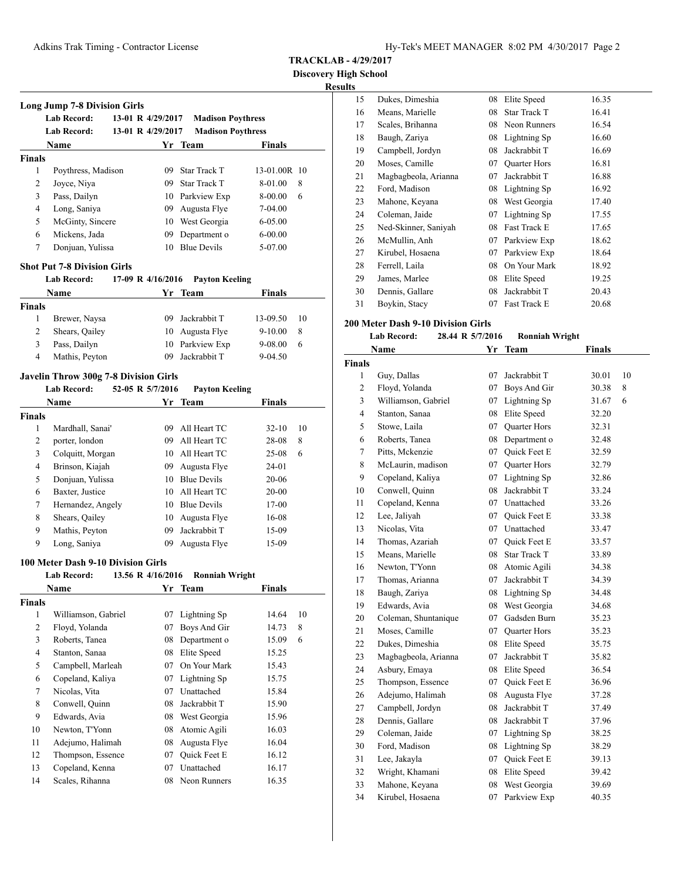**Discovery High School**

# **Results**

|                    | <b>Lab Record:</b>                                       | 13-01 R 4/29/2017 | <b>Madison Poythress</b> |               |          |
|--------------------|----------------------------------------------------------|-------------------|--------------------------|---------------|----------|
|                    | <b>Lab Record:</b>                                       | 13-01 R 4/29/2017 | <b>Madison Poythress</b> |               |          |
|                    | <b>Name</b>                                              |                   | Yr Team                  | <b>Finals</b> |          |
| <b>Finals</b>      |                                                          |                   |                          |               |          |
| 1                  | Poythress, Madison                                       | 09                | <b>Star Track T</b>      | 13-01.00R 10  |          |
| $\overline{2}$     | Joyce, Niya                                              | 09                | <b>Star Track T</b>      | 8-01.00       | 8        |
| 3                  | Pass, Dailyn                                             | 10                | Parkview Exp             | 8-00.00       | 6        |
| $\overline{4}$     | Long, Saniya                                             | 09                | Augusta Flye             | $7-04.00$     |          |
| 5                  | McGinty, Sincere                                         | 10                | West Georgia             | $6 - 05.00$   |          |
| 6                  | Mickens, Jada                                            | 09                | Department o             | $6 - 00.00$   |          |
| 7                  | Donjuan, Yulissa                                         | 10                | <b>Blue Devils</b>       | 5-07.00       |          |
|                    | <b>Shot Put 7-8 Division Girls</b><br><b>Lab Record:</b> | 17-09 R 4/16/2016 | <b>Payton Keeling</b>    |               |          |
|                    | <b>Name</b>                                              | Yr                | <b>Team</b>              | <b>Finals</b> |          |
| <b>Finals</b>      |                                                          |                   |                          |               |          |
|                    |                                                          |                   |                          |               |          |
| 1                  | Brewer, Naysa                                            | 09                | Jackrabbit T             | 13-09.50      |          |
| $\overline{c}$     | Shears, Qailey                                           | 10                | Augusta Flye             | $9 - 10.00$   | 8        |
| 3                  | Pass, Dailyn                                             | 10                | Parkview Exp             | 9-08.00       | 6        |
| $\overline{4}$     | Mathis, Peyton                                           | 09                | Jackrabbit T             | $9 - 04.50$   |          |
|                    | <b>Javelin Throw 300g 7-8 Division Girls</b>             |                   |                          |               |          |
|                    | <b>Lab Record:</b>                                       | 52-05 R 5/7/2016  | <b>Payton Keeling</b>    |               |          |
|                    | Name                                                     |                   | Yr Team                  | <b>Finals</b> |          |
|                    |                                                          |                   |                          |               |          |
| <b>Finals</b><br>1 | Mardhall, Sanai'                                         | 09                | All Heart TC             | $32 - 10$     | 10<br>10 |

| ,,,,,,,, |                   |    |                    |           |    |
|----------|-------------------|----|--------------------|-----------|----|
| 1        | Mardhall, Sanai'  | 09 | All Heart TC       | $32 - 10$ | 10 |
| 2        | porter, london    | 09 | All Heart TC       | 28-08     | 8  |
| 3        | Colquitt, Morgan  | 10 | All Heart TC       | $25 - 08$ | 6  |
| 4        | Brinson, Kiajah   | 09 | Augusta Flye       | 24-01     |    |
| 5        | Donjuan, Yulissa  | 10 | <b>Blue Devils</b> | 20-06     |    |
| 6        | Baxter, Justice   | 10 | All Heart TC       | $20 - 00$ |    |
| 7        | Hernandez, Angely | 10 | <b>Blue Devils</b> | $17-00$   |    |
| 8        | Shears, Qailey    | 10 | Augusta Flye       | 16-08     |    |
| 9        | Mathis, Peyton    | 09 | Jackrabbit T       | 15-09     |    |
| 9        | Long, Saniya      |    | Augusta Flye       | 15-09     |    |

# **100 Meter Dash 9-10 Division Girls**

|                | <b>Lab Record:</b>  | 13.56 R 4/16/2016 | <b>Ronniah Wright</b> |        |    |
|----------------|---------------------|-------------------|-----------------------|--------|----|
|                | Name                |                   | Yr Team               | Finals |    |
| Finals         |                     |                   |                       |        |    |
| 1              | Williamson, Gabriel | 07                | Lightning Sp          | 14.64  | 10 |
| 2              | Floyd, Yolanda      | 07                | Boys And Gir          | 14.73  | 8  |
| 3              | Roberts, Tanea      | 08                | Department o          | 15.09  | 6  |
| $\overline{4}$ | Stanton, Sanaa      | 08                | Elite Speed           | 15.25  |    |
| 5              | Campbell, Marleah   | 07                | On Your Mark          | 15.43  |    |
| 6              | Copeland, Kaliya    | 07                | Lightning Sp          | 15.75  |    |
| 7              | Nicolas, Vita       | 07                | Unattached            | 15.84  |    |
| 8              | Conwell, Quinn      | 08                | Jackrabbit T          | 15.90  |    |
| 9              | Edwards, Avia       | 08                | West Georgia          | 15.96  |    |
| 10             | Newton, T'Yonn      | 08                | Atomic Agili          | 16.03  |    |
| 11             | Adejumo, Halimah    | 08                | Augusta Flye          | 16.04  |    |
| 12             | Thompson, Essence   | 07                | Quick Feet E          | 16.12  |    |
| 13             | Copeland, Kenna     | 07                | Unattached            | 16.17  |    |
| 14             | Scales, Rihanna     | 08                | Neon Runners          | 16.35  |    |
|                |                     |                   |                       |        |    |

| s  |                      |    |                     |       |  |
|----|----------------------|----|---------------------|-------|--|
| 15 | Dukes, Dimeshia      | 08 | Elite Speed         | 16.35 |  |
| 16 | Means, Marielle      | 08 | Star Track T        | 16.41 |  |
| 17 | Scales, Brihanna     | 08 | Neon Runners        | 16.54 |  |
| 18 | Baugh, Zariya        | 08 | Lightning Sp        | 16.60 |  |
| 19 | Campbell, Jordyn     | 08 | Jackrabbit T        | 16.69 |  |
| 20 | Moses, Camille       | 07 | <b>Quarter Hors</b> | 16.81 |  |
| 21 | Magbagbeola, Arianna | 07 | Jackrabbit T        | 16.88 |  |
| 22 | Ford, Madison        | 08 | Lightning Sp        | 16.92 |  |
| 23 | Mahone, Keyana       | 08 | West Georgia        | 17.40 |  |
| 24 | Coleman, Jaide       | 07 | Lightning Sp        | 17.55 |  |
| 25 | Ned-Skinner, Saniyah | 08 | Fast Track E        | 17.65 |  |
| 26 | McMullin, Anh        | 07 | Parkview Exp        | 18.62 |  |
| 27 | Kirubel, Hosaena     | 07 | Parkview Exp        | 18.64 |  |
| 28 | Ferrell, Laila       | 08 | On Your Mark        | 18.92 |  |
| 29 | James, Marlee        | 08 | Elite Speed         | 19.25 |  |
| 30 | Dennis, Gallare      | 08 | Jackrabbit T        | 20.43 |  |
| 31 | Boykin, Stacy        | 07 | Fast Track E        | 20.68 |  |

# **200 Meter Dash 9-10 Division Girls**

| <b>Lab Record:</b> | 28.44 R 5/7/2016 | <b>Ronniah Wright</b> |
|--------------------|------------------|-----------------------|
|--------------------|------------------|-----------------------|

|                | Name                 | Yr | Team                | Finals |    |
|----------------|----------------------|----|---------------------|--------|----|
| <b>Finals</b>  |                      |    |                     |        |    |
| 1              | Guy, Dallas          | 07 | Jackrabbit T        | 30.01  | 10 |
| $\overline{c}$ | Floyd, Yolanda       | 07 | Boys And Gir        | 30.38  | 8  |
| 3              | Williamson, Gabriel  | 07 | Lightning Sp        | 31.67  | 6  |
| $\overline{4}$ | Stanton, Sanaa       | 08 | Elite Speed         | 32.20  |    |
| 5              | Stowe, Laila         | 07 | <b>Quarter Hors</b> | 32.31  |    |
| 6              | Roberts, Tanea       | 08 | Department o        | 32.48  |    |
| 7              | Pitts, Mckenzie      | 07 | <b>Ouick Feet E</b> | 32.59  |    |
| 8              | McLaurin, madison    | 07 | <b>Quarter Hors</b> | 32.79  |    |
| 9              | Copeland, Kaliya     | 07 | Lightning Sp        | 32.86  |    |
| 10             | Conwell, Quinn       | 08 | Jackrabbit T        | 33.24  |    |
| 11             | Copeland, Kenna      | 07 | Unattached          | 33.26  |    |
| 12             | Lee, Jaliyah         | 07 | Quick Feet E        | 33.38  |    |
| 13             | Nicolas, Vita        | 07 | Unattached          | 33.47  |    |
| 14             | Thomas, Azariah      | 07 | <b>Ouick Feet E</b> | 33.57  |    |
| 15             | Means, Marielle      | 08 | <b>Star Track T</b> | 33.89  |    |
| 16             | Newton, T'Yonn       | 08 | Atomic Agili        | 34.38  |    |
| 17             | Thomas, Arianna      | 07 | Jackrabbit T        | 34.39  |    |
| 18             | Baugh, Zariya        | 08 | Lightning Sp        | 34.48  |    |
| 19             | Edwards, Avia        | 08 | West Georgia        | 34.68  |    |
| 20             | Coleman, Shuntanique | 07 | Gadsden Burn        | 35.23  |    |
| 21             | Moses, Camille       | 07 | <b>Quarter Hors</b> | 35.23  |    |
| 22             | Dukes, Dimeshia      | 08 | Elite Speed         | 35.75  |    |
| 23             | Magbagbeola, Arianna | 07 | Jackrabbit T        | 35.82  |    |
| 24             | Asbury, Emaya        | 08 | Elite Speed         | 36.54  |    |
| 25             | Thompson, Essence    | 07 | <b>Ouick Feet E</b> | 36.96  |    |
| 26             | Adejumo, Halimah     | 08 | Augusta Flye        | 37.28  |    |
| 27             | Campbell, Jordyn     | 08 | Jackrabbit T        | 37.49  |    |
| 28             | Dennis, Gallare      | 08 | Jackrabbit T        | 37.96  |    |
| 29             | Coleman, Jaide       | 07 | Lightning Sp        | 38.25  |    |
| 30             | Ford, Madison        | 08 | Lightning Sp        | 38.29  |    |
| 31             | Lee, Jakayla         | 07 | <b>Ouick Feet E</b> | 39.13  |    |
| 32             | Wright, Khamani      | 08 | Elite Speed         | 39.42  |    |
| 33             | Mahone, Keyana       | 08 | West Georgia        | 39.69  |    |
| 34             | Kirubel, Hosaena     | 07 | Parkview Exp        | 40.35  |    |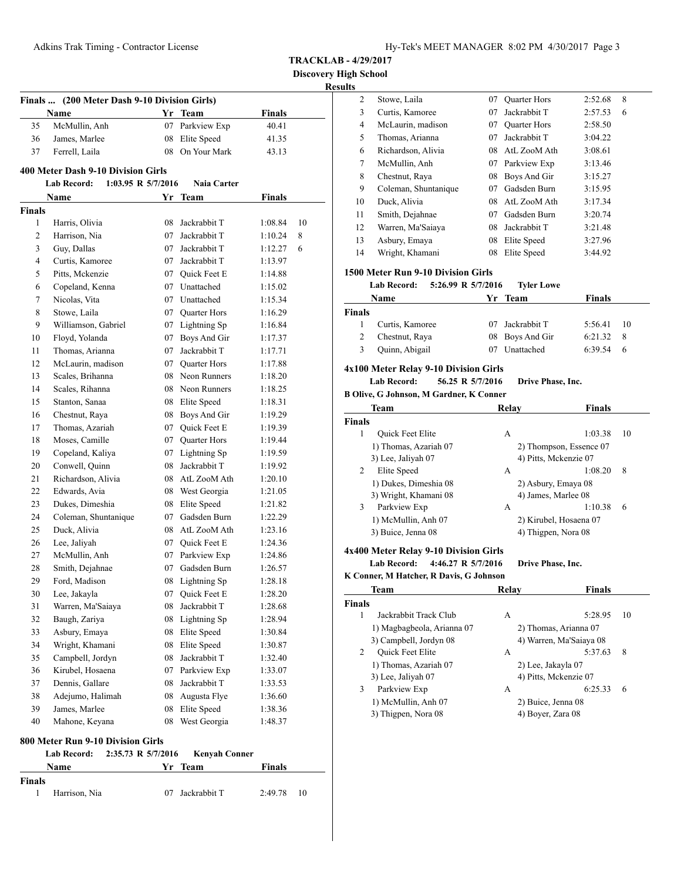| Hy-Tek's MEET MANAGER 8:02 PM 4/30/2017 Page 3 |  |  |  |
|------------------------------------------------|--|--|--|
|------------------------------------------------|--|--|--|

**Discovery High School**

**Resul** 

|                | (200 Meter Dash 9-10 Division Girls)<br><b>Finals …</b> |    |                 |               |    |  |
|----------------|---------------------------------------------------------|----|-----------------|---------------|----|--|
|                | Name                                                    |    | Yr Team         | Finals        |    |  |
| 35             | McMullin, Anh                                           | 07 | Parkview Exp    | 40.41         |    |  |
| 36             | James, Marlee                                           | 08 | Elite Speed     | 41.35         |    |  |
| 37             | Ferrell, Laila                                          | 08 | On Your Mark    | 43.13         |    |  |
|                | 400 Meter Dash 9-10 Division Girls                      |    |                 |               |    |  |
|                | <b>Lab Record:</b><br>1:03.95 R 5/7/2016                |    | Naia Carter     |               |    |  |
|                | Name                                                    |    | Yr Team         | <b>Finals</b> |    |  |
| <b>Finals</b>  |                                                         |    |                 |               |    |  |
| 1              | Harris, Olivia                                          | 08 | Jackrabbit T    | 1:08.84       | 10 |  |
| 2              | Harrison, Nia                                           |    | 07 Jackrabbit T | 1:10.24       | 8  |  |
| 3              | Guy, Dallas                                             |    | 07 Jackrabbit T | 1:12.27       | 6  |  |
| $\overline{4}$ | Curtis, Kamoree                                         |    | 07 Jackrabbit T | 1:13.97       |    |  |
| 5              | Pitts, Mckenzie                                         |    | 07 Quick Feet E | 1:14.88       |    |  |
| 6              | Copeland, Kenna                                         |    | 07 Unattached   | 1:15.02       |    |  |
| 7              | Nicolas, Vita                                           |    | 07 Unattached   | 1:15.34       |    |  |
| 8              | Stowe, Laila                                            |    | 07 Quarter Hors | 1:16.29       |    |  |
| 9              | Williamson, Gabriel                                     |    | 07 Lightning Sp | 1:16.84       |    |  |
| 10             | Floyd, Yolanda                                          |    | 07 Boys And Gir | 1:17.37       |    |  |
| 11             | Thomas, Arianna                                         | 07 | Jackrabbit T    | 1:17.71       |    |  |
| 12             | McLaurin, madison                                       |    | 07 Ouarter Hors | 1:17.88       |    |  |
| 13             | Scales, Brihanna                                        |    | 08 Neon Runners | 1:18.20       |    |  |
| 14             | Scales, Rihanna                                         |    | 08 Neon Runners | 1:18.25       |    |  |
| 15             | Stanton, Sanaa                                          |    | 08 Elite Speed  | 1:18.31       |    |  |
| 16             | Chestnut, Raya                                          |    | 08 Boys And Gir | 1:19.29       |    |  |
| 17             | Thomas, Azariah                                         |    | 07 Quick Feet E | 1:19.39       |    |  |
| 18             | Moses, Camille                                          |    | 07 Quarter Hors | 1:19.44       |    |  |
| 19             | Copeland, Kaliya                                        |    | 07 Lightning Sp | 1:19.59       |    |  |
| 20             | Conwell, Quinn                                          | 08 | Jackrabbit T    | 1:19.92       |    |  |
| 21             | Richardson, Alivia                                      | 08 | AtL ZooM Ath    | 1:20.10       |    |  |
| 22             | Edwards, Avia                                           |    | 08 West Georgia | 1:21.05       |    |  |
| 23             | Dukes, Dimeshia                                         |    | 08 Elite Speed  | 1:21.82       |    |  |
| 24             | Coleman, Shuntanique                                    |    | 07 Gadsden Burn | 1:22.29       |    |  |
| 25             | Duck, Alivia                                            |    | 08 AtL ZooM Ath | 1:23.16       |    |  |
| 26             | Lee, Jaliyah                                            |    | 07 Quick Feet E | 1:24.36       |    |  |
| 27             | McMullin, Anh                                           |    | 07 Parkview Exp | 1:24.86       |    |  |
| 28             | Smith, Dejahnae                                         |    | 07 Gadsden Burn | 1:26.57       |    |  |
| 29             | Ford, Madison                                           | 08 | Lightning Sp    | 1:28.18       |    |  |
| 30             | Lee, Jakayla                                            | 07 | Quick Feet E    | 1:28.20       |    |  |
| 31             | Warren, Ma'Saiaya                                       | 08 | Jackrabbit T    | 1:28.68       |    |  |
| 32             | Baugh, Zariya                                           | 08 | Lightning Sp    | 1:28.94       |    |  |
| 33             | Asbury, Emaya                                           | 08 | Elite Speed     | 1:30.84       |    |  |
| 34             | Wright, Khamani                                         | 08 | Elite Speed     | 1:30.87       |    |  |
| 35             | Campbell, Jordyn                                        | 08 | Jackrabbit T    | 1:32.40       |    |  |
| 36             | Kirubel, Hosaena                                        | 07 | Parkview Exp    | 1:33.07       |    |  |
| 37             | Dennis, Gallare                                         | 08 | Jackrabbit T    | 1:33.53       |    |  |
| 38             | Adejumo, Halimah                                        | 08 | Augusta Flye    | 1:36.60       |    |  |
| 39             | James, Marlee                                           | 08 | Elite Speed     | 1:38.36       |    |  |
| 40             | Mahone, Keyana                                          | 08 | West Georgia    | 1:48.37       |    |  |
|                | <b>800 Motor Dun 0 10 Division Cirls</b>                |    |                 |               |    |  |

| 800 Meter Run 9-10 Division Girls |  |  |
|-----------------------------------|--|--|
|                                   |  |  |

|        | Lab Record:   | 2:35.73 R 5/7/2016 Kenyah Conner |         |    |
|--------|---------------|----------------------------------|---------|----|
|        | <b>Name</b>   | Yr Team                          | Finals  |    |
| Finals |               |                                  |         |    |
|        | Harrison, Nia | 07 Jackrabbit T                  | 2:49.78 | 10 |

| sults         |                                                                                                  |    |                                   |               |    |
|---------------|--------------------------------------------------------------------------------------------------|----|-----------------------------------|---------------|----|
| 2             | Stowe, Laila                                                                                     | 07 | Quarter Hors                      | 2:52.68       | 8  |
| 3             | Curtis, Kamoree                                                                                  | 07 | Jackrabbit T                      | 2:57.53       | 6  |
| 4             | McLaurin, madison                                                                                |    | 07 Quarter Hors                   | 2:58.50       |    |
| 5             | Thomas, Arianna                                                                                  |    | 07 Jackrabbit T                   | 3:04.22       |    |
| 6             | Richardson, Alivia                                                                               |    | 08 AtL ZooM Ath                   | 3:08.61       |    |
| 7             | McMullin, Anh                                                                                    |    | 07 Parkview Exp                   | 3:13.46       |    |
| 8             | Chestnut, Raya                                                                                   |    | 08 Boys And Gir                   | 3:15.27       |    |
| 9             | Coleman, Shuntanique                                                                             |    | 07 Gadsden Burn                   | 3:15.95       |    |
| 10            | Duck, Alivia                                                                                     |    | 08 AtL ZooM Ath                   | 3:17.34       |    |
| 11            | Smith, Dejahnae                                                                                  |    | 07 Gadsden Burn                   | 3:20.74       |    |
| 12            | Warren, Ma'Saiaya                                                                                |    | 08 Jackrabbit T                   | 3:21.48       |    |
| 13            | Asbury, Emaya                                                                                    |    | 08 Elite Speed                    | 3:27.96       |    |
| 14            | Wright, Khamani                                                                                  | 08 | Elite Speed                       | 3:44.92       |    |
|               | 1500 Meter Run 9-10 Division Girls<br>5:26.99 R 5/7/2016<br><b>Lab Record:</b>                   |    |                                   |               |    |
|               |                                                                                                  |    | <b>Tyler Lowe</b>                 |               |    |
|               | Name                                                                                             | Yr | <b>Team</b>                       | Finals        |    |
| Finals        |                                                                                                  |    |                                   |               |    |
| 1             | Curtis, Kamoree                                                                                  |    | 07 Jackrabbit T                   | 5:56.41       | 10 |
| 2             | Chestnut, Raya                                                                                   | 08 | Boys And Gir                      | 6:21.32       | 8  |
| 3             | Quinn, Abigail                                                                                   |    | 07 Unattached                     | 6:39.54       | 6  |
|               | <b>Lab Record:</b><br>56.25 R 5/7/2016<br><b>B Olive, G Johnson, M Gardner, K Conner</b><br>Team |    | Drive Phase, Inc.<br><b>Relay</b> | <b>Finals</b> |    |
| <b>Finals</b> |                                                                                                  |    |                                   |               |    |
| 1             | Quick Feet Elite                                                                                 |    | A                                 | 1:03.38       | 10 |
|               | 1) Thomas, Azariah 07                                                                            |    | 2) Thompson, Essence 07           |               |    |
|               | 3) Lee, Jaliyah 07                                                                               |    | 4) Pitts, Mckenzie 07             |               |    |
| 2             | Elite Speed                                                                                      |    | А                                 | 1:08.20       | 8  |
|               | 1) Dukes, Dimeshia 08                                                                            |    | 2) Asbury, Emaya 08               |               |    |
|               | 3) Wright, Khamani 08                                                                            |    | 4) James, Marlee 08               |               |    |
| 3             | Parkview Exp                                                                                     |    | А                                 | 1:10.38       | 6  |
|               | 1) McMullin, Anh 07                                                                              |    | 2) Kirubel, Hosaena 07            |               |    |
|               | 3) Buice, Jenna 08                                                                               |    | 4) Thigpen, Nora 08               |               |    |
|               | 4x400 Meter Relay 9-10 Division Girls                                                            |    |                                   |               |    |
|               | 4:46.27 R 5/7/2016<br>Lab Record:                                                                |    | Drive Phase, Inc.                 |               |    |
|               | K Conner, M Hatcher, R Davis, G Johnson                                                          |    |                                   |               |    |
|               | <b>Team</b>                                                                                      |    | Relay                             | <b>Finals</b> |    |
| <b>Finals</b> |                                                                                                  |    |                                   |               |    |
| 1             | Jackrabbit Track Club                                                                            |    | А                                 | 5:28.95       | 10 |
|               | 1) Magbagbeola, Arianna 07                                                                       |    | 2) Thomas, Arianna 07             |               |    |
|               | 3) Campbell, Jordyn 08                                                                           |    | 4) Warren, Ma'Saiaya 08           |               |    |
| 2             | Quick Feet Elite                                                                                 |    | А                                 | 5:37.63       | 8  |
|               | 1) Thomas, Azariah 07                                                                            |    | 2) Lee, Jakayla 07                |               |    |
|               | 3) Lee, Jaliyah 07                                                                               |    | 4) Pitts, Mckenzie 07             |               |    |
| 3             | Parkview Exp                                                                                     |    | A                                 | 6:25.33       | 6  |
|               | 1) McMullin, Anh 07                                                                              |    | 2) Buice, Jenna 08                |               |    |
|               | 3) Thigpen, Nora 08                                                                              |    | 4) Boyer, Zara 08                 |               |    |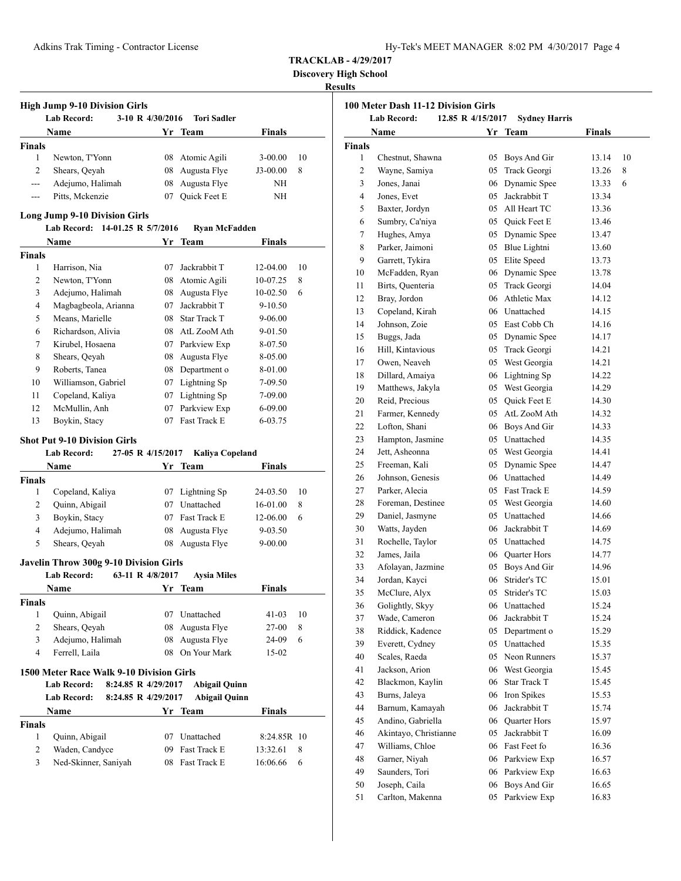| Hy-Tek's MEET MANAGER 8:02 PM 4/30/2017 Page 4 |  |  |  |
|------------------------------------------------|--|--|--|
|------------------------------------------------|--|--|--|

**Discovery High School**

|                                      | <b>High Jump 9-10 Division Girls</b>                                             |          |                                    |                       |         |
|--------------------------------------|----------------------------------------------------------------------------------|----------|------------------------------------|-----------------------|---------|
|                                      | <b>Lab Record:</b><br>3-10 R 4/30/2016                                           |          | <b>Tori Sadler</b>                 |                       |         |
|                                      | Name                                                                             | Yr       | <b>Team</b>                        | <b>Finals</b>         |         |
| <b>Finals</b><br>$\mathbf{1}$        |                                                                                  |          |                                    |                       |         |
| $\overline{c}$                       | Newton, T'Yonn<br>Shears, Qeyah                                                  |          | 08 Atomic Agili<br>08 Augusta Flye | $3-00.00$<br>J3-00.00 | 10<br>8 |
| $\overline{a}$                       | Adejumo, Halimah                                                                 | 08       | Augusta Flye                       | ΝH                    |         |
| $\cdots$                             | Pitts, Mckenzie                                                                  | 07       | Quick Feet E                       | ΝH                    |         |
|                                      |                                                                                  |          |                                    |                       |         |
|                                      | <b>Long Jump 9-10 Division Girls</b><br>Lab Record: 14-01.25 R 5/7/2016          |          |                                    |                       |         |
|                                      | Name                                                                             | Yr       | <b>Ryan McFadden</b><br>Team       | <b>Finals</b>         |         |
| <b>Finals</b>                        |                                                                                  |          |                                    |                       |         |
| 1                                    | Harrison, Nia                                                                    | 07       | Jackrabbit T                       | 12-04.00              | 10      |
| 2                                    | Newton, T'Yonn                                                                   |          | 08 Atomic Agili                    | 10-07.25              | 8       |
| 3                                    | Adejumo, Halimah                                                                 | 08       | Augusta Flye                       | 10-02.50              | 6       |
| 4                                    | Magbagbeola, Arianna                                                             | 07       | Jackrabbit T                       | 9-10.50               |         |
| 5                                    | Means, Marielle                                                                  |          | 08 Star Track T                    | 9-06.00               |         |
| 6                                    | Richardson, Alivia                                                               |          | 08 AtL ZooM Ath                    | 9-01.50               |         |
| 7                                    | Kirubel, Hosaena                                                                 |          | 07 Parkview Exp                    | 8-07.50               |         |
| 8                                    | Shears, Qeyah                                                                    |          | 08 Augusta Flye                    | 8-05.00               |         |
| 9                                    | Roberts, Tanea                                                                   |          | 08 Department o                    | 8-01.00               |         |
| 10                                   | Williamson, Gabriel                                                              |          | 07 Lightning Sp                    | 7-09.50               |         |
| 11                                   | Copeland, Kaliya                                                                 |          | 07 Lightning Sp                    | 7-09.00               |         |
| 12                                   | McMullin, Anh                                                                    | 07       | Parkview Exp                       | 6-09.00               |         |
| 13                                   | Boykin, Stacy                                                                    | 07       | Fast Track E                       | 6-03.75               |         |
|                                      | <b>Shot Put 9-10 Division Girls</b>                                              |          |                                    |                       |         |
|                                      | <b>Lab Record:</b><br>27-05 R 4/15/2017                                          |          | Kaliya Copeland                    |                       |         |
|                                      | Name                                                                             | Yr       | Team                               | <b>Finals</b>         |         |
| <b>Finals</b>                        |                                                                                  |          |                                    |                       |         |
| 1                                    | Copeland, Kaliya                                                                 |          | 07 Lightning Sp                    | 24-03.50              | 10      |
| 2                                    | Quinn, Abigail                                                                   |          | 07 Unattached                      | 16-01.00              | 8       |
| 3                                    | Boykin, Stacy                                                                    |          | 07 Fast Track E                    | 12-06.00              | 6       |
| 4                                    | Adejumo, Halimah                                                                 | 08       | Augusta Flye                       | $9 - 03.50$           |         |
| 5                                    | Shears, Oeyah                                                                    | 08       | Augusta Flye                       | $9 - 00.00$           |         |
|                                      |                                                                                  |          |                                    |                       |         |
|                                      | Javelin Throw 300g 9-10 Division Girls<br><b>Lab Record:</b><br>63-11 R 4/8/2017 |          | <b>Aysia Miles</b>                 |                       |         |
|                                      | Name                                                                             |          | Yr Team                            | <b>Finals</b>         |         |
|                                      |                                                                                  |          |                                    |                       |         |
| <b>Finals</b><br>1                   | Quinn, Abigail                                                                   |          | 07 Unattached                      | 41-03                 | 10      |
| 2                                    |                                                                                  | 08       | Augusta Flye                       | 27-00                 | 8       |
|                                      | Shears, Qeyah                                                                    |          |                                    |                       |         |
|                                      |                                                                                  |          |                                    |                       |         |
| 3                                    | Adejumo, Halimah                                                                 | 08       | Augusta Flye                       | 24-09                 | 6       |
| $\overline{4}$                       | Ferrell, Laila                                                                   | 08       | On Your Mark                       | 15-02                 |         |
|                                      | 1500 Meter Race Walk 9-10 Division Girls                                         |          |                                    |                       |         |
|                                      | <b>Lab Record:</b><br>8:24.85 R 4/29/2017                                        |          | <b>Abigail Quinn</b>               |                       |         |
|                                      | <b>Lab Record:</b><br>8:24.85 R 4/29/2017                                        |          | <b>Abigail Quinn</b>               |                       |         |
|                                      | Name                                                                             |          | Yr Team                            | Finals                |         |
|                                      |                                                                                  |          |                                    |                       |         |
| 1                                    | Quinn, Abigail                                                                   | 07       | Unattached                         | 8:24.85R 10           |         |
| <b>Finals</b><br>$\overline{c}$<br>3 | Waden, Candyce<br>Ned-Skinner, Saniyah                                           | 09<br>08 | Fast Track E<br>Fast Track E       | 13:32.61<br>16:06.66  | 8<br>6  |

|               | 100 Meter Dash 11-12 Division Girls |                   |                      |        |    |  |
|---------------|-------------------------------------|-------------------|----------------------|--------|----|--|
|               | <b>Lab Record:</b>                  | 12.85 R 4/15/2017 | <b>Sydney Harris</b> |        |    |  |
|               | Name                                |                   | Yr Team              | Finals |    |  |
| <b>Finals</b> |                                     |                   |                      |        |    |  |
| 1             | Chestnut, Shawna                    | 05                | Boys And Gir         | 13.14  | 10 |  |
| 2             | Wayne, Samiya                       | 05                | Track Georgi         | 13.26  | 8  |  |
| 3             | Jones, Janai                        | 06                | Dynamic Spee         | 13.33  | 6  |  |
| 4             | Jones, Evet                         | 05                | Jackrabbit T         | 13.34  |    |  |
| 5             | Baxter, Jordyn                      | 05                | All Heart TC         | 13.36  |    |  |
| 6             | Sumbry, Ca'niya                     |                   | 05 Ouick Feet E      | 13.46  |    |  |
| 7             | Hughes, Amya                        | 05                | Dynamic Spee         | 13.47  |    |  |
| 8             | Parker, Jaimoni                     | 05                | Blue Lightni         | 13.60  |    |  |
| 9             | Garrett, Tykira                     | 05                | Elite Speed          | 13.73  |    |  |
| 10            | McFadden, Ryan                      | 06                | Dynamic Spee         | 13.78  |    |  |
| 11            | Birts, Quenteria                    | 05                | Track Georgi         | 14.04  |    |  |
| 12            | Bray, Jordon                        | 06                | Athletic Max         | 14.12  |    |  |
| 13            | Copeland, Kirah                     |                   | 06 Unattached        | 14.15  |    |  |
| 14            | Johnson, Zoie                       |                   | 05 East Cobb Ch      | 14.16  |    |  |
| 15            | Buggs, Jada                         |                   | 05 Dynamic Spee      | 14.17  |    |  |
| 16            | Hill, Kintavious                    | 05                | Track Georgi         | 14.21  |    |  |
| 17            | Owen, Neaveh                        | 05                | West Georgia         | 14.21  |    |  |
| 18            | Dillard, Amaiya                     | 06                | Lightning Sp         | 14.22  |    |  |
| 19            | Matthews, Jakyla                    | 05                | West Georgia         | 14.29  |    |  |
| 20            | Reid, Precious                      | 05                | Quick Feet E         | 14.30  |    |  |
| 21            | Farmer, Kennedy                     | 05                | AtL ZooM Ath         | 14.32  |    |  |
| 22            | Lofton, Shani                       | 06                | Boys And Gir         | 14.33  |    |  |
| 23            | Hampton, Jasmine                    | 05                | Unattached           | 14.35  |    |  |
| 24            | Jett, Asheonna                      |                   | 05 West Georgia      | 14.41  |    |  |
| 25            | Freeman, Kali                       | 05                | Dynamic Spee         | 14.47  |    |  |
| 26            | Johnson, Genesis                    |                   | 06 Unattached        | 14.49  |    |  |
| 27            | Parker, Alecia                      |                   | 05 Fast Track E      | 14.59  |    |  |
| 28            | Foreman, Destinee                   |                   | 05 West Georgia      | 14.60  |    |  |
| 29            | Daniel, Jasmyne                     | 05                | Unattached           | 14.66  |    |  |
| 30            | Watts, Jayden                       | 06                | Jackrabbit T         | 14.69  |    |  |
| 31            | Rochelle, Taylor                    | 05                | Unattached           | 14.75  |    |  |
| 32            | James, Jaila                        | 06                | Quarter Hors         | 14.77  |    |  |
| 33            | Afolayan, Jazmine                   | 05                | Boys And Gir         | 14.96  |    |  |
| 34            | Jordan, Kayci                       | 06                | Strider's TC         | 15.01  |    |  |
| 35            | McClure, Alyx                       | 05                | Strider's TC         | 15.03  |    |  |
| 36            | Golightly, Skyy                     | 06                | Unattached           | 15.24  |    |  |
| 37            | Wade, Cameron                       | 06                | Jackrabbit T         | 15.24  |    |  |
| 38            | Riddick, Kadence                    | 05                | Department o         | 15.29  |    |  |
| 39            | Everett, Cydney                     | 05                | Unattached           | 15.35  |    |  |
| 40            | Scales, Raeda                       | 05                | Neon Runners         | 15.37  |    |  |
| 41            | Jackson, Arion                      | 06                | West Georgia         | 15.45  |    |  |
| 42            | Blackmon, Kaylin                    | 06                | <b>Star Track T</b>  | 15.45  |    |  |
| 43            | Burns, Jaleva                       | 06                | Iron Spikes          | 15.53  |    |  |
| 44            | Barnum, Kamayah                     | 06                | Jackrabbit T         | 15.74  |    |  |
| 45            | Andino, Gabriella                   | 06                | Quarter Hors         | 15.97  |    |  |
| 46            | Akintayo, Christianne               | 05                | Jackrabbit T         | 16.09  |    |  |
| 47            | Williams, Chloe                     | 06                | Fast Feet fo         | 16.36  |    |  |
| 48            | Garner, Niyah                       | 06                | Parkview Exp         | 16.57  |    |  |
| 49            | Saunders, Tori                      | 06                | Parkview Exp         | 16.63  |    |  |
| 50            | Joseph, Caila                       | $06\,$            | Boys And Gir         | 16.65  |    |  |
| 51            | Carlton, Makenna                    | 05                | Parkview Exp         | 16.83  |    |  |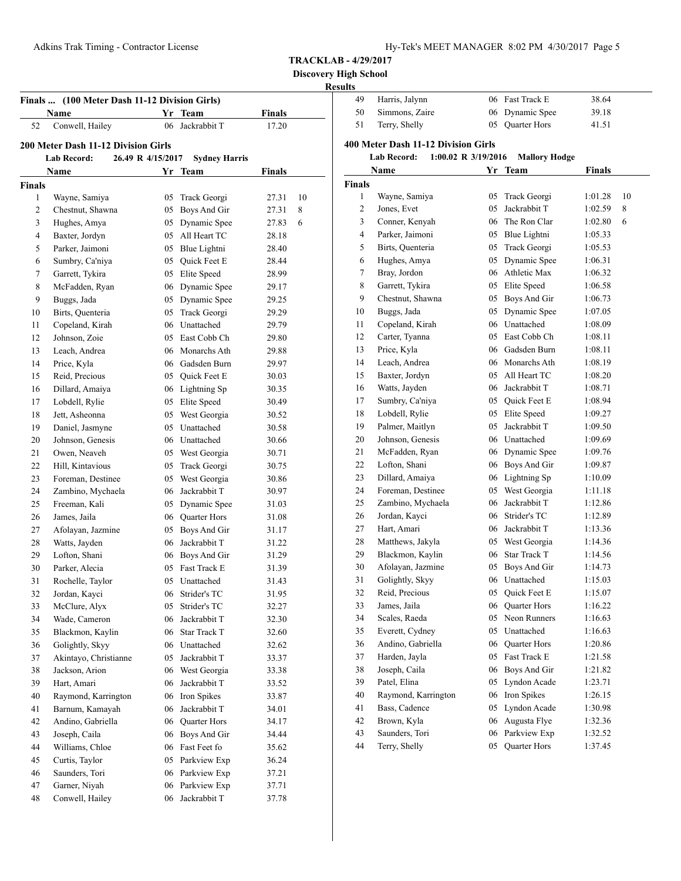| Hy-Tek's MEET MANAGER 8:02 PM 4/30/2017 Page 5 |  |  |  |
|------------------------------------------------|--|--|--|
|------------------------------------------------|--|--|--|

**Discovery High School**

|                |                                       | (100 Meter Dash 11-12 Division Girls)<br>Finals |                                    |                |    |  |  |
|----------------|---------------------------------------|-------------------------------------------------|------------------------------------|----------------|----|--|--|
|                | Name                                  |                                                 | Yr Team                            | <b>Finals</b>  |    |  |  |
| 52             | Conwell, Hailey                       | 06                                              | Jackrabbit T                       | 17.20          |    |  |  |
|                | 200 Meter Dash 11-12 Division Girls   |                                                 |                                    |                |    |  |  |
|                | 26.49 R 4/15/2017<br>Lab Record:      |                                                 | <b>Sydney Harris</b>               |                |    |  |  |
|                |                                       |                                                 |                                    | <b>Finals</b>  |    |  |  |
| <b>Finals</b>  | Name                                  |                                                 | Yr Team                            |                |    |  |  |
| 1              | Wayne, Samiya                         | 05                                              |                                    | 27.31          | 10 |  |  |
| 2              | Chestnut, Shawna                      | 05                                              | Track Georgi<br>Boys And Gir       | 27.31          | 8  |  |  |
| 3              | Hughes, Amya                          | 05                                              | Dynamic Spee                       | 27.83          | 6  |  |  |
| $\overline{4}$ | Baxter, Jordyn                        | 05                                              | All Heart TC                       | 28.18          |    |  |  |
| 5              | Parker, Jaimoni                       |                                                 | 05 Blue Lightni                    | 28.40          |    |  |  |
| 6              | Sumbry, Ca'niya                       |                                                 | 05 Quick Feet E                    | 28.44          |    |  |  |
| 7              | Garrett, Tykira                       |                                                 | 05 Elite Speed                     | 28.99          |    |  |  |
| 8              | McFadden, Ryan                        |                                                 | 06 Dynamic Spee                    | 29.17          |    |  |  |
| 9              | Buggs, Jada                           |                                                 | 05 Dynamic Spee                    | 29.25          |    |  |  |
| 10             | Birts, Quenteria                      | 05                                              | Track Georgi                       | 29.29          |    |  |  |
| 11             | Copeland, Kirah                       |                                                 | 06 Unattached                      | 29.79          |    |  |  |
| 12             | Johnson, Zoie                         |                                                 | 05 East Cobb Ch                    | 29.80          |    |  |  |
| 13             | Leach, Andrea                         |                                                 | 06 Monarchs Ath                    | 29.88          |    |  |  |
| 14             | Price, Kyla                           |                                                 | 06 Gadsden Burn                    | 29.97          |    |  |  |
| 15             | Reid, Precious                        |                                                 | 05 Quick Feet E                    | 30.03          |    |  |  |
| 16             | Dillard, Amaiya                       |                                                 | 06 Lightning Sp                    | 30.35          |    |  |  |
| 17             | Lobdell, Rylie                        |                                                 | 05 Elite Speed                     | 30.49          |    |  |  |
| 18             | Jett, Asheonna                        |                                                 | 05 West Georgia                    | 30.52          |    |  |  |
| 19             | Daniel, Jasmyne                       |                                                 | 05 Unattached                      | 30.58          |    |  |  |
| 20             | Johnson, Genesis                      |                                                 |                                    | 30.66          |    |  |  |
| 21             | Owen, Neaveh                          |                                                 | 06 Unattached                      | 30.71          |    |  |  |
| 22             |                                       |                                                 | 05 West Georgia                    |                |    |  |  |
|                | Hill, Kintavious<br>Foreman, Destinee | 05                                              | Track Georgi                       | 30.75          |    |  |  |
| 23<br>24       |                                       | 05                                              | West Georgia<br>06 Jackrabbit T    | 30.86          |    |  |  |
|                | Zambino, Mychaela                     |                                                 |                                    | 30.97          |    |  |  |
| 25             | Freeman, Kali                         | 05                                              | Dynamic Spee                       | 31.03          |    |  |  |
| 26<br>27       | James, Jaila                          |                                                 | 06 Quarter Hors                    | 31.08          |    |  |  |
|                | Afolayan, Jazmine                     | 05                                              | Boys And Gir<br>06 Jackrabbit T    | 31.17          |    |  |  |
| 28             | Watts, Jayden                         |                                                 |                                    | 31.22          |    |  |  |
| 29<br>30       | Lofton, Shani<br>Parker, Alecia       |                                                 | 06 Boys And Gir<br>05 Fast Track E | 31.29<br>31.39 |    |  |  |
| 31             |                                       | 05                                              | Unattached                         |                |    |  |  |
|                | Rochelle, Taylor                      |                                                 |                                    | 31.43          |    |  |  |
| 32<br>33       | Jordan, Kayci                         | 05                                              | 06 Strider's TC<br>Strider's TC    | 31.95          |    |  |  |
|                | McClure, Alyx<br>Wade, Cameron        |                                                 | Jackrabbit T                       | 32.27          |    |  |  |
| 34             |                                       | 06                                              |                                    | 32.30          |    |  |  |
| 35             | Blackmon, Kaylin                      | 06                                              | Star Track T                       | 32.60          |    |  |  |
| 36             | Golightly, Skyy                       |                                                 | 06 Unattached                      | 32.62          |    |  |  |
| 37             | Akintayo, Christianne                 | 05                                              | Jackrabbit T                       | 33.37          |    |  |  |
| 38             | Jackson, Arion                        | 06                                              | West Georgia                       | 33.38          |    |  |  |
| 39             | Hart, Amari                           | 06                                              | Jackrabbit T                       | 33.52          |    |  |  |
| 40             | Raymond, Karrington                   | 06                                              | Iron Spikes                        | 33.87          |    |  |  |
| 41             | Barnum, Kamayah                       | 06                                              | Jackrabbit T                       | 34.01          |    |  |  |
| 42             | Andino, Gabriella                     |                                                 | 06 Quarter Hors                    | 34.17          |    |  |  |
| 43             | Joseph, Caila                         | 06                                              | Boys And Gir                       | 34.44          |    |  |  |
| 44             | Williams, Chloe                       |                                                 | 06 Fast Feet fo                    | 35.62          |    |  |  |
| 45             | Curtis, Taylor                        | 05                                              | Parkview Exp                       | 36.24          |    |  |  |
| 46             | Saunders, Tori                        | 06                                              | Parkview Exp                       | 37.21          |    |  |  |
| 47             | Garner, Niyah                         | 06                                              | Parkview Exp                       | 37.71          |    |  |  |
| 48             | Conwell, Hailey                       | 06                                              | Jackrabbit T                       | 37.78          |    |  |  |

| <u>sunts</u>   |                                           |    |                      |               |    |
|----------------|-------------------------------------------|----|----------------------|---------------|----|
| 49             | Harris, Jalynn                            |    | 06 Fast Track E      | 38.64         |    |
| 50             | Simmons, Zaire                            | 06 | Dynamic Spee         | 39.18         |    |
| 51             | Terry, Shelly                             | 05 | <b>Ouarter Hors</b>  | 41.51         |    |
|                | 400 Meter Dash 11-12 Division Girls       |    |                      |               |    |
|                | <b>Lab Record:</b><br>1:00.02 R 3/19/2016 |    | <b>Mallory Hodge</b> |               |    |
|                | Name                                      |    | Yr Team              | <b>Finals</b> |    |
| <b>Finals</b>  |                                           |    |                      |               |    |
| 1              | Wayne, Samiya                             | 05 | Track Georgi         | 1:01.28       | 10 |
| 2              | Jones, Evet                               | 05 | Jackrabbit T         | 1:02.59       | 8  |
| 3              | Conner, Kenyah                            |    | 06 The Ron Clar      | 1:02.80       | 6  |
| $\overline{4}$ | Parker, Jaimoni                           |    | 05 Blue Lightni      | 1:05.33       |    |
| 5              | Birts, Quenteria                          |    | 05 Track Georgi      | 1:05.53       |    |
| 6              | Hughes, Amya                              |    | 05 Dynamic Spee      | 1:06.31       |    |
| 7              | Bray, Jordon                              |    | 06 Athletic Max      | 1:06.32       |    |
| 8              | Garrett, Tykira                           |    | 05 Elite Speed       | 1:06.58       |    |
| 9              | Chestnut, Shawna                          |    | 05 Boys And Gir      | 1:06.73       |    |
| 10             | Buggs, Jada                               | 05 | Dynamic Spee         | 1:07.05       |    |
| 11             | Copeland, Kirah                           |    | 06 Unattached        | 1:08.09       |    |
| 12             | Carter, Tyanna                            |    | 05 East Cobb Ch      | 1:08.11       |    |
| 13             | Price, Kyla                               |    | 06 Gadsden Burn      | 1:08.11       |    |
| 14             | Leach, Andrea                             |    | 06 Monarchs Ath      | 1:08.19       |    |
| 15             | Baxter, Jordyn                            |    | 05 All Heart TC      | 1:08.20       |    |
| 16             | Watts, Jayden                             |    | 06 Jackrabbit T      | 1:08.71       |    |
| 17             | Sumbry, Ca'niya                           |    | 05 Quick Feet E      | 1:08.94       |    |
| 18             | Lobdell, Rylie                            |    | 05 Elite Speed       | 1:09.27       |    |
| 19             | Palmer, Maitlyn                           |    | 05 Jackrabbit T      | 1:09.50       |    |
| 20             | Johnson, Genesis                          |    | 06 Unattached        | 1:09.69       |    |
| 21             | McFadden, Ryan                            |    | 06 Dynamic Spee      | 1:09.76       |    |
| 22             | Lofton, Shani                             |    | 06 Boys And Gir      | 1:09.87       |    |
| 23             | Dillard, Amaiya                           |    | 06 Lightning Sp      | 1:10.09       |    |
| 24             | Foreman, Destinee                         | 05 | West Georgia         | 1:11.18       |    |
| 25             | Zambino, Mychaela                         | 06 | Jackrabbit T         | 1:12.86       |    |
| 26             | Jordan, Kayci                             | 06 | Strider's TC         | 1:12.89       |    |
| 27             | Hart, Amari                               |    | 06 Jackrabbit T      | 1:13.36       |    |
| 28             | Matthews, Jakyla                          |    | 05 West Georgia      | 1:14.36       |    |
| 29             | Blackmon, Kaylin                          |    | 06 Star Track T      | 1:14.56       |    |
| 30             | Afolayan, Jazmine                         | 05 | Boys And Gir         | 1:14.73       |    |
| 31             | Golightly, Skyy                           | 06 | Unattached           | 1:15.03       |    |
| 32             | Reid, Precious                            | 05 | Quick Feet E         | 1:15.07       |    |
| 33             | James, Jaila                              | 06 | <b>Ouarter Hors</b>  | 1:16.22       |    |
| 34             | Scales, Raeda                             | 05 | Neon Runners         | 1:16.63       |    |
| 35             | Everett, Cydney                           | 05 | Unattached           | 1:16.63       |    |
| 36             | Andino, Gabriella                         | 06 | <b>Ouarter Hors</b>  | 1:20.86       |    |
| 37             | Harden, Jayla                             | 05 | Fast Track E         | 1:21.58       |    |
| 38             | Joseph, Caila                             | 06 | Boys And Gir         | 1:21.82       |    |
| 39             | Patel, Elina                              | 05 | Lyndon Acade         | 1:23.71       |    |
| 40             | Raymond, Karrington                       | 06 | Iron Spikes          | 1:26.15       |    |
| 41             | Bass, Cadence                             | 05 | Lyndon Acade         | 1:30.98       |    |
| 42             | Brown, Kyla                               | 06 | Augusta Flye         | 1:32.36       |    |
| 43             | Saunders, Tori                            | 06 | Parkview Exp         | 1:32.52       |    |
| 44             | Terry, Shelly                             | 05 | Quarter Hors         | 1:37.45       |    |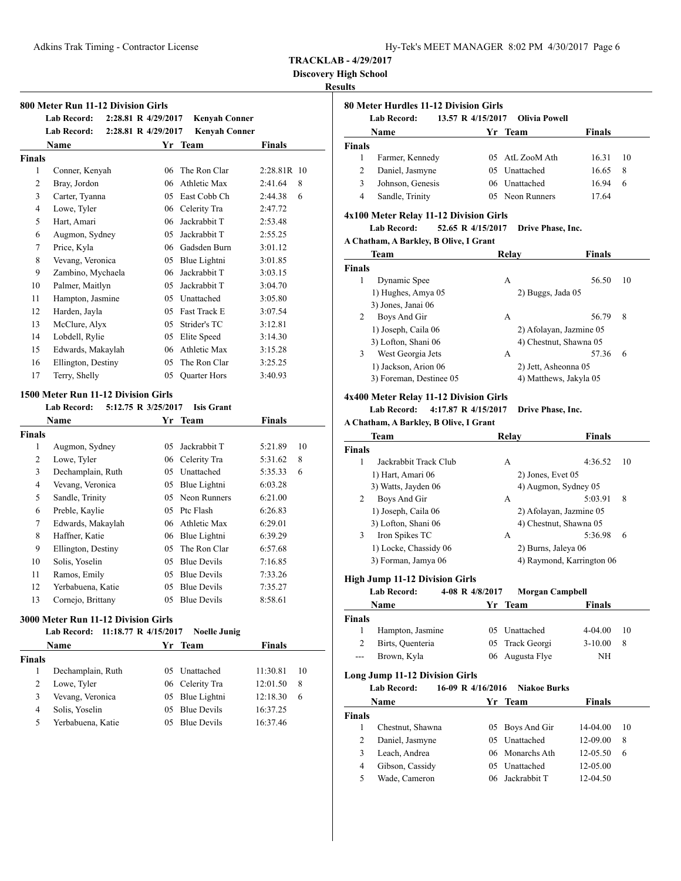Adkins Trak Timing - Contractor License

| Hy-Tek's MEET MANAGER 8:02 PM 4/30/2017 Page 6 |  |  |  |  |
|------------------------------------------------|--|--|--|--|
|------------------------------------------------|--|--|--|--|

**TRACKLAB - 4/29/2017**

**Discovery High School**

#### **Results**

|                | <b>Lab Record:</b><br><b>Lab Record:</b> | 2:28.81 R 4/29/2017<br>2:28.81 R 4/29/2017 | Kenvah Conner<br><b>Kenyah Conner</b> |               |
|----------------|------------------------------------------|--------------------------------------------|---------------------------------------|---------------|
|                | <b>Name</b>                              | Yr                                         | Team                                  | <b>Finals</b> |
| <b>Finals</b>  |                                          |                                            |                                       |               |
| 1              | Conner, Kenyah                           | 06                                         | The Ron Clar                          | 2:28.81R 10   |
| $\overline{2}$ | Bray, Jordon                             | 06                                         | Athletic Max                          | 2:41.64<br>8  |
| 3              | Carter, Tyanna                           | 05                                         | East Cobb Ch                          | 2:44.38<br>6  |
| 4              | Lowe, Tyler                              | 06                                         | Celerity Tra                          | 2:47.72       |
| 5              | Hart, Amari                              | 06                                         | Jackrabbit T                          | 2:53.48       |
| 6              | Augmon, Sydney                           | 05                                         | Jackrabbit T                          | 2:55.25       |
| 7              | Price, Kyla                              | 06                                         | Gadsden Burn                          | 3:01.12       |
| 8              | Vevang, Veronica                         | 05                                         | Blue Lightni                          | 3:01.85       |
| 9              | Zambino, Mychaela                        | 06                                         | Jackrabbit T                          | 3:03.15       |
| 10             | Palmer, Maitlyn                          | 05                                         | Jackrabbit T                          | 3:04.70       |
| 11             | Hampton, Jasmine                         | 05                                         | Unattached                            | 3:05.80       |
| 12             | Harden, Jayla                            | 05                                         | Fast Track E                          | 3:07.54       |
| 13             | McClure, Alyx                            | 05                                         | Strider's TC                          | 3:12.81       |
| 14             | Lobdell, Rylie                           | 05                                         | Elite Speed                           | 3:14.30       |
| 15             | Edwards, Makaylah                        | 06                                         | Athletic Max                          | 3:15.28       |
| 16             | Ellington, Destiny                       | 05                                         | The Ron Clar                          | 3:25.25       |
| 17             | Terry, Shelly                            | 05                                         | Quarter Hors                          | 3:40.93       |

|        | Name               | Yr. | Team               | <b>Finals</b> |    |
|--------|--------------------|-----|--------------------|---------------|----|
| Finals |                    |     |                    |               |    |
| 1      | Augmon, Sydney     | 05  | Jackrabbit T       | 5:21.89       | 10 |
| 2      | Lowe, Tyler        |     | 06 Celerity Tra    | 5:31.62       | 8  |
| 3      | Dechamplain, Ruth  | 05  | Unattached         | 5:35.33       | 6  |
| 4      | Vevang, Veronica   | 05  | Blue Lightni       | 6:03.28       |    |
| 5      | Sandle, Trinity    | 05  | Neon Runners       | 6:21.00       |    |
| 6      | Preble, Kaylie     | 05  | Ptc Flash          | 6:26.83       |    |
| 7      | Edwards, Makaylah  |     | 06 Athletic Max    | 6:29.01       |    |
| 8      | Haffner, Katie     |     | 06 Blue Lightni    | 6:39.29       |    |
| 9      | Ellington, Destiny | 05  | The Ron Clar       | 6:57.68       |    |
| 10     | Solis, Yoselin     | 05  | <b>Blue Devils</b> | 7:16.85       |    |
| 11     | Ramos, Emily       | 05  | <b>Blue Devils</b> | 7:33.26       |    |
| 12     | Yerbabuena, Katie  | 05  | <b>Blue Devils</b> | 7:35.27       |    |
| 13     | Cornejo, Brittany  | 05  | <b>Blue Devils</b> | 8:58.61       |    |

#### **3000 Meter Run 11-12 Division Girls**

#### **Lab Record: 11:18.77 R 4/15/2017 Noelle Junig**

| Name          |                   | Yr Team         | <b>Finals</b> |    |
|---------------|-------------------|-----------------|---------------|----|
| <b>Finals</b> |                   |                 |               |    |
|               | Dechamplain, Ruth | 05 Unattached   | 11:30.81      | 10 |
| 2             | Lowe, Tyler       | 06 Celerity Tra | 12:01.50      | 8  |
| 3             | Vevang, Veronica  | 05 Blue Lightni | 12:18.30      | 6  |
| 4             | Solis, Yoselin    | 05 Blue Devils  | 16:37.25      |    |
| 5             | Yerbabuena, Katie | 05 Blue Devils  | 16:37.46      |    |
|               |                   |                 |               |    |

#### **80 Meter Hurdles 11-12 Division Girls**

|               | Lab Record:      |  | 13.57 R 4/15/2017 Olivia Powell |               |     |
|---------------|------------------|--|---------------------------------|---------------|-----|
|               | Name             |  | Yr Team                         | <b>Finals</b> |     |
| <b>Finals</b> |                  |  |                                 |               |     |
|               | Farmer, Kennedy  |  | 05 AtL ZooM Ath                 | 16.31         | -10 |
| 2             | Daniel, Jasmyne  |  | 05 Unattached                   | 16.65         | 8   |
| 3             | Johnson, Genesis |  | 06 Unattached                   | 16.94         | 6   |
| 4             | Sandle, Trinity  |  | 05 Neon Runners                 | 17.64         |     |

#### **4x100 Meter Relay 11-12 Division Girls**

**Lab Record: 52.65 R 4/15/2017 Drive Phase, Inc.**

**A Chatham, A Barkley, B Olive, I Grant**

|               | Team                    | Relay             | Finals                  |
|---------------|-------------------------|-------------------|-------------------------|
| <b>Finals</b> |                         |                   |                         |
| 1             | Dynamic Spee            | A                 | 56.50<br>10             |
|               | 1) Hughes, Amya 05      | 2) Buggs, Jada 05 |                         |
|               | 3) Jones, Janai 06      |                   |                         |
| 2             | Boys And Gir            | А                 | 56.79<br>8              |
|               | 1) Joseph, Caila 06     |                   | 2) Afolayan, Jazmine 05 |
|               | 3) Lofton, Shani 06     |                   | 4) Chestnut, Shawna 05  |
| 3             | West Georgia Jets       | А                 | 57.36<br>6              |
|               | 1) Jackson, Arion 06    |                   | 2) Jett, Asheonna 05    |
|               | 3) Foreman, Destinee 05 |                   | 4) Matthews, Jakyla 05  |

#### **4x400 Meter Relay 11-12 Division Girls**

**Lab Record: 4:17.87 R 4/15/2017 Drive Phase, Inc.**

**A Chatham, A Barkley, B Olive, I Grant**

| Team                       | Relav             | <b>Finals</b>             |
|----------------------------|-------------------|---------------------------|
| <b>Finals</b>              |                   |                           |
| Jackrabbit Track Club<br>1 | A                 | 4:36.52<br>10             |
| 1) Hart, Amari 06          | 2) Jones, Evet 05 |                           |
| 3) Watts, Jayden 06        |                   | 4) Augmon, Sydney 05      |
| 2<br>Boys And Gir          | А                 | 5:03.91<br>8              |
| 1) Joseph, Caila 06        |                   | 2) Afolayan, Jazmine 05   |
| 3) Lofton, Shani 06        |                   | 4) Chestnut, Shawna 05    |
| 3<br>Iron Spikes TC        | А                 | 6<br>5:36.98              |
| 1) Locke, Chassidy 06      |                   | 2) Burns, Jaleya 06       |
| 3) Forman, Jamya 06        |                   | 4) Raymond, Karrington 06 |
|                            |                   |                           |

#### **High Jump 11-12 Division Girls**

**Lab Record: 4-08 R 4/8/2017 Morgan Campbell**

|               | Name             | Yr. | Team            | <b>Finals</b> |    |
|---------------|------------------|-----|-----------------|---------------|----|
| <b>Finals</b> |                  |     |                 |               |    |
|               | Hampton, Jasmine |     | 05 Unattached   | $4-04.00$     | 10 |
| 2             | Birts, Quenteria |     | 05 Track Georgi | $3-10.00$     | -8 |
| $---$         | Brown, Kyla      |     | 06 Augusta Flye | NH            |    |
|               |                  |     |                 |               |    |

#### **Long Jump 11-12 Division Girls**

**Lab Record: 16-09 R 4/16/2016 Niakoe Burks**

| Name   |                  | Yr Team         | <b>Finals</b>  |    |
|--------|------------------|-----------------|----------------|----|
| Finals |                  |                 |                |    |
|        | Chestnut, Shawna | 05 Boys And Gir | 14-04.00       | 10 |
|        | Daniel, Jasmyne  | 05 Unattached   | $12-09.00$     | 8  |
|        | Leach, Andrea    | 06 Monarchs Ath | $12 - 0.5, 50$ | 6  |
| 4      | Gibson, Cassidy  | 05 Unattached   | 12-05.00       |    |
|        | Wade, Cameron    | 06 Jackrabbit T | $12-04.50$     |    |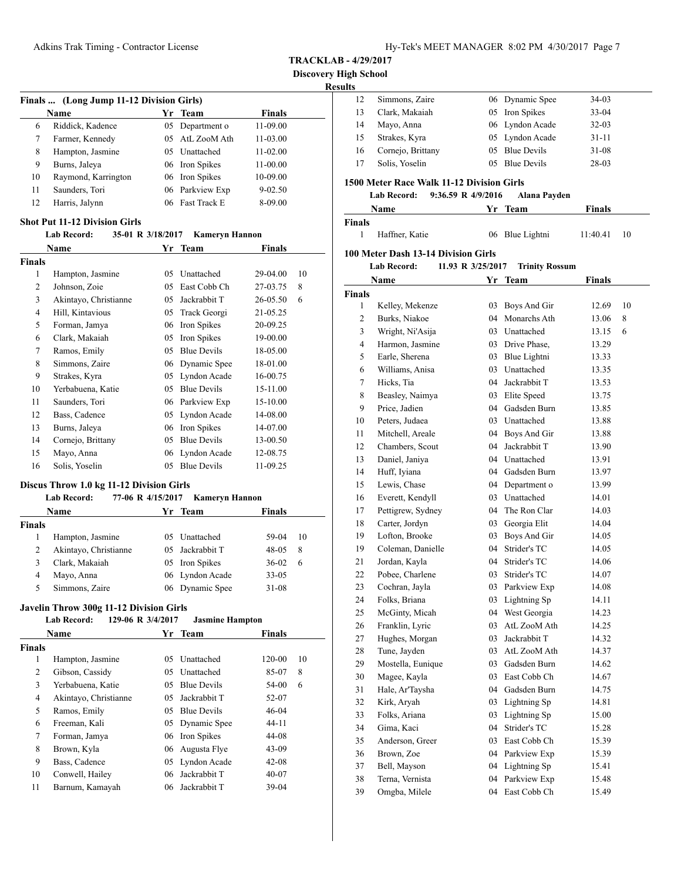**Discovery High** 

#### **Results**

| Finals  (Long Jump 11-12 Division Girls) |                     |    |                 |               |  |
|------------------------------------------|---------------------|----|-----------------|---------------|--|
|                                          | Name                |    | Yr Team         | <b>Finals</b> |  |
| 6                                        | Riddick, Kadence    | 05 | Department o    | 11-09.00      |  |
| 7                                        | Farmer, Kennedy     |    | 05 AtL ZooM Ath | 11-03.00      |  |
| 8                                        | Hampton, Jasmine    |    | 05 Unattached   | $11 - 02.00$  |  |
| 9                                        | Burns, Jaleya       |    | 06 Iron Spikes  | 11-00.00      |  |
| 10                                       | Raymond, Karrington |    | 06 Iron Spikes  | 10-09.00      |  |
| 11                                       | Saunders, Tori      |    | 06 Parkview Exp | $9 - 02.50$   |  |
| 12                                       | Harris, Jalynn      |    | 06 Fast Track E | 8-09.00       |  |

# **Shot Put 11-12 Division Girls**

#### **Lab Record: 35-01 R 3/18/2017 Kameryn Hannon**

| <b>Name</b>    |                       | Yr | <b>Team</b>        | Finals   |    |
|----------------|-----------------------|----|--------------------|----------|----|
| Finals         |                       |    |                    |          |    |
| 1              | Hampton, Jasmine      | 05 | Unattached         | 29-04.00 | 10 |
| $\overline{c}$ | Johnson, Zoie         | 05 | East Cobb Ch       | 27-03.75 | 8  |
| 3              | Akintayo, Christianne | 05 | Jackrabbit T       | 26-05.50 | 6  |
| $\overline{4}$ | Hill, Kintavious      | 05 | Track Georgi       | 21-05.25 |    |
| 5              | Forman, Jamya         | 06 | Iron Spikes        | 20-09.25 |    |
| 6              | Clark, Makaiah        | 05 | Iron Spikes        | 19-00.00 |    |
| 7              | Ramos, Emily          | 05 | <b>Blue Devils</b> | 18-05.00 |    |
| 8              | Simmons, Zaire        | 06 | Dynamic Spee       | 18-01.00 |    |
| 9              | Strakes, Kyra         | 05 | Lyndon Acade       | 16-00.75 |    |
| 10             | Yerbabuena, Katie     | 05 | <b>Blue Devils</b> | 15-11.00 |    |
| 11             | Saunders, Tori        | 06 | Parkview Exp       | 15-10.00 |    |
| 12             | Bass, Cadence         | 05 | Lyndon Acade       | 14-08.00 |    |
| 13             | Burns, Jaleya         | 06 | Iron Spikes        | 14-07.00 |    |
| 14             | Cornejo, Brittany     | 05 | <b>Blue Devils</b> | 13-00.50 |    |
| 15             | Mayo, Anna            | 06 | Lyndon Acade       | 12-08.75 |    |
| 16             | Solis, Yoselin        | 05 | <b>Blue Devils</b> | 11-09.25 |    |

# **Discus Throw 1.0 kg 11-12 Division Girls**

#### **Lab Record: 77-06 R 4/15/2017 Kameryn Hannon Name Yr Team Finals**

| Finals |                       |                 |            |    |
|--------|-----------------------|-----------------|------------|----|
|        | Hampton, Jasmine      | 05 Unattached   | $59-04$ 10 |    |
|        | Akintayo, Christianne | 05 Jackrabbit T | 48-05      | 8  |
|        | Clark, Makaiah        | 05 Iron Spikes  | $36-02$    | -6 |
| 4      | Mayo, Anna            | 06 Lyndon Acade | $33 - 05$  |    |
|        | Simmons, Zaire        | 06 Dynamic Spee | $31 - 08$  |    |

#### **Javelin Throw 300g 11-12 Division Girls**

#### **Lab Record: 129-06 R 3/4/2017 Jasmine Hampton Name Yr Team Finals**

| гланне                |    | теаш               | т шатэ                                                                   |    |
|-----------------------|----|--------------------|--------------------------------------------------------------------------|----|
|                       |    |                    |                                                                          |    |
| Hampton, Jasmine      | 05 | <b>Unattached</b>  | 120-00                                                                   | 10 |
| Gibson, Cassidy       | 05 | <b>Unattached</b>  | 85-07                                                                    | 8  |
| Yerbabuena. Katie     | 05 | <b>Blue Devils</b> | 54-00                                                                    | 6  |
| Akintayo, Christianne | 05 | Jackrabbit T       | 52-07                                                                    |    |
| Ramos, Emily          | 05 | <b>Blue Devils</b> | $46 - 04$                                                                |    |
| Freeman, Kali         |    |                    | $44 - 11$                                                                |    |
| Forman, Jamya         |    |                    | 44-08                                                                    |    |
| Brown, Kyla           | 06 |                    | $43-09$                                                                  |    |
| Bass, Cadence         | 05 | Lyndon Acade       | $42 - 08$                                                                |    |
| Conwell, Hailey       | 06 | Jackrabbit T       | $40 - 07$                                                                |    |
| Barnum, Kamayah       |    |                    | $39-04$                                                                  |    |
|                       |    |                    | 05 Dynamic Spee<br>06 Iron Spikes<br>Augusta Flye<br>Jackrabbit T<br>06. |    |

| ligh School<br>ults |                                           |                    |                       |               |    |
|---------------------|-------------------------------------------|--------------------|-----------------------|---------------|----|
| 12                  | Simmons, Zaire                            |                    | 06 Dynamic Spee       | 34-03         |    |
| 13                  | Clark, Makaiah                            |                    | 05 Iron Spikes        | 33-04         |    |
| 14                  | Mayo, Anna                                |                    | 06 Lyndon Acade       | 32-03         |    |
| 15                  | Strakes, Kyra                             | 05                 | Lyndon Acade          | $31 - 11$     |    |
| 16                  | Cornejo, Brittany                         |                    | 05 Blue Devils        | 31-08         |    |
| 17                  | Solis, Yoselin                            | 05                 | <b>Blue Devils</b>    | 28-03         |    |
|                     | 1500 Meter Race Walk 11-12 Division Girls |                    |                       |               |    |
|                     | Lab Record:                               | 9:36.59 R 4/9/2016 | Alana Payden          |               |    |
|                     | Name                                      |                    | Yr Team               | <b>Finals</b> |    |
| <b>Finals</b>       |                                           |                    |                       |               |    |
| 1                   | Haffner, Katie                            | 06                 | Blue Lightni          | 11:40.41      | 10 |
|                     | 100 Meter Dash 13-14 Division Girls       |                    |                       |               |    |
|                     | <b>Lab Record:</b>                        | 11.93 R 3/25/2017  | <b>Trinity Rossum</b> |               |    |
|                     | Name                                      | Yr                 | <b>Team</b>           | <b>Finals</b> |    |
| <b>Finals</b>       |                                           |                    |                       |               |    |
| 1                   | Kelley, Mekenze                           | 03                 | Boys And Gir          | 12.69         | 10 |
| 2                   | Burks, Niakoe                             | 04                 | Monarchs Ath          | 13.06         | 8  |
| 3                   | Wright, Ni'Asija                          |                    | 03 Unattached         | 13.15         | 6  |
| 4                   | Harmon, Jasmine                           |                    | 03 Drive Phase,       | 13.29         |    |
| 5                   | Earle, Sherena                            |                    | 03 Blue Lightni       | 13.33         |    |
| 6                   | Williams, Anisa                           |                    | 03 Unattached         | 13.35         |    |
| 7                   | Hicks, Tia                                |                    | 04 Jackrabbit T       | 13.53         |    |
| 8                   | Beasley, Naimya                           |                    | 03 Elite Speed        | 13.75         |    |
| 9                   | Price, Jadien                             |                    | 04 Gadsden Burn       | 13.85         |    |
| 10                  | Peters, Judaea                            |                    | 03 Unattached         | 13.88         |    |
| 11                  | Mitchell, Areale                          |                    | 04 Boys And Gir       | 13.88         |    |
| 12                  | Chambers, Scout                           |                    | 04 Jackrabbit T       | 13.90         |    |
| 13                  | Daniel, Janiya                            |                    | 04 Unattached         | 13.91         |    |
| 14                  | Huff, Iyiana                              |                    | 04 Gadsden Burn       | 13.97         |    |
| 15                  | Lewis, Chase                              |                    | 04 Department o       | 13.99         |    |
| 16                  | Everett, Kendyll                          |                    | 03 Unattached         | 14.01         |    |
| 17                  | Pettigrew, Sydney                         | 04                 | The Ron Clar          | 14.03         |    |

18 Carter, Jordyn 03 Georgia Elit 14.04 Lofton, Brooke 03 Boys And Gir 14.05 Coleman, Danielle 04 Strider's TC 14.05 Jordan, Kayla 04 Strider's TC 14.06 Pobee, Charlene 03 Strider's TC 14.07 Cochran, Jayla 03 Parkview Exp 14.08 Folks, Briana 03 Lightning Sp 14.11 McGinty, Micah 04 West Georgia 14.23 Franklin, Lyric 03 AtL ZooM Ath 14.25 Hughes, Morgan 03 Jackrabbit T 14.32 28 Tune, Jayden 03 AtL ZooM Ath 14.37 Mostella, Eunique 03 Gadsden Burn 14.62 Magee, Kayla 03 East Cobb Ch 14.67 Hale, Ar'Taysha 04 Gadsden Burn 14.75 Kirk, Aryah 03 Lightning Sp 14.81 Folks, Ariana 03 Lightning Sp 15.00 Gima, Kaci 04 Strider's TC 15.28 Anderson, Greer 03 East Cobb Ch 15.39 Brown, Zoe 04 Parkview Exp 15.39 Bell, Mayson 04 Lightning Sp 15.41 Terna, Vernista 04 Parkview Exp 15.48 Omgba, Milele 04 East Cobb Ch 15.49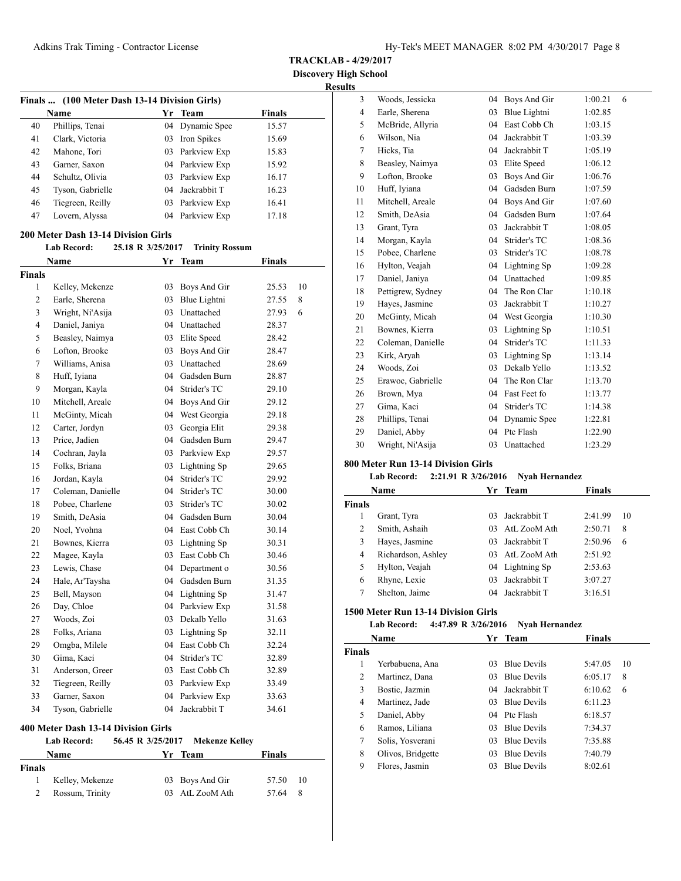**TRACKLAB - 4/29/2017**

**Discovery High School Results**

|        | Finals  (100 Meter Dash 13-14 Division Girls) |                   |                       |               |    |
|--------|-----------------------------------------------|-------------------|-----------------------|---------------|----|
|        | Name                                          |                   | Yr Team               | <b>Finals</b> |    |
| 40     | Phillips, Tenai                               | 04                | Dynamic Spee          | 15.57         |    |
| 41     | Clark, Victoria                               | 03                | Iron Spikes           | 15.69         |    |
| 42     | Mahone, Tori                                  |                   | 03 Parkview Exp       | 15.83         |    |
| 43     | Garner, Saxon                                 |                   | 04 Parkview Exp       | 15.92         |    |
| 44     | Schultz, Olivia                               |                   | 03 Parkview Exp       | 16.17         |    |
| 45     | Tyson, Gabrielle                              |                   | 04 Jackrabbit T       | 16.23         |    |
| 46     | Tiegreen, Reilly                              |                   | 03 Parkview Exp       | 16.41         |    |
| 47     | Lovern, Alyssa                                |                   | 04 Parkview Exp       | 17.18         |    |
|        | 200 Meter Dash 13-14 Division Girls           |                   |                       |               |    |
|        | <b>Lab Record:</b>                            | 25.18 R 3/25/2017 | <b>Trinity Rossum</b> |               |    |
|        | Name                                          |                   | Yr Team               | <b>Finals</b> |    |
| Finals |                                               |                   |                       |               |    |
| 1      | Kelley, Mekenze                               | 03                | Boys And Gir          | 25.53         | 10 |
| 2      | Earle, Sherena                                | 03                | Blue Lightni          | 27.55         | 8  |
| 3      | Wright, Ni'Asija                              |                   | 03 Unattached         | 27.93         | 6  |
| 4      | Daniel, Janiya                                |                   | 04 Unattached         | 28.37         |    |
| 5      | Beasley, Naimya                               |                   | 03 Elite Speed        | 28.42         |    |
| 6      | Lofton, Brooke                                | 03                | Boys And Gir          | 28.47         |    |
| 7      | Williams, Anisa                               |                   | 03 Unattached         | 28.69         |    |
| 8      | Huff, Iyiana                                  |                   | 04 Gadsden Burn       | 28.87         |    |
| 9      | Morgan, Kayla                                 |                   | 04 Strider's TC       | 29.10         |    |
| 10     | Mitchell, Areale                              |                   | 04 Boys And Gir       | 29.12         |    |
| 11     | McGinty, Micah                                |                   | 04 West Georgia       | 29.18         |    |
| 12     | Carter, Jordyn                                |                   | 03 Georgia Elit       | 29.38         |    |
| 13     | Price, Jadien                                 |                   | 04 Gadsden Burn       | 29.47         |    |
| 14     | Cochran, Jayla                                |                   | 03 Parkview Exp       | 29.57         |    |
| 15     | Folks, Briana                                 | 03                | Lightning Sp          | 29.65         |    |
| 16     | Jordan, Kayla                                 | 04                | Strider's TC          | 29.92         |    |
| 17     | Coleman, Danielle                             |                   | 04 Strider's TC       | 30.00         |    |
| 18     | Pobee, Charlene                               | 03                | Strider's TC          | 30.02         |    |
| 19     | Smith, DeAsia                                 |                   | 04 Gadsden Burn       | 30.04         |    |
| 20     | Noel, Yvohna                                  |                   | 04 East Cobb Ch       | 30.14         |    |
| 21     | Bownes, Kierra                                |                   | 03 Lightning Sp       | 30.31         |    |
| 22     | Magee, Kayla                                  |                   | 03 East Cobb Ch       | 30.46         |    |
| 23     | Lewis, Chase                                  |                   | 04 Department o       | 30.56         |    |
| 24     | Hale, Ar'Taysha                               |                   | 04 Gadsden Burn       | 31.35         |    |
| 25     | Bell, Mayson                                  |                   | 04 Lightning Sp       | 31.47         |    |
| 26     | Day, Chloe                                    |                   | 04 Parkview Exp       | 31.58         |    |
| 27     | Woods, Zoi                                    | 03                | Dekalb Yello          | 31.63         |    |
| 28     | Folks, Ariana                                 | 03                | Lightning Sp          | 32.11         |    |
| 29     | Omgba, Milele                                 |                   | 04 East Cobb Ch       | 32.24         |    |
| 30     | Gima, Kaci                                    | 04                | Strider's TC          | 32.89         |    |
| 31     | Anderson, Greer                               |                   | 03 East Cobb Ch       | 32.89         |    |
| 32     | Tiegreen, Reilly                              |                   | 03 Parkview Exp       | 33.49         |    |
| 33     | Garner, Saxon                                 |                   | 04 Parkview Exp       | 33.63         |    |
| 34     | Tyson, Gabrielle                              | 04                | Jackrabbit T          | 34.61         |    |
|        |                                               |                   |                       |               |    |
|        | 400 Meter Dash 13-14 Division Girls           |                   |                       |               |    |

|        | <b>Lab Record:</b> | 56.45 R 3/25/2017 Mekenze Kelley |               |  |
|--------|--------------------|----------------------------------|---------------|--|
|        | Name               | Yr Team                          | <b>Finals</b> |  |
| Finals |                    |                                  |               |  |
|        | Kelley, Mekenze    | 03 Boys And Gir                  | 57.50 10      |  |
|        | Rossum, Trinity    | 03 AtL ZooM Ath                  | 57.64 8       |  |
|        |                    |                                  |               |  |

| 3                                                                  | Woods, Jessicka   | 04 | Boys And Gir    | 1:00.21       | 6  |  |  |
|--------------------------------------------------------------------|-------------------|----|-----------------|---------------|----|--|--|
| $\overline{4}$                                                     | Earle, Sherena    | 03 | Blue Lightni    | 1:02.85       |    |  |  |
| 5                                                                  | McBride, Allyria  | 04 | East Cobb Ch    | 1:03.15       |    |  |  |
| 6                                                                  | Wilson, Nia       | 04 | Jackrabbit T    | 1:03.39       |    |  |  |
| $\tau$                                                             | Hicks, Tia        | 04 | Jackrabbit T    | 1:05.19       |    |  |  |
| 8                                                                  | Beasley, Naimya   | 03 | Elite Speed     | 1:06.12       |    |  |  |
| 9                                                                  | Lofton, Brooke    | 03 | Boys And Gir    | 1:06.76       |    |  |  |
| 10                                                                 | Huff, Iyiana      | 04 | Gadsden Burn    | 1:07.59       |    |  |  |
| 11                                                                 | Mitchell, Areale  | 04 | Boys And Gir    | 1:07.60       |    |  |  |
| 12                                                                 | Smith, DeAsia     | 04 | Gadsden Burn    | 1:07.64       |    |  |  |
| 13                                                                 | Grant, Tyra       | 03 | Jackrabbit T    | 1:08.05       |    |  |  |
| 14                                                                 | Morgan, Kayla     | 04 | Strider's TC    | 1:08.36       |    |  |  |
| 15                                                                 | Pobee, Charlene   | 03 | Strider's TC    | 1:08.78       |    |  |  |
| 16                                                                 | Hylton, Veajah    | 04 | Lightning Sp    | 1:09.28       |    |  |  |
| 17                                                                 | Daniel, Janiya    |    | 04 Unattached   | 1:09.85       |    |  |  |
| 18                                                                 | Pettigrew, Sydney | 04 | The Ron Clar    | 1:10.18       |    |  |  |
| 19                                                                 | Hayes, Jasmine    | 03 | Jackrabbit T    | 1:10.27       |    |  |  |
| 20                                                                 | McGinty, Micah    |    | 04 West Georgia | 1:10.30       |    |  |  |
| 21                                                                 | Bownes, Kierra    | 03 | Lightning Sp    | 1:10.51       |    |  |  |
| 22                                                                 | Coleman, Danielle | 04 | Strider's TC    | 1:11.33       |    |  |  |
| 23                                                                 | Kirk, Aryah       | 03 | Lightning Sp    | 1:13.14       |    |  |  |
| 24                                                                 | Woods, Zoi        | 03 | Dekalb Yello    | 1:13.52       |    |  |  |
| 25                                                                 | Erawoc, Gabrielle | 04 | The Ron Clar    | 1:13.70       |    |  |  |
| 26                                                                 | Brown, Mya        | 04 | Fast Feet fo    | 1:13.77       |    |  |  |
| 27                                                                 | Gima, Kaci        | 04 | Strider's TC    | 1:14.38       |    |  |  |
| 28                                                                 | Phillips, Tenai   | 04 | Dynamic Spee    | 1:22.81       |    |  |  |
| 29                                                                 | Daniel, Abby      | 04 | Ptc Flash       | 1:22.90       |    |  |  |
| 30                                                                 | Wright, Ni'Asija  | 03 | Unattached      | 1:23.29       |    |  |  |
| 800 Meter Run 13-14 Division Girls                                 |                   |    |                 |               |    |  |  |
| <b>Lab Record:</b><br>2:21.91 R 3/26/2016<br><b>Nyah Hernandez</b> |                   |    |                 |               |    |  |  |
|                                                                    | Name              |    | Yr Team         | <b>Finals</b> |    |  |  |
| <b>Finals</b>                                                      |                   |    |                 |               |    |  |  |
| 1                                                                  | Grant, Tyra       | 03 | Jackrabbit T    | 2:41.99       | 10 |  |  |
| $\overline{c}$                                                     | Smith, Ashaih     | 03 | AtL ZooM Ath    | 2:50.71       | 8  |  |  |

|   | Grant, Iyra        | 03 Jackrabbit I | 2:41.99 | -10 |  |
|---|--------------------|-----------------|---------|-----|--|
|   | Smith, Ashaih      | 03 AtL ZooM Ath | 2:50.71 | 8   |  |
|   | Hayes, Jasmine     | 03 Jackrabbit T | 2:50.96 | 6   |  |
| 4 | Richardson, Ashley | 03 AtL ZooM Ath | 2:51.92 |     |  |
|   | Hylton, Veajah     | 04 Lightning Sp | 2:53.63 |     |  |
| 6 | Rhyne, Lexie       | 03 Jackrabbit T | 3:07.27 |     |  |
|   | Shelton, Jaime     | 04 Jackrabbit T | 3:16.51 |     |  |

# **1500 Meter Run 13-14 Division Girls**

# **Lab Record: 4:47.89 R 3/26/2016 Nyah Hernandez**

| Name          |                   | Yr. | Team               | <b>Finals</b> |    |
|---------------|-------------------|-----|--------------------|---------------|----|
| <b>Finals</b> |                   |     |                    |               |    |
| 1             | Yerbabuena, Ana   | 03  | <b>Blue Devils</b> | 5:47.05       | 10 |
| 2             | Martinez, Dana    | 03  | <b>Blue Devils</b> | 6:05.17       | 8  |
| 3             | Bostic, Jazmin    |     | 04 Jackrabbit T    | 6:10.62       | 6  |
| 4             | Martinez, Jade    | 03  | <b>Blue Devils</b> | 6:11.23       |    |
| 5             | Daniel, Abby      |     | 04 Ptc Flash       | 6:18.57       |    |
| 6             | Ramos, Liliana    | 03  | <b>Blue Devils</b> | 7:34.37       |    |
| 7             | Solis, Yosverani  | 03  | <b>Blue Devils</b> | 7:35.88       |    |
| 8             | Olivos, Bridgette | 03  | <b>Blue Devils</b> | 7:40.79       |    |
| 9             | Flores, Jasmin    | 03  | <b>Blue Devils</b> | 8:02.61       |    |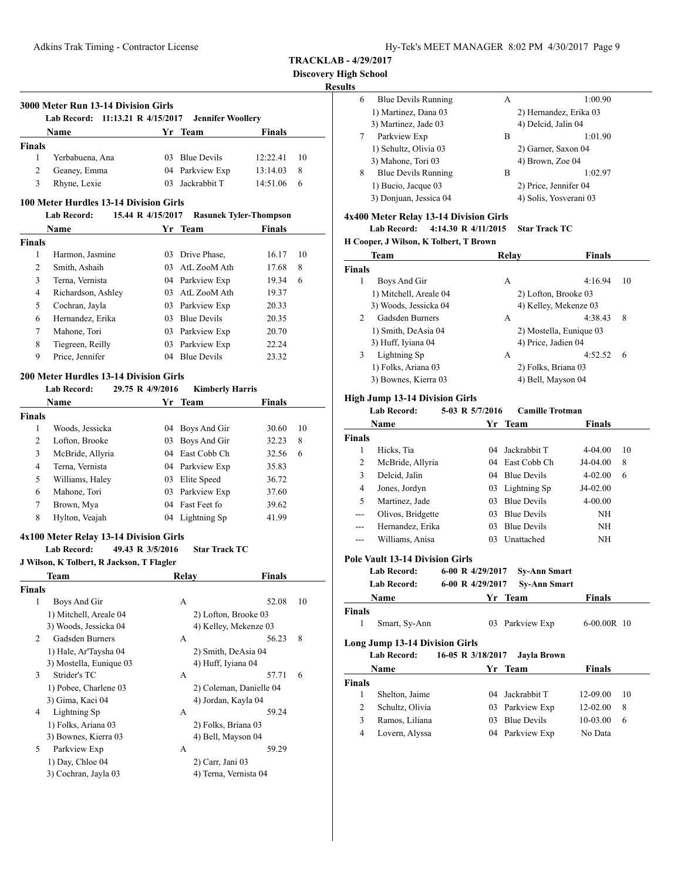**Lab Record: 11:13.21 R 4/15/2017 Jennifer Woollery Name Yr** Team **Finals** 

1 Yerbabuena, Ana 03 Blue Devils 12:22.41 10 2 Geaney, Emma 04 Parkview Exp 13:14.03 8 3 Rhyne, Lexie 03 Jackrabbit T 14:51.06 6

**TRACKLAB - 4/29/2017**

**Discovery High School**

# **Results**

j.

| 6 | <b>Blue Devils Running</b> | A | 1:00.90                |
|---|----------------------------|---|------------------------|
|   | 1) Martinez, Dana 03       |   | 2) Hernandez, Erika 03 |
|   | 3) Martinez, Jade 03       |   | 4) Delcid, Jalin 04    |
| 7 | Parkview Exp               | B | 1:01.90                |
|   | 1) Schultz, Olivia 03      |   | 2) Garner, Saxon 04    |
|   | 3) Mahone, Tori 03         |   | 4) Brown, Zoe 04       |
| 8 | <b>Blue Devils Running</b> | B | 1:02.97                |
|   | 1) Bucio, Jacque 03        |   | 2) Price, Jennifer 04  |
|   | 3) Donjuan, Jessica 04     |   | 4) Solis, Yosverani 03 |
|   |                            |   |                        |

#### **4x400 Meter Relay 13-14 Division Girls**

**Lab Record: 4:14.30 R 4/11/2015 Star Track TC**

#### **H Cooper, J Wilson, K Tolbert, T Brown**

| Team                              | Relay               | Finals                  |
|-----------------------------------|---------------------|-------------------------|
| Finals                            |                     |                         |
| Boys And Gir<br>1                 | А                   | 4:16.94<br>10           |
| 1) Mitchell, Areale 04            |                     | 2) Lofton, Brooke 03    |
| 3) Woods, Jessicka 04             |                     | 4) Kelley, Mekenze 03   |
| Gadsden Burners<br>$\mathfrak{D}$ | А                   | 4:38.43<br>8            |
| 1) Smith, DeAsia 04               |                     | 2) Mostella, Eunique 03 |
| 3) Huff, Iyiana 04                | 4) Price, Jadien 04 |                         |
| 3<br>Lightning Sp                 | А                   | 4:52.52<br>-6           |
| 1) Folks, Ariana 03               | 2) Folks, Briana 03 |                         |
| 3) Bownes, Kierra 03              | 4) Bell, Mayson 04  |                         |
|                                   |                     |                         |

# **High Jump 13-14 Division Girls**

| <b>Lab Record:</b>                     |                   | 5-03 R 5/7/2016<br><b>Camille Trotman</b> |  |                    |             |    |
|----------------------------------------|-------------------|-------------------------------------------|--|--------------------|-------------|----|
|                                        | Name              | Yr                                        |  | Team               | Finals      |    |
| <b>Finals</b>                          |                   |                                           |  |                    |             |    |
| 1                                      | Hicks, Tia        | 04                                        |  | Jackrabbit T       | $4-04.00$   | 10 |
| 2                                      | McBride, Allyria  | 04                                        |  | East Cobb Ch       | J4-04.00    | 8  |
| 3                                      | Delcid, Jalin     | 04                                        |  | <b>Blue Devils</b> | $4 - 02.00$ | 6  |
| 4                                      | Jones, Jordyn     |                                           |  | 03 Lightning Sp    | J4-02.00    |    |
| 5                                      | Martinez, Jade    | 03                                        |  | <b>Blue Devils</b> | $4 - 00.00$ |    |
| $---$                                  | Olivos, Bridgette | 03                                        |  | <b>Blue Devils</b> | NH          |    |
| $---$                                  | Hernandez, Erika  | 03                                        |  | <b>Blue Devils</b> | NH          |    |
| ---                                    | Williams, Anisa   | 03                                        |  | Unattached         | NH          |    |
| <b>Pole Vault 13-14 Division Girls</b> |                   |                                           |  |                    |             |    |

| Lab Record: | 6-00 R $4/29/2017$ | <b>Sv-Ann Smart</b> |
|-------------|--------------------|---------------------|
| Lab Record: | 6-00 R 4/29/2017   | <b>Sy-Ann Smart</b> |

| <b>Name</b>                                          | Yr Team                          | <b>Finals</b> |
|------------------------------------------------------|----------------------------------|---------------|
| <b>Finals</b>                                        |                                  |               |
| Smart, Sy-Ann                                        | 03 Parkview Exp                  | $6-00.00R$ 10 |
| Long Jump 13-14 Division Girls<br><b>Lab Record:</b> | 16-05 R 3/18/2017<br>Javla Brown |               |
| <b>Name</b>                                          | Yr Team                          | <b>Finals</b> |

|        | таніс           | .               | т піагэ      |    |
|--------|-----------------|-----------------|--------------|----|
| Finals |                 |                 |              |    |
|        | Shelton, Jaime  | 04 Jackrabbit T | 12-09.00     | 10 |
|        | Schultz, Olivia | 03 Parkview Exp | $12 - 02.00$ | 8  |
|        | Ramos, Liliana  | 03 Blue Devils  | $10-03.00$   | 6  |
|        | Lovern, Alyssa  | 04 Parkview Exp | No Data      |    |
|        |                 |                 |              |    |

#### **100 Meter Hurdles 13-14 Division Girls**

**3000 Meter Run 13-14 Division Girls**

**Finals**

|        | <b>Lab Record:</b> | 15.44 R 4/15/2017 | <b>Rasunek Tyler-Thompson</b> |               |    |
|--------|--------------------|-------------------|-------------------------------|---------------|----|
|        | <b>Name</b>        |                   | Yr Team                       | <b>Finals</b> |    |
| Finals |                    |                   |                               |               |    |
| 1      | Harmon, Jasmine    | 03                | Drive Phase,                  | 16.17         | 10 |
| 2      | Smith, Ashaih      |                   | 03 AtL ZooM Ath               | 17.68         | 8  |
| 3      | Terna, Vernista    |                   | 04 Parkview Exp               | 19.34         | 6  |
| 4      | Richardson, Ashley |                   | 03 AtL ZooM Ath               | 19.37         |    |
| 5      | Cochran, Jayla     |                   | 03 Parkview Exp               | 20.33         |    |
| 6      | Hernandez, Erika   | 03.               | <b>Blue Devils</b>            | 20.35         |    |
| 7      | Mahone, Tori       | 03                | Parkview Exp                  | 20.70         |    |
| 8      | Tiegreen, Reilly   | 03                | Parkview Exp                  | 22.24         |    |
| 9      | Price, Jennifer    | 04                | <b>Blue Devils</b>            | 23.32         |    |

#### **200 Meter Hurdles 13-14 Division Girls**

|               | <b>Lab Record:</b> | 29.75 R 4/9/2016 | <b>Kimberly Harris</b> |        |    |
|---------------|--------------------|------------------|------------------------|--------|----|
|               | Name               |                  | Yr Team                | Finals |    |
| <b>Finals</b> |                    |                  |                        |        |    |
| 1             | Woods, Jessicka    |                  | 04 Boys And Gir        | 30.60  | 10 |
| 2             | Lofton, Brooke     |                  | 03 Boys And Gir        | 32.23  | 8  |
| 3             | McBride, Allyria   |                  | 04 East Cobb Ch        | 32.56  | 6  |
| 4             | Terna, Vernista    |                  | 04 Parkview Exp        | 35.83  |    |
| 5             | Williams, Haley    | 03               | Elite Speed            | 36.72  |    |
| 6             | Mahone, Tori       | 03               | Parkview Exp           | 37.60  |    |
| 7             | Brown, Mya         | 04               | <b>Fast Feet fo</b>    | 39.62  |    |
| 8             | Hylton, Veajah     |                  | 04 Lightning Sp        | 41.99  |    |

#### **4x100 Meter Relay 13-14 Division Girls**

#### **Lab Record: 49.43 R 3/5/2016 Star Track TC**

**J Wilson, K Tolbert, R Jackson, T Flagler**

|        | Team                    | Relay                 | <b>Finals</b>           |  |
|--------|-------------------------|-----------------------|-------------------------|--|
| Finals |                         |                       |                         |  |
| 1      | Boys And Gir            | A                     | 52.08<br>10             |  |
|        | 1) Mitchell, Areale 04  | 2) Lofton, Brooke 03  |                         |  |
|        | 3) Woods, Jessicka 04   |                       | 4) Kelley, Mekenze 03   |  |
| 2      | Gadsden Burners         | A                     | 8<br>56.23              |  |
|        | 1) Hale, Ar'Taysha 04   | 2) Smith, DeAsia 04   |                         |  |
|        | 3) Mostella, Eunique 03 | 4) Huff, Iyiana 04    |                         |  |
| 3      | Strider's TC            | A                     | 6<br>57.71              |  |
|        | 1) Pobee, Charlene 03   |                       | 2) Coleman, Danielle 04 |  |
|        | 3) Gima, Kaci 04        | 4) Jordan, Kayla 04   |                         |  |
| 4      | Lightning Sp            | A                     | 59.24                   |  |
|        | 1) Folks, Ariana 03     | 2) Folks, Briana 03   |                         |  |
|        | 3) Bownes, Kierra 03    | 4) Bell, Mayson 04    |                         |  |
| 5      | Parkview Exp            | A                     | 59.29                   |  |
|        | 1) Day, Chloe 04        | 2) Carr, Jani 03      |                         |  |
|        | 3) Cochran, Jayla 03    | 4) Terna, Vernista 04 |                         |  |
|        |                         |                       |                         |  |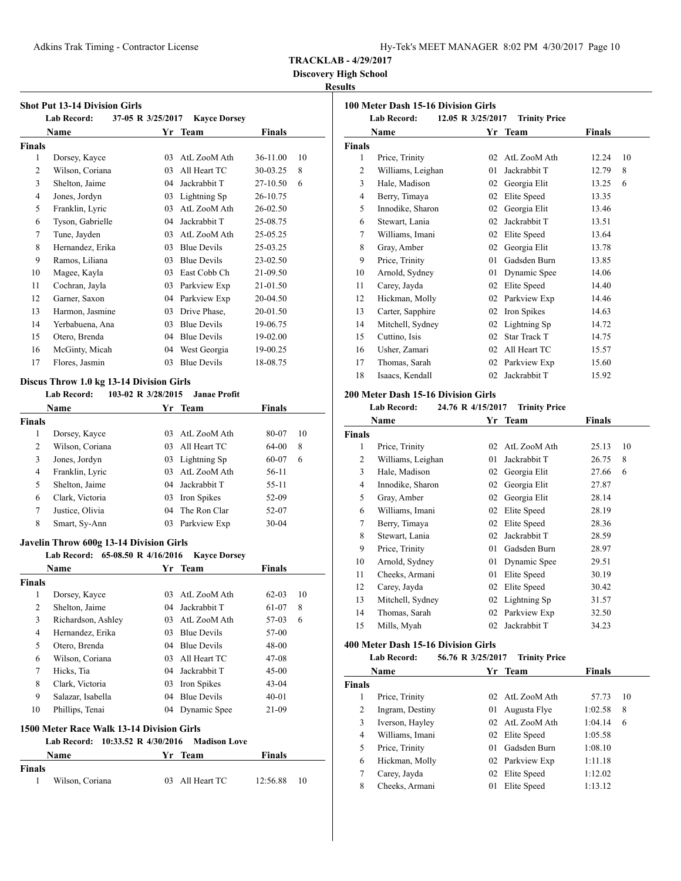**Discovery High School**

# **Results**

| <b>Shot Put 13-14 Division Girls</b> |                    |                   |                     |          |    |
|--------------------------------------|--------------------|-------------------|---------------------|----------|----|
|                                      | <b>Lab Record:</b> | 37-05 R 3/25/2017 | <b>Kayce Dorsey</b> |          |    |
|                                      | Name               |                   | Yr Team             | Finals   |    |
| <b>Finals</b>                        |                    |                   |                     |          |    |
| 1                                    | Dorsey, Kayce      | 03                | AtL ZooM Ath        | 36-11.00 | 10 |
| $\overline{2}$                       | Wilson, Coriana    | 03                | All Heart TC        | 30-03.25 | 8  |
| 3                                    | Shelton, Jaime     | 04                | Jackrabbit T        | 27-10.50 | 6  |
| $\overline{4}$                       | Jones, Jordyn      | 03                | Lightning Sp        | 26-10.75 |    |
| 5                                    | Franklin, Lyric    | 03                | AtL ZooM Ath        | 26-02.50 |    |
| 6                                    | Tyson, Gabrielle   | 04                | Jackrabbit T        | 25-08.75 |    |
| 7                                    | Tune, Jayden       | 03                | AtL ZooM Ath        | 25-05.25 |    |
| 8                                    | Hernandez, Erika   | 03                | <b>Blue Devils</b>  | 25-03.25 |    |
| 9                                    | Ramos, Liliana     | 03                | <b>Blue Devils</b>  | 23-02.50 |    |
| 10                                   | Magee, Kayla       | 03                | East Cobb Ch        | 21-09.50 |    |
| 11                                   | Cochran, Jayla     | 03                | Parkview Exp        | 21-01.50 |    |
| 12                                   | Garner, Saxon      | 04                | Parkview Exp        | 20-04.50 |    |
| 13                                   | Harmon, Jasmine    | 03                | Drive Phase,        | 20-01.50 |    |
| 14                                   | Yerbabuena, Ana    | 03                | <b>Blue Devils</b>  | 19-06.75 |    |
| 15                                   | Otero, Brenda      | 04                | <b>Blue Devils</b>  | 19-02.00 |    |
| 16                                   | McGinty, Micah     | 04                | West Georgia        | 19-00.25 |    |
| 17                                   | Flores, Jasmin     | 03                | <b>Blue Devils</b>  | 18-08.75 |    |

# **Discus Throw 1.0 kg 13-14 Division Girls**

**Lab Record: 103-02 R 3/28/2015 Janae Profit**

|        | <b>Name</b>     |     | Yr Team         | <b>Finals</b> |    |
|--------|-----------------|-----|-----------------|---------------|----|
| Finals |                 |     |                 |               |    |
| 1      | Dorsey, Kayce   | 03  | AtL ZooM Ath    | 80-07         | 10 |
| 2      | Wilson, Coriana | 03  | All Heart TC    | 64-00         | 8  |
| 3      | Jones, Jordyn   |     | 03 Lightning Sp | 60-07         | 6  |
| 4      | Franklin, Lyric | 03. | AtL ZooM Ath    | 56-11         |    |
| 5      | Shelton, Jaime  |     | 04 Jackrabbit T | 55-11         |    |
| 6      | Clark, Victoria | 03  | Iron Spikes     | 52-09         |    |
| 7      | Justice, Olivia | 04  | The Ron Clar    | 52-07         |    |
| 8      | Smart, Sy-Ann   | 03  | Parkview Exp    | $30 - 04$     |    |

#### **Javelin Throw 600g 13-14 Division Girls**

|               | o<br>Lab Record: 65-08.50 R 4/16/2016 |    | <b>Kavce Dorsey</b> |               |    |
|---------------|---------------------------------------|----|---------------------|---------------|----|
|               | Name                                  |    | Yr Team             | <b>Finals</b> |    |
| <b>Finals</b> |                                       |    |                     |               |    |
| 1             | Dorsey, Kayce                         | 03 | AtL ZooM Ath        | $62 - 03$     | 10 |
| 2             | Shelton, Jaime                        | 04 | Jackrabbit T        | 61-07         | 8  |
| 3             | Richardson, Ashley                    | 03 | AtL ZooM Ath        | 57-03         | 6  |
| 4             | Hernandez, Erika                      | 03 | <b>Blue Devils</b>  | 57-00         |    |
| 5             | Otero, Brenda                         | 04 | <b>Blue Devils</b>  | 48-00         |    |
| 6             | Wilson, Coriana                       | 03 | All Heart TC        | $47-08$       |    |
| 7             | Hicks, Tia                            | 04 | Jackrabbit T        | $45-00$       |    |
| 8             | Clark, Victoria                       | 03 | Iron Spikes         | $43 - 04$     |    |
| 9             | Salazar, Isabella                     | 04 | <b>Blue Devils</b>  | $40 - 01$     |    |
| 10            | Phillips, Tenai                       | 04 | Dynamic Spee        | 21-09         |    |

#### **1500 Meter Race Walk 13-14 Division Girls**

|               |                 | Lab Record: 10:33.52 R 4/30/2016 Madison Love |                 |               |     |
|---------------|-----------------|-----------------------------------------------|-----------------|---------------|-----|
|               | Name            |                                               | Yr Team         | <b>Finals</b> |     |
| <b>Finals</b> |                 |                                               |                 |               |     |
| 1             | Wilson, Coriana |                                               | 03 All Heart TC | 12:56.88      | -10 |

| 100 Meter Dash 15-16 Division Girls |                    |                   |                      |               |    |  |
|-------------------------------------|--------------------|-------------------|----------------------|---------------|----|--|
|                                     | <b>Lab Record:</b> | 12.05 R 3/25/2017 | <b>Trinity Price</b> |               |    |  |
|                                     | <b>Name</b>        |                   | Yr Team              | <b>Finals</b> |    |  |
| Finals                              |                    |                   |                      |               |    |  |
| 1                                   | Price, Trinity     | 02                | AtL ZooM Ath         | 12.24         | 10 |  |
| 2                                   | Williams, Leighan  | 01                | Jackrabbit T         | 12.79         | 8  |  |
| 3                                   | Hale, Madison      | 02                | Georgia Elit         | 13.25         | 6  |  |
| $\overline{4}$                      | Berry, Timaya      | 02                | Elite Speed          | 13.35         |    |  |
| 5                                   | Innodike, Sharon   | 02                | Georgia Elit         | 13.46         |    |  |
| 6                                   | Stewart, Lania     | 02                | Jackrabbit T         | 13.51         |    |  |
| 7                                   | Williams, Imani    | 02                | Elite Speed          | 13.64         |    |  |
| 8                                   | Gray, Amber        | 02                | Georgia Elit         | 13.78         |    |  |
| 9                                   | Price, Trinity     | 0 <sub>1</sub>    | Gadsden Burn         | 13.85         |    |  |
| 10                                  | Arnold, Sydney     | 01                | Dynamic Spee         | 14.06         |    |  |
| 11                                  | Carey, Jayda       | 02                | Elite Speed          | 14.40         |    |  |
| 12                                  | Hickman, Molly     | 02                | Parkview Exp         | 14.46         |    |  |
| 13                                  | Carter, Sapphire   | 02                | Iron Spikes          | 14.63         |    |  |
| 14                                  | Mitchell, Sydney   | 02                | Lightning Sp         | 14.72         |    |  |
| 15                                  | Cuttino, Isis      | 02                | Star Track T         | 14.75         |    |  |
| 16                                  | Usher, Zamari      | 02                | All Heart TC         | 15.57         |    |  |
| 17                                  | Thomas, Sarah      | 02                | Parkview Exp         | 15.60         |    |  |
| 18                                  | Isaacs, Kendall    | 02                | Jackrabbit T         | 15.92         |    |  |

#### **200 Meter Dash 15-16 Division Girls**

**Lab Record: 24.76 R 4/15/2017 Trinity Price**

|               | Name<br>Yr<br>Team |    | <b>Finals</b>   |       |    |
|---------------|--------------------|----|-----------------|-------|----|
| <b>Finals</b> |                    |    |                 |       |    |
| 1             | Price, Trinity     | 02 | AtL ZooM Ath    | 25.13 | 10 |
| 2             | Williams, Leighan  | 01 | Jackrabbit T    | 26.75 | 8  |
| 3             | Hale, Madison      | 02 | Georgia Elit    | 27.66 | 6  |
| 4             | Innodike, Sharon   | 02 | Georgia Elit    | 27.87 |    |
| 5             | Gray, Amber        | 02 | Georgia Elit    | 28.14 |    |
| 6             | Williams, Imani    | 02 | Elite Speed     | 28.19 |    |
| 7             | Berry, Timaya      | 02 | Elite Speed     | 28.36 |    |
| 8             | Stewart, Lania     | 02 | Jackrabbit T    | 28.59 |    |
| 9             | Price, Trinity     | 01 | Gadsden Burn    | 28.97 |    |
| 10            | Arnold, Sydney     | 01 | Dynamic Spee    | 29.51 |    |
| 11            | Cheeks, Armani     | 01 | Elite Speed     | 30.19 |    |
| 12            | Carey, Jayda       | 02 | Elite Speed     | 30.42 |    |
| 13            | Mitchell, Sydney   |    | 02 Lightning Sp | 31.57 |    |
| 14            | Thomas, Sarah      | 02 | Parkview Exp    | 32.50 |    |
| 15            | Mills, Myah        | 02 | Jackrabbit T    | 34.23 |    |
|               |                    |    |                 |       |    |

#### **400 Meter Dash 15-16 Division Girls**

| <b>Lab Record:</b> | 56.76 R 3/25/2017 | <b>Trinity Price</b> |
|--------------------|-------------------|----------------------|
|--------------------|-------------------|----------------------|

|               | Name            |         | Yr Team         | <b>Finals</b> |    |  |
|---------------|-----------------|---------|-----------------|---------------|----|--|
| <b>Finals</b> |                 |         |                 |               |    |  |
|               | Price, Trinity  | 02      | AtL ZooM Ath    | 57.73         | 10 |  |
| 2             | Ingram, Destiny | 01      | Augusta Flye    | 1:02.58       | 8  |  |
| 3             | Iverson, Hayley |         | 02 AtL ZooM Ath | 1:04.14       | 6  |  |
| 4             | Williams, Imani | 02      | Elite Speed     | 1:05.58       |    |  |
| 5             | Price, Trinity  | $^{01}$ | Gadsden Burn    | 1:08.10       |    |  |
| 6             | Hickman, Molly  |         | 02 Parkview Exp | 1:11.18       |    |  |
| 7             | Carey, Jayda    | 02      | Elite Speed     | 1:12.02       |    |  |
| 8             | Cheeks, Armani  | 01      | Elite Speed     | 1:13.12       |    |  |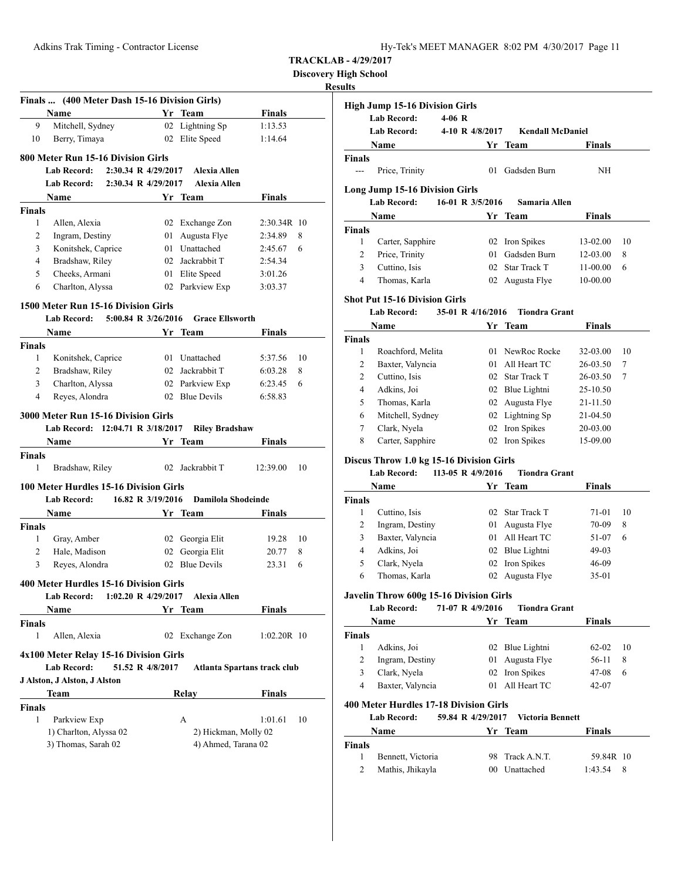| Hy-Tek's MEET MANAGER 8:02 PM 4/30/2017 Page 11 |  |  |  |
|-------------------------------------------------|--|--|--|
|-------------------------------------------------|--|--|--|

**Discovery High School**

# **Result**

|                    | Finals  (400 Meter Dash 15-16 Division Girls)                                    |      |                                    |                             |
|--------------------|----------------------------------------------------------------------------------|------|------------------------------------|-----------------------------|
|                    | Name                                                                             |      | Yr Team                            | <b>Finals</b>               |
| 9                  | Mitchell, Sydney                                                                 |      | 02 Lightning Sp                    | 1:13.53                     |
| 10                 | Berry, Timaya                                                                    |      | 02 Elite Speed                     | 1:14.64                     |
|                    | 800 Meter Run 15-16 Division Girls                                               |      |                                    |                             |
|                    | 2:30.34 R 4/29/2017<br><b>Lab Record:</b>                                        |      | <b>Alexia Allen</b>                |                             |
|                    | <b>Lab Record:</b><br>2:30.34 R 4/29/2017                                        |      | <b>Alexia Allen</b>                |                             |
|                    | Name                                                                             |      | Yr Team                            | <b>Finals</b>               |
| <b>Finals</b>      |                                                                                  |      |                                    |                             |
| 1                  | Allen, Alexia                                                                    |      | 02 Exchange Zon                    | 2:30.34R 10                 |
| 2                  | Ingram, Destiny                                                                  | 01   | Augusta Flye                       | 8<br>2:34.89                |
| 3                  | Konitshek, Caprice                                                               | 01 - | Unattached                         | 6<br>2:45.67                |
| 4                  | Bradshaw, Riley                                                                  |      | 02 Jackrabbit T                    | 2:54.34                     |
| 5                  | Cheeks, Armani                                                                   |      | 01 Elite Speed                     | 3:01.26                     |
| 6                  | Charlton, Alyssa                                                                 |      | 02 Parkview Exp                    | 3:03.37                     |
|                    |                                                                                  |      |                                    |                             |
|                    | 1500 Meter Run 15-16 Division Girls<br>5:00.84 R 3/26/2016<br><b>Lab Record:</b> |      | <b>Grace Ellsworth</b>             |                             |
|                    |                                                                                  |      |                                    |                             |
|                    | Name                                                                             | Yr   | Team                               | Finals                      |
| <b>Finals</b><br>1 | Konitshek, Caprice                                                               |      |                                    | 10                          |
|                    | Bradshaw, Riley                                                                  |      | 01 Unattached<br>02 Jackrabbit T   | 5:37.56<br>8                |
| 2<br>3             | Charlton, Alyssa                                                                 |      | 02 Parkview Exp                    | 6:03.28<br>6:23.45<br>6     |
| 4                  | Reyes, Alondra                                                                   |      | 02 Blue Devils                     | 6:58.83                     |
|                    |                                                                                  |      |                                    |                             |
|                    | 3000 Meter Run 15-16 Division Girls                                              |      |                                    |                             |
|                    | Lab Record: 12:04.71 R 3/18/2017                                                 |      | <b>Riley Bradshaw</b>              |                             |
|                    | Name                                                                             |      | Yr Team                            | <b>Finals</b>               |
| <b>Finals</b>      |                                                                                  |      |                                    |                             |
| 1                  |                                                                                  |      |                                    |                             |
|                    | Bradshaw, Riley                                                                  |      | 02 Jackrabbit T                    | 12:39.00<br>10              |
|                    | 100 Meter Hurdles 15-16 Division Girls                                           |      |                                    |                             |
|                    | 16.82 R 3/19/2016<br><b>Lab Record:</b>                                          |      | Damilola Shodeinde                 |                             |
|                    | Name                                                                             | Yr   |                                    |                             |
| <b>Finals</b>      |                                                                                  |      | <b>Team</b>                        | Finals                      |
| 1                  |                                                                                  |      |                                    | 10<br>19.28                 |
| 2                  | Gray, Amber<br>Hale, Madison                                                     |      | 02 Georgia Elit<br>02 Georgia Elit | 8<br>20.77                  |
| 3                  | Reyes, Alondra                                                                   |      | 02 Blue Devils                     | 6<br>23.31                  |
|                    |                                                                                  |      |                                    |                             |
|                    | 400 Meter Hurdles 15-16 Division Girls                                           |      |                                    |                             |
|                    | 1:02.20 R 4/29/2017<br>Lab Record:                                               |      | Alexia Allen                       |                             |
|                    | Name                                                                             |      | Yr Team                            | <b>Finals</b>               |
| <b>Finals</b>      |                                                                                  |      |                                    |                             |
| 1                  | Allen, Alexia                                                                    |      | 02 Exchange Zon                    | $1:02.20R$ 10               |
|                    | 4x100 Meter Relay 15-16 Division Girls                                           |      |                                    |                             |
|                    | <b>Lab Record:</b><br>51.52 R 4/8/2017                                           |      |                                    | Atlanta Spartans track club |
|                    | J Alston, J Alston, J Alston                                                     |      |                                    |                             |
|                    | Team                                                                             |      | Relay                              | Finals                      |
| <b>Finals</b>      |                                                                                  |      |                                    |                             |
| 1                  | Parkview Exp                                                                     |      | A                                  | 1:01.61<br>10               |
|                    | 1) Charlton, Alyssa 02                                                           |      | 2) Hickman, Molly 02               |                             |
|                    | 3) Thomas, Sarah 02                                                              |      | 4) Ahmed, Tarana 02                |                             |
|                    |                                                                                  |      |                                    |                             |

|                  | <b>High Jump 15-16 Division Girls</b>    |                   |                                    |                      |    |
|------------------|------------------------------------------|-------------------|------------------------------------|----------------------|----|
|                  | <b>Lab Record:</b>                       | $4-06$ R          |                                    |                      |    |
|                  | <b>Lab Record:</b>                       | 4-10 R 4/8/2017   | <b>Kendall McDaniel</b>            |                      |    |
|                  | Name                                     | Yr                | Team                               | <b>Finals</b>        |    |
| Finals           |                                          |                   |                                    |                      |    |
| $---$            | Price, Trinity                           | 01                | Gadsden Burn                       | ΝH                   |    |
|                  |                                          |                   |                                    |                      |    |
|                  | Long Jump 15-16 Division Girls           |                   |                                    |                      |    |
|                  | Lab Record:                              | 16-01 R 3/5/2016  | Samaria Allen                      |                      |    |
|                  | Name                                     |                   | Yr Team                            | <b>Finals</b>        |    |
| Finals           |                                          |                   |                                    |                      |    |
| 1                | Carter, Sapphire                         |                   | 02 Iron Spikes                     | 13-02.00             | 10 |
| 2                | Price, Trinity                           | 01                | Gadsden Burn                       | 12-03.00             | 8  |
| 3                | Cuttino, Isis                            |                   | 02 Star Track T                    | 11-00.00             | 6  |
| 4                | Thomas, Karla                            |                   | 02 Augusta Flye                    | $10 - 00.00$         |    |
|                  | <b>Shot Put 15-16 Division Girls</b>     |                   |                                    |                      |    |
|                  | <b>Lab Record:</b>                       | 35-01 R 4/16/2016 | <b>Tiondra Grant</b>               |                      |    |
|                  | Name                                     | Yr                | <b>Team</b>                        | Finals               |    |
| <b>Finals</b>    |                                          |                   |                                    |                      |    |
| 1                | Roachford, Melita                        |                   | 01 NewRoc Rocke                    | 32-03.00             | 10 |
| 2                | Baxter, Valyncia                         |                   | 01 All Heart TC                    | 26-03.50             | 7  |
| $\overline{c}$   | Cuttino, Isis                            |                   | 02 Star Track T                    | 26-03.50             | 7  |
| 4                | Adkins, Joi                              |                   |                                    |                      |    |
| 5                |                                          |                   | 02 Blue Lightni<br>02 Augusta Flye | 25-10.50             |    |
|                  | Thomas, Karla                            |                   |                                    | 21-11.50             |    |
| 6                | Mitchell, Sydney                         |                   | 02 Lightning Sp                    | 21-04.50             |    |
| 7                | Clark, Nyela                             |                   | 02 Iron Spikes                     | 20-03.00             |    |
| 8                | Carter, Sapphire                         |                   | 02 Iron Spikes                     | 15-09.00             |    |
|                  | Discus Throw 1.0 kg 15-16 Division Girls |                   |                                    |                      |    |
|                  | <b>Lab Record:</b>                       | 113-05 R 4/9/2016 | <b>Tiondra Grant</b>               |                      |    |
|                  | Name                                     | Yr                | <b>Team</b>                        | <b>Finals</b>        |    |
| <b>Finals</b>    |                                          |                   |                                    |                      |    |
| 1                | Cuttino, Isis                            |                   | 02 Star Track T                    | 71-01                | 10 |
| 2                | Ingram, Destiny                          | 01                | Augusta Flye                       | 70-09                | 8  |
| 3                | Baxter, Valyncia                         |                   | 01 All Heart TC                    | 51-07                | 6  |
| $\overline{4}$   | Adkins, Joi                              |                   | 02 Blue Lightni                    | 49-03                |    |
| 5                | Clark, Nyela                             |                   | 02 Iron Spikes                     | 46-09                |    |
| 6                | Thomas, Karla                            | 02                | Augusta Flye                       | 35-01                |    |
|                  |                                          |                   |                                    |                      |    |
|                  | Javelin Throw 600g 15-16 Division Girls  |                   |                                    |                      |    |
|                  | <b>Lab Record:</b>                       | 71-07 R 4/9/2016  | <b>Tiondra Grant</b>               |                      |    |
|                  | Name                                     |                   | Yr Team                            | <b>Finals</b>        |    |
| Finals           |                                          |                   |                                    |                      |    |
| 1                | Adkins, Joi                              |                   | 02 Blue Lightni                    | 62-02                | 10 |
| $\overline{c}$   | Ingram, Destiny                          | 01                | Augusta Flye                       | 56-11                | 8  |
| 3                | Clark, Nyela                             |                   | 02 Iron Spikes                     | 47-08                | 6  |
| $\overline{4}$   | Baxter, Valyncia                         |                   | 01 All Heart TC                    | 42-07                |    |
|                  | 400 Meter Hurdles 17-18 Division Girls   |                   |                                    |                      |    |
|                  | <b>Lab Record:</b>                       | 59.84 R 4/29/2017 | <b>Victoria Bennett</b>            |                      |    |
|                  | Name                                     |                   | Yr Team                            | Finals               |    |
|                  |                                          |                   |                                    |                      |    |
|                  |                                          |                   |                                    |                      |    |
|                  |                                          |                   |                                    |                      |    |
| Finals<br>1<br>2 | Bennett, Victoria<br>Mathis, Jhikayla    | 98.               | Track A.N.T.<br>00 Unattached      | 59.84R 10<br>1:43.54 | 8  |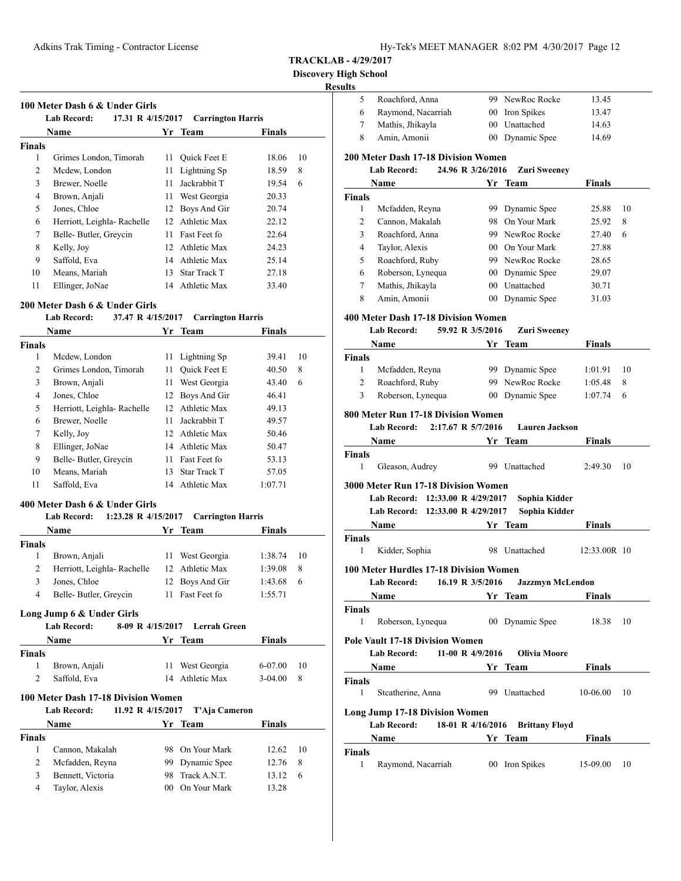**Discovery High** 

# **Resul**

|                | <b>Lab Record:</b><br>17.31 R 4/15/2017 |    | <b>Carrington Harris</b> |               |    |
|----------------|-----------------------------------------|----|--------------------------|---------------|----|
|                | <b>Name</b>                             |    | Yr Team                  | <b>Finals</b> |    |
| <b>Finals</b>  |                                         |    |                          |               |    |
| 1              | Grimes London, Timorah                  | 11 | Quick Feet E             | 18.06         | 10 |
| $\mathfrak{D}$ | Mcdew, London                           | 11 | Lightning Sp             | 18.59         | 8  |
| 3              | Brewer, Noelle                          | 11 | Jackrabbit T             | 19.54         | 6  |
| 4              | Brown, Anjali                           | 11 | West Georgia             | 20.33         |    |
| 5              | Jones, Chloe                            | 12 | Boys And Gir             | 20.74         |    |
| 6              | Herriott, Leighla- Rachelle             | 12 | Athletic Max             | 22.12         |    |
| 7              | Belle-Butler, Greycin                   | 11 | Fast Feet fo             | 22.64         |    |
| 8              | Kelly, Joy                              | 12 | Athletic Max             | 24.23         |    |
| 9              | Saffold, Eva                            | 14 | Athletic Max             | 25.14         |    |
| 10             | Means, Mariah                           | 13 | Star Track T             | 27.18         |    |
| 11             | Ellinger, JoNae                         | 14 | Athletic Max             | 33.40         |    |

#### **200 Meter Dash 6 & Under Girls**

#### **Lab Record: 37.47 R 4/15/2017 Carrington Harris**

|        | <b>Name</b>                 | Yr | <b>Team</b>         | <b>Finals</b> |    |
|--------|-----------------------------|----|---------------------|---------------|----|
| Finals |                             |    |                     |               |    |
| 1      | Mcdew, London               | 11 | Lightning Sp        | 39.41         | 10 |
| 2      | Grimes London, Timorah      | 11 | <b>Ouick Feet E</b> | 40.50         | 8  |
| 3      | Brown, Anjali               | 11 | West Georgia        | 43.40         | 6  |
| 4      | Jones, Chloe                | 12 | Boys And Gir        | 46.41         |    |
| 5      | Herriott, Leighla- Rachelle | 12 | Athletic Max        | 49.13         |    |
| 6      | Brewer, Noelle              | 11 | Jackrabbit T        | 49.57         |    |
| 7      | Kelly, Joy                  | 12 | Athletic Max        | 50.46         |    |
| 8      | Ellinger, JoNae             | 14 | Athletic Max        | 50.47         |    |
| 9      | Belle-Butler, Greycin       | 11 | Fast Feet fo        | 53.13         |    |
| 10     | Means, Mariah               | 13 | <b>Star Track T</b> | 57.05         |    |
| 11     | Saffold, Eva                | 14 | Athletic Max        | 1:07.71       |    |

# **400 Meter Dash 6 & Under Girls**

#### **Lab Record: 1:23.28 R 4/15/2017 Carrington Harris**

| Name          |                                                 |                  | Yr Team         | <b>Finals</b> |    |
|---------------|-------------------------------------------------|------------------|-----------------|---------------|----|
| <b>Finals</b> |                                                 |                  |                 |               |    |
| 1             | Brown, Anjali                                   | 11               | West Georgia    | 1:38.74       | 10 |
| 2             | Herriott, Leighla- Rachelle                     |                  | 12 Athletic Max | 1:39.08       | 8  |
| 3             | Jones, Chloe                                    |                  | 12 Boys And Gir | 1:43.68       | 6  |
| 4             | Belle-Butler, Greycin                           |                  | 11 Fast Feet fo | 1:55.71       |    |
|               | Long Jump 6 & Under Girls<br><b>Lab Record:</b> | 8-09 R 4/15/2017 | Lerrah Green    |               |    |
| <b>Name</b>   |                                                 |                  | Yr Team         | <b>Finals</b> |    |
| <b>Finals</b> |                                                 |                  |                 |               |    |

| 1             | Brown, Anjali      |                                     | 11 West Georgia | $6-07.00$     | 10 |
|---------------|--------------------|-------------------------------------|-----------------|---------------|----|
| 2             | Saffold, Eva       |                                     | 14 Athletic Max | $3-04.00$     | 8  |
|               |                    | 100 Meter Dash 17-18 Division Women |                 |               |    |
|               | <b>Lab Record:</b> | 11.92 R 4/15/2017                   | T'Aja Cameron   |               |    |
|               | Name               |                                     | Yr Team         | <b>Finals</b> |    |
| <b>Finals</b> |                    |                                     |                 |               |    |
| 1             | Cannon, Makalah    |                                     | 98 On Your Mark | 12.62         | 10 |
| 2             | Mcfadden, Reyna    |                                     | 99 Dynamic Spee | 12.76         | 8  |
| 3             | Bennett, Victoria  | 98.                                 | Track A.N.T.    | 13.12         | 6  |
| 4             | Taylor, Alexis     |                                     | 00 On Your Mark | 13.28         |    |

| Iigh School   |                                                                                                                                                                                                                               |    |                       |               |    |
|---------------|-------------------------------------------------------------------------------------------------------------------------------------------------------------------------------------------------------------------------------|----|-----------------------|---------------|----|
| ults          |                                                                                                                                                                                                                               |    |                       |               |    |
| 5             | Roachford, Anna                                                                                                                                                                                                               |    | 99 NewRoc Rocke       | 13.45         |    |
| 6             | Raymond, Nacarriah                                                                                                                                                                                                            |    | 00 Iron Spikes        | 13.47         |    |
| 7             | Mathis, Jhikayla                                                                                                                                                                                                              |    | 00 Unattached         | 14.63         |    |
| 8             | Amin, Amonii                                                                                                                                                                                                                  |    | 00 Dynamic Spee       | 14.69         |    |
|               | <b>200 Meter Dash 17-18 Division Women</b>                                                                                                                                                                                    |    |                       |               |    |
|               | 24.96 R 3/26/2016<br><b>Lab Record:</b>                                                                                                                                                                                       |    | <b>Zuri Sweeney</b>   |               |    |
|               | Name                                                                                                                                                                                                                          | Yr | Team                  | Finals        |    |
| <b>Finals</b> |                                                                                                                                                                                                                               |    |                       |               |    |
| 1             | Mcfadden, Reyna                                                                                                                                                                                                               |    | 99 Dynamic Spee       | 25.88         | 10 |
| 2             | Cannon, Makalah                                                                                                                                                                                                               |    | 98 On Your Mark       | 25.92         | 8  |
| 3             | Roachford, Anna                                                                                                                                                                                                               |    | 99 NewRoc Rocke       | 27.40         | 6  |
| 4             | Taylor, Alexis                                                                                                                                                                                                                |    | 00 On Your Mark       | 27.88         |    |
| 5             | Roachford, Ruby                                                                                                                                                                                                               |    | 99 NewRoc Rocke       | 28.65         |    |
| 6             | Roberson, Lynequa                                                                                                                                                                                                             |    | 00 Dynamic Spee       | 29.07         |    |
| 7             | Mathis, Jhikayla                                                                                                                                                                                                              |    | 00 Unattached         | 30.71         |    |
| 8             | Amin, Amonii                                                                                                                                                                                                                  |    | 00 Dynamic Spee       | 31.03         |    |
|               | 400 Meter Dash 17-18 Division Women                                                                                                                                                                                           |    |                       |               |    |
|               | 59.92 R 3/5/2016<br><b>Lab Record:</b>                                                                                                                                                                                        |    | <b>Zuri Sweeney</b>   |               |    |
|               | Name                                                                                                                                                                                                                          | Yr | <b>Team</b>           | Finals        |    |
| <b>Finals</b> |                                                                                                                                                                                                                               |    |                       |               |    |
| 1             | Mcfadden, Reyna                                                                                                                                                                                                               |    | 99 Dynamic Spee       | 1:01.91       | 10 |
| 2             | Roachford, Ruby                                                                                                                                                                                                               |    | 99 NewRoc Rocke       | 1:05.48       | 8  |
| 3             | Roberson, Lynequa                                                                                                                                                                                                             |    | 00 Dynamic Spee       | 1:07.74       | 6  |
|               | 800 Meter Run 17-18 Division Women                                                                                                                                                                                            |    |                       |               |    |
|               | Lab Record:<br>2:17.67 R 5/7/2016                                                                                                                                                                                             |    | <b>Lauren Jackson</b> |               |    |
|               |                                                                                                                                                                                                                               |    |                       |               |    |
|               |                                                                                                                                                                                                                               |    |                       |               |    |
|               | Name                                                                                                                                                                                                                          |    | Yr Team               | Finals        |    |
| Finals<br>1   |                                                                                                                                                                                                                               |    |                       |               |    |
|               | Gleason, Audrey                                                                                                                                                                                                               |    | 99 Unattached         | 2:49.30       | 10 |
|               | <b>3000 Meter Run 17-18 Division Women</b>                                                                                                                                                                                    |    |                       |               |    |
|               | Lab Record: 12:33.00 R 4/29/2017                                                                                                                                                                                              |    | Sophia Kidder         |               |    |
|               | Lab Record: 12:33.00 R 4/29/2017                                                                                                                                                                                              |    | Sophia Kidder         |               |    |
|               | Name                                                                                                                                                                                                                          |    | Yr Team               | Finals        |    |
| <b>Finals</b> |                                                                                                                                                                                                                               |    |                       |               |    |
| 1             | Kidder, Sophia                                                                                                                                                                                                                |    | 98 Unattached         | 12:33.00R 10  |    |
|               | 100 Meter Hurdles 17-18 Division Women                                                                                                                                                                                        |    |                       |               |    |
|               | Lab Record: 16.19 R 3/5/2016 Jazzmyn McLendon                                                                                                                                                                                 |    |                       |               |    |
|               | Name and the same state of the state of the state of the state of the state of the state of the state of the state of the state of the state of the state of the state of the state of the state of the state of the state of |    | Yr Team               | <b>Finals</b> |    |
| <b>Finals</b> |                                                                                                                                                                                                                               |    |                       |               |    |
| 1             | Roberson, Lynequa                                                                                                                                                                                                             |    | 00 Dynamic Spee       | 18.38         | 10 |
|               | <b>Pole Vault 17-18 Division Women</b>                                                                                                                                                                                        |    |                       |               |    |
|               | 11-00 R 4/9/2016<br><b>Lab Record:</b>                                                                                                                                                                                        |    | <b>Olivia Moore</b>   |               |    |
|               | Name                                                                                                                                                                                                                          |    |                       | <b>Finals</b> |    |
| <b>Finals</b> | <b>Example 18 Second Street Team</b>                                                                                                                                                                                          |    |                       |               |    |
| 1             | Stcatherine, Anna                                                                                                                                                                                                             |    | 99 Unattached         | 10-06.00      | 10 |
|               |                                                                                                                                                                                                                               |    |                       |               |    |
|               | <b>Long Jump 17-18 Division Women</b>                                                                                                                                                                                         |    |                       |               |    |
|               | Lab Record: 18-01 R 4/16/2016 Brittany Floyd                                                                                                                                                                                  |    |                       |               |    |
|               | Name                                                                                                                                                                                                                          |    | Yr Team               | Finals        |    |
| Finals<br>1   | Raymond, Nacarriah                                                                                                                                                                                                            |    | 00 Iron Spikes        | 15-09.00      | 10 |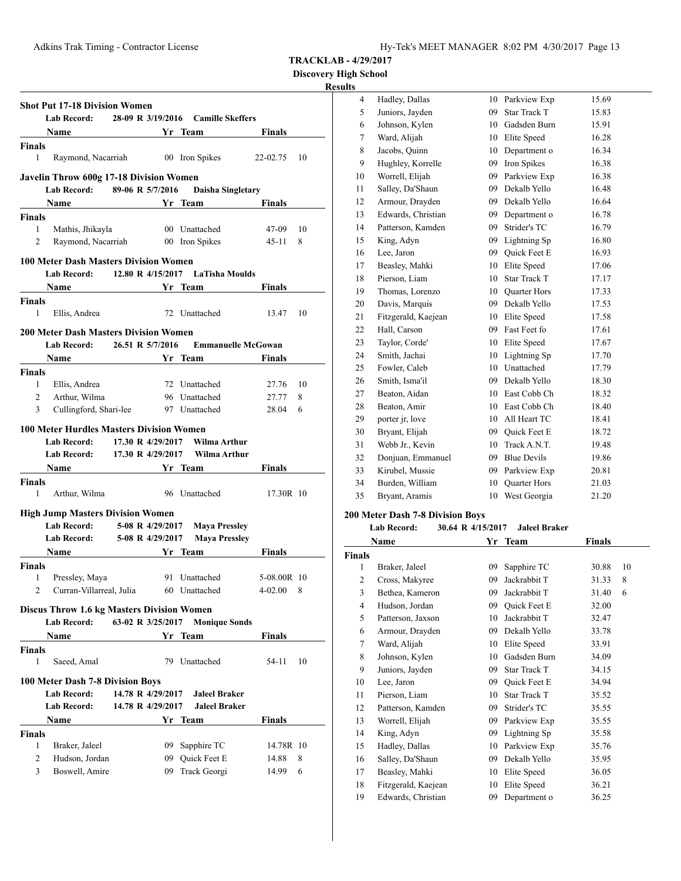**Discovery High School**

# **Results**

|                                               |                                                                                                                                                                                                                               |                   |                  | Lab Record: 28-09 R 3/19/2016 Camille Skeffers                                                                                                                                                   |                           |
|-----------------------------------------------|-------------------------------------------------------------------------------------------------------------------------------------------------------------------------------------------------------------------------------|-------------------|------------------|--------------------------------------------------------------------------------------------------------------------------------------------------------------------------------------------------|---------------------------|
|                                               | <b>Name</b><br><u>Vr Team</u>                                                                                                                                                                                                 |                   |                  |                                                                                                                                                                                                  | Finals                    |
| <b>Finals</b>                                 |                                                                                                                                                                                                                               |                   |                  |                                                                                                                                                                                                  |                           |
| 1                                             | Raymond, Nacarriah 00 Iron Spikes                                                                                                                                                                                             |                   |                  |                                                                                                                                                                                                  | 22-02.75<br>10            |
|                                               |                                                                                                                                                                                                                               |                   |                  |                                                                                                                                                                                                  |                           |
|                                               | <b>Javelin Throw 600g 17-18 Division Women</b>                                                                                                                                                                                |                   |                  |                                                                                                                                                                                                  |                           |
|                                               | Lab Record: 89-06 R 5/7/2016                                                                                                                                                                                                  |                   |                  | <b>Daisha Singletary</b>                                                                                                                                                                         |                           |
|                                               | Name                                                                                                                                                                                                                          |                   |                  | <b>Example 2 Second String Services Services String Services Services Services Services Services Services Services Services Services Services Services Service Service Service Service Servi</b> | <b>Finals</b>             |
| <b>Finals</b><br>$\mathbf{1}$                 |                                                                                                                                                                                                                               |                   |                  | 00 Unattached                                                                                                                                                                                    | 47-09<br>10               |
| 2                                             | Mathis, Jhikayla<br>Raymond, Nacarriah                                                                                                                                                                                        |                   |                  | 00 Iron Spikes                                                                                                                                                                                   | 8<br>45-11                |
|                                               |                                                                                                                                                                                                                               |                   |                  |                                                                                                                                                                                                  |                           |
|                                               | <b>100 Meter Dash Masters Division Women</b>                                                                                                                                                                                  |                   |                  |                                                                                                                                                                                                  |                           |
|                                               | Lab Record:                                                                                                                                                                                                                   |                   |                  | 12.80 R 4/15/2017 LaTisha Moulds                                                                                                                                                                 |                           |
|                                               | <b>Name</b><br><u> 1989 - Johann Barbara, martxa a</u>                                                                                                                                                                        |                   |                  | Yr Team                                                                                                                                                                                          | Finals                    |
| Finals                                        |                                                                                                                                                                                                                               |                   |                  |                                                                                                                                                                                                  |                           |
| 1                                             | Ellis, Andrea                                                                                                                                                                                                                 |                   |                  | 72 Unattached                                                                                                                                                                                    | 10<br>13.47               |
|                                               | <b>200 Meter Dash Masters Division Women</b>                                                                                                                                                                                  |                   |                  |                                                                                                                                                                                                  |                           |
|                                               | Lab Record: 26.51 R 5/7/2016                                                                                                                                                                                                  |                   |                  |                                                                                                                                                                                                  | <b>Emmanuelle McGowan</b> |
|                                               | Name Yr Team                                                                                                                                                                                                                  |                   |                  |                                                                                                                                                                                                  | <b>Finals</b>             |
| <b>Finals</b>                                 |                                                                                                                                                                                                                               |                   |                  |                                                                                                                                                                                                  |                           |
| $\mathbf{1}$                                  | Ellis, Andrea                                                                                                                                                                                                                 |                   |                  | 72 Unattached                                                                                                                                                                                    | 27.76 10                  |
| $\overline{2}$                                | Arthur, Wilma                                                                                                                                                                                                                 |                   |                  | 96 Unattached                                                                                                                                                                                    | 27.77<br>8                |
| 3                                             | Cullingford, Shari-lee                                                                                                                                                                                                        |                   |                  | 97 Unattached                                                                                                                                                                                    | 28.04<br>6                |
|                                               | Lab Record: 17.30 R 4/29/2017                                                                                                                                                                                                 |                   |                  | - Wilma Arthur<br>Yr Team                                                                                                                                                                        |                           |
|                                               | <b>Name</b>                                                                                                                                                                                                                   |                   |                  |                                                                                                                                                                                                  | <b>Finals</b>             |
|                                               |                                                                                                                                                                                                                               |                   |                  |                                                                                                                                                                                                  |                           |
| 1                                             | Arthur, Wilma                                                                                                                                                                                                                 |                   |                  | 96 Unattached                                                                                                                                                                                    | 17.30R 10                 |
|                                               | <b>High Jump Masters Division Women</b>                                                                                                                                                                                       |                   |                  |                                                                                                                                                                                                  |                           |
|                                               | <b>Lab Record:</b>                                                                                                                                                                                                            |                   | 5-08 R 4/29/2017 | <b>Maya Pressley</b>                                                                                                                                                                             |                           |
|                                               | Lab Record: 5-08 R 4/29/2017                                                                                                                                                                                                  |                   |                  | <b>Maya Pressley</b>                                                                                                                                                                             |                           |
|                                               | Name and the same state of the state of the state of the state of the state of the state of the state of the state of the state of the state of the state of the state of the state of the state of the state of the state of |                   |                  | Yr Team                                                                                                                                                                                          | <b>Finals</b>             |
|                                               |                                                                                                                                                                                                                               |                   |                  |                                                                                                                                                                                                  |                           |
| 1                                             | Pressley, Maya                                                                                                                                                                                                                |                   |                  | 91 Unattached                                                                                                                                                                                    | 5-08.00R 10               |
| 2                                             | Curran-Villarreal, Julia                                                                                                                                                                                                      |                   |                  | 60 Unattached                                                                                                                                                                                    | 4-02.00<br>8              |
|                                               | <b>Discus Throw 1.6 kg Masters Division Women</b>                                                                                                                                                                             |                   |                  |                                                                                                                                                                                                  |                           |
|                                               | <b>Lab Record:</b>                                                                                                                                                                                                            | 63-02 R 3/25/2017 |                  | <b>Monique Sonds</b>                                                                                                                                                                             |                           |
|                                               | Name                                                                                                                                                                                                                          |                   |                  | Yr Team                                                                                                                                                                                          | Finals                    |
|                                               |                                                                                                                                                                                                                               |                   |                  |                                                                                                                                                                                                  |                           |
| <b>Finals</b><br>Finals<br><b>Finals</b><br>1 | Saeed, Amal                                                                                                                                                                                                                   |                   |                  | 79 Unattached                                                                                                                                                                                    | 10<br>54-11               |
|                                               |                                                                                                                                                                                                                               |                   |                  |                                                                                                                                                                                                  |                           |
|                                               | 100 Meter Dash 7-8 Division Boys                                                                                                                                                                                              |                   |                  |                                                                                                                                                                                                  |                           |
|                                               | <b>Lab Record:</b>                                                                                                                                                                                                            | 14.78 R 4/29/2017 |                  | <b>Jaleel Braker</b>                                                                                                                                                                             |                           |
|                                               | <b>Lab Record:</b>                                                                                                                                                                                                            | 14.78 R 4/29/2017 |                  | <b>Jaleel Braker</b>                                                                                                                                                                             |                           |
|                                               | Name                                                                                                                                                                                                                          |                   |                  | Yr Team                                                                                                                                                                                          | Finals                    |
| <b>Finals</b><br>1                            |                                                                                                                                                                                                                               |                   |                  |                                                                                                                                                                                                  |                           |
| 2                                             | Braker, Jaleel<br>Hudson, Jordan                                                                                                                                                                                              |                   |                  | 09 Sapphire TC<br>09 Quick Feet E                                                                                                                                                                | 14.78R 10<br>8<br>14.88   |

| <u>s</u> |                     |    |                     |       |
|----------|---------------------|----|---------------------|-------|
| 4        | Hadley, Dallas      | 10 | Parkview Exp        | 15.69 |
| 5        | Juniors, Jayden     | 09 | <b>Star Track T</b> | 15.83 |
| 6        | Johnson, Kylen      | 10 | Gadsden Burn        | 15.91 |
| 7        | Ward, Alijah        | 10 | Elite Speed         | 16.28 |
| 8        | Jacobs, Quinn       | 10 | Department o        | 16.34 |
| 9        | Hughley, Korrelle   | 09 | Iron Spikes         | 16.38 |
| 10       | Worrell, Elijah     | 09 | Parkview Exp        | 16.38 |
| 11       | Salley, Da'Shaun    | 09 | Dekalb Yello        | 16.48 |
| 12       | Armour, Drayden     | 09 | Dekalb Yello        | 16.64 |
| 13       | Edwards, Christian  | 09 | Department o        | 16.78 |
| 14       | Patterson, Kamden   | 09 | Strider's TC        | 16.79 |
| 15       | King, Adyn          | 09 | Lightning Sp        | 16.80 |
| 16       | Lee, Jaron          | 09 | <b>Ouick Feet E</b> | 16.93 |
| 17       | Beasley, Mahki      | 10 | Elite Speed         | 17.06 |
| 18       | Pierson, Liam       | 10 | <b>Star Track T</b> | 17.17 |
| 19       | Thomas, Lorenzo     | 10 | <b>Ouarter Hors</b> | 17.33 |
| 20       | Davis, Marquis      | 09 | Dekalb Yello        | 17.53 |
| 21       | Fitzgerald, Kaejean | 10 | Elite Speed         | 17.58 |
| 22       | Hall, Carson        | 09 | Fast Feet fo        | 17.61 |
| 23       | Taylor, Corde'      |    | 10 Elite Speed      | 17.67 |
| 24       | Smith, Jachai       | 10 | Lightning Sp        | 17.70 |
| 25       | Fowler, Caleb       | 10 | Unattached          | 17.79 |
| 26       | Smith, Isma'il      | 09 | Dekalb Yello        | 18.30 |
| 27       | Beaton, Aidan       |    | 10 East Cobb Ch     | 18.32 |
| 28       | Beaton, Amir        | 10 | East Cobb Ch        | 18.40 |
| 29       | porter jr, love     | 10 | All Heart TC        | 18.41 |
| 30       | Bryant, Elijah      | 09 | Quick Feet E        | 18.72 |
| 31       | Webb Jr., Kevin     | 10 | Track A.N.T.        | 19.48 |
| 32       | Donjuan, Emmanuel   | 09 | <b>Blue Devils</b>  | 19.86 |
| 33       | Kirubel, Mussie     | 09 | Parkview Exp        | 20.81 |
| 34       | Burden, William     | 10 | <b>Quarter Hors</b> | 21.03 |
| 35       | Bryant, Aramis      | 10 | West Georgia        | 21.20 |
|          |                     |    |                     |       |

# **200 Meter Dash 7-8 Division Boys**

# **Lab Record: 30.64 R 4/15/2017 Jaleel Braker**

|                | Name                | Yr | <b>Team</b>         | <b>Finals</b> |    |
|----------------|---------------------|----|---------------------|---------------|----|
| <b>Finals</b>  |                     |    |                     |               |    |
| 1              | Braker, Jaleel      | 09 | Sapphire TC         | 30.88         | 10 |
| $\overline{2}$ | Cross, Makyree      | 09 | Jackrabbit T        | 31.33         | 8  |
| 3              | Bethea, Kameron     | 09 | Jackrabbit T        | 31.40         | 6  |
| $\overline{4}$ | Hudson, Jordan      | 09 | Quick Feet E        | 32.00         |    |
| 5              | Patterson, Jaxson   | 10 | Jackrabbit T        | 32.47         |    |
| 6              | Armour, Drayden     | 09 | Dekalb Yello        | 33.78         |    |
| 7              | Ward, Alijah        | 10 | Elite Speed         | 33.91         |    |
| 8              | Johnson, Kylen      | 10 | Gadsden Burn        | 34.09         |    |
| 9              | Juniors, Jayden     | 09 | <b>Star Track T</b> | 34.15         |    |
| 10             | Lee, Jaron          | 09 | Quick Feet E        | 34.94         |    |
| 11             | Pierson, Liam       | 10 | Star Track T        | 35.52         |    |
| 12             | Patterson, Kamden   | 09 | Strider's TC        | 35.55         |    |
| 13             | Worrell, Elijah     | 09 | Parkview Exp        | 35.55         |    |
| 14             | King, Adyn          | 09 | Lightning Sp        | 35.58         |    |
| 15             | Hadley, Dallas      | 10 | Parkview Exp        | 35.76         |    |
| 16             | Salley, Da'Shaun    | 09 | Dekalb Yello        | 35.95         |    |
| 17             | Beasley, Mahki      | 10 | Elite Speed         | 36.05         |    |
| 18             | Fitzgerald, Kaejean | 10 | Elite Speed         | 36.21         |    |
| 19             | Edwards, Christian  | 09 | Department o        | 36.25         |    |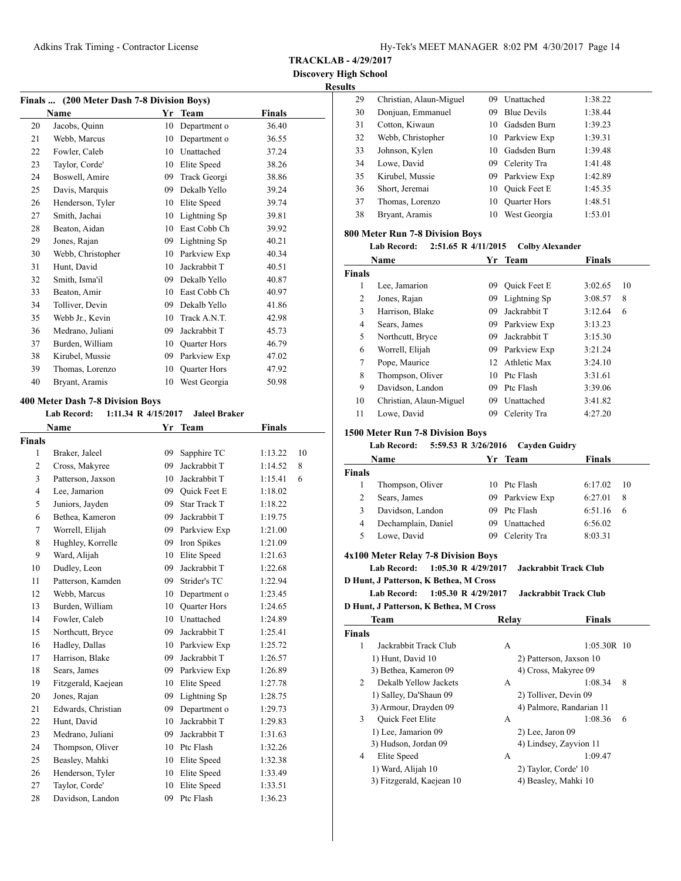**TRACKLAB - 4/29/2017**

**Discovery High School Results**

|    | Finals  (200 Meter Dash 7-8 Division Boys)<br>Name | Yr | <b>Team</b>  | <b>Finals</b> |
|----|----------------------------------------------------|----|--------------|---------------|
| 20 | Jacobs, Quinn                                      | 10 | Department o | 36.40         |
| 21 | Webb, Marcus                                       | 10 | Department o | 36.55         |
| 22 | Fowler, Caleb                                      | 10 | Unattached   | 37.24         |
| 23 | Taylor, Corde'                                     | 10 | Elite Speed  | 38.26         |
| 24 | Boswell, Amire                                     | 09 | Track Georgi | 38.86         |
| 25 | Davis, Marquis                                     | 09 | Dekalb Yello | 39.24         |
| 26 | Henderson, Tyler                                   | 10 | Elite Speed  | 39.74         |
| 27 | Smith, Jachai                                      | 10 | Lightning Sp | 39.81         |
| 28 | Beaton, Aidan                                      | 10 | East Cobb Ch | 39.92         |
| 29 | Jones, Rajan                                       | 09 | Lightning Sp | 40.21         |
| 30 | Webb, Christopher                                  | 10 | Parkview Exp | 40.34         |
| 31 | Hunt, David                                        | 10 | Jackrabbit T | 40.51         |
| 32 | Smith, Isma'il                                     | 09 | Dekalb Yello | 40.87         |
| 33 | Beaton, Amir                                       | 10 | East Cobb Ch | 40.97         |
| 34 | Tolliver, Devin                                    | 09 | Dekalb Yello | 41.86         |
| 35 | Webb Jr., Kevin                                    | 10 | Track A.N.T. | 42.98         |
| 36 | Medrano, Juliani                                   | 09 | Jackrabbit T | 45.73         |
| 37 | Burden, William                                    | 10 | Quarter Hors | 46.79         |
| 38 | Kirubel, Mussie                                    | 09 | Parkview Exp | 47.02         |
| 39 | Thomas, Lorenzo                                    | 10 | Quarter Hors | 47.92         |
| 40 | Bryant, Aramis                                     | 10 | West Georgia | 50.98         |

|             | Lab Record: 1:11.34 R 4/15/2017 Jaleel Braker |        |
|-------------|-----------------------------------------------|--------|
| <b>Name</b> | Yr Team                                       | Finals |

|                |                     | . . |                     |         |    |
|----------------|---------------------|-----|---------------------|---------|----|
| <b>Finals</b>  |                     |     |                     |         |    |
| 1              | Braker, Jaleel      | 09  | Sapphire TC         | 1:13.22 | 10 |
| 2              | Cross, Makyree      | 09  | Jackrabbit T        | 1:14.52 | 8  |
| 3              | Patterson, Jaxson   | 10  | Jackrabbit T        | 1:15.41 | 6  |
| $\overline{4}$ | Lee, Jamarion       | 09  | Quick Feet E        | 1:18.02 |    |
| 5              | Juniors, Jayden     | 09  | <b>Star Track T</b> | 1:18.22 |    |
| 6              | Bethea, Kameron     | 09  | Jackrabbit T        | 1:19.75 |    |
| 7              | Worrell, Elijah     |     | 09 Parkview Exp     | 1:21.00 |    |
| 8              | Hughley, Korrelle   | 09  | Iron Spikes         | 1:21.09 |    |
| 9              | Ward, Alijah        | 10  | Elite Speed         | 1:21.63 |    |
| 10             | Dudley, Leon        | 09  | Jackrabbit T        | 1:22.68 |    |
| 11             | Patterson, Kamden   | 09  | Strider's TC        | 1:22.94 |    |
| 12             | Webb, Marcus        | 10  | Department o        | 1:23.45 |    |
| 13             | Burden, William     | 10  | <b>Quarter Hors</b> | 1:24.65 |    |
| 14             | Fowler, Caleb       | 10  | Unattached          | 1:24.89 |    |
| 15             | Northcutt, Bryce    | 09  | Jackrabbit T        | 1:25.41 |    |
| 16             | Hadley, Dallas      | 10  | Parkview Exp        | 1:25.72 |    |
| 17             | Harrison, Blake     | 09  | Jackrabbit T        | 1:26.57 |    |
| 18             | Sears, James        | 09  | Parkview Exp        | 1:26.89 |    |
| 19             | Fitzgerald, Kaejean | 10  | Elite Speed         | 1:27.78 |    |
| 20             | Jones, Rajan        | 09  | Lightning Sp        | 1:28.75 |    |
| 21             | Edwards, Christian  | 09  | Department o        | 1:29.73 |    |
| 22             | Hunt, David         | 10  | Jackrabbit T        | 1:29.83 |    |
| 23             | Medrano, Juliani    | 09  | Jackrabbit T        | 1:31.63 |    |
| 24             | Thompson, Oliver    |     | 10 Ptc Flash        | 1:32.26 |    |
| 25             | Beasley, Mahki      | 10  | Elite Speed         | 1:32.38 |    |
| 26             | Henderson, Tyler    | 10  | Elite Speed         | 1:33.49 |    |
| 27             | Taylor, Corde'      | 10  | Elite Speed         | 1:33.51 |    |
| 28             | Davidson, Landon    | 09  | Ptc Flash           | 1:36.23 |    |
|                |                     |     |                     |         |    |

| 29 | Christian, Alaun-Miguel | 09  | Unattached          | 1:38.22 |
|----|-------------------------|-----|---------------------|---------|
| 30 | Donjuan, Emmanuel       | 09  | <b>Blue Devils</b>  | 1:38.44 |
| 31 | Cotton, Kiwaun          | 10. | Gadsden Burn        | 1:39.23 |
| 32 | Webb, Christopher       |     | 10 Parkview Exp     | 1:39.31 |
| 33 | Johnson, Kylen          | 10. | Gadsden Burn        | 1:39.48 |
| 34 | Lowe, David             | 09  | Celerity Tra        | 1:41.48 |
| 35 | Kirubel, Mussie         | 09  | Parkview Exp        | 1:42.89 |
| 36 | Short, Jeremai          | 10  | Quick Feet E        | 1:45.35 |
| 37 | Thomas, Lorenzo         | 10  | <b>Quarter Hors</b> | 1:48.51 |
| 38 | Bryant, Aramis          | 10  | West Georgia        | 1:53.01 |
|    |                         |     |                     |         |

# **800 Meter Run 7-8 Division Boys**

```
Lab Record: 2:51.65 R 4/11/2015 Colby Alexander
```

| Name          |                         | Yr | <b>Team</b>         | <b>Finals</b> |    |
|---------------|-------------------------|----|---------------------|---------------|----|
| <b>Finals</b> |                         |    |                     |               |    |
| 1             | Lee, Jamarion           | 09 | <b>Ouick Feet E</b> | 3:02.65       | 10 |
| 2             | Jones, Rajan            | 09 | Lightning Sp        | 3:08.57       | 8  |
| 3             | Harrison, Blake         | 09 | Jackrabbit T        | 3:12.64       | 6  |
| 4             | Sears, James            | 09 | Parkview Exp        | 3:13.23       |    |
| 5             | Northcutt, Bryce        | 09 | Jackrabbit T        | 3:15.30       |    |
| 6             | Worrell, Elijah         | 09 | Parkview Exp        | 3:21.24       |    |
| 7             | Pope, Maurice           |    | 12 Athletic Max     | 3:24.10       |    |
| 8             | Thompson, Oliver        | 10 | Ptc Flash           | 3:31.61       |    |
| 9             | Davidson, Landon        | 09 | Ptc Flash           | 3:39.06       |    |
| 10            | Christian, Alaun-Miguel | 09 | Unattached          | 3:41.82       |    |
| 11            | Lowe, David             | 09 | Celerity Tra        | 4:27.20       |    |

# **1500 Meter Run 7-8 Division Boys**

# **Lab Record: 5:59.53 R 3/26/2016 Cayden Guidry**

| Name           |                                                     |    | Yr Team                      | Finals      |    |
|----------------|-----------------------------------------------------|----|------------------------------|-------------|----|
| <b>Finals</b>  |                                                     |    |                              |             |    |
| 1              | Thompson, Oliver                                    | 10 | Ptc Flash                    | 6:17.02     | 10 |
| $\overline{2}$ | Sears, James                                        | 09 | Parkview Exp                 | 6:27.01     | 8  |
| 3              | Davidson, Landon                                    | 09 | Ptc Flash                    | 6:51.16     | 6  |
| $\overline{4}$ | Dechamplain, Daniel                                 | 09 | Unattached                   | 6:56.02     |    |
| 5              | Lowe, David                                         | 09 | Celerity Tra                 | 8:03.31     |    |
|                | 4x100 Meter Relay 7-8 Division Boys                 |    |                              |             |    |
|                | <b>Lab Record:</b><br>1:05.30 R 4/29/2017           |    | <b>Jackrabbit Track Club</b> |             |    |
|                | D Hunt, J Patterson, K Bethea, M Cross              |    |                              |             |    |
|                | $1:05.30 \text{ R}$ 4/29/2017<br><b>Lab Record:</b> |    | Jackrabbit Track Club        |             |    |
|                | D Hunt, J Patterson, K Bethea, M Cross              |    |                              |             |    |
|                | Team                                                |    | Relay                        | Finals      |    |
| <b>Finals</b>  |                                                     |    |                              |             |    |
| 1              | Jackrabbit Track Club                               |    | A                            | 1:05.30R 10 |    |
|                | 1) Hunt, David 10                                   |    | 2) Patterson, Jaxson 10      |             |    |
|                | 3) Bethea, Kameron 09                               |    | 4) Cross, Makyree 09         |             |    |
| $\overline{2}$ | Dekalb Yellow Jackets                               |    | A                            | 1:08.34     | 8  |
|                | 1) Salley, Da'Shaun 09                              |    | 2) Tolliver, Devin 09        |             |    |
|                | 3) Armour, Drayden 09                               |    | 4) Palmore, Randarian 11     |             |    |
| 3              | Quick Feet Elite                                    |    | A                            | 1:08.36     | 6  |
|                | 1) Lee, Jamarion 09                                 |    | $2)$ Lee, Jaron 09           |             |    |
|                | 3) Hudson, Jordan 09                                |    | 4) Lindsey, Zayvion 11       |             |    |
| 4              | Elite Speed                                         |    | A                            | 1:09.47     |    |
|                | 1) Ward, Alijah 10                                  |    | 2) Taylor, Corde' 10         |             |    |
|                | 3) Fitzgerald, Kaejean 10                           |    | 4) Beasley, Mahki 10         |             |    |
|                |                                                     |    |                              |             |    |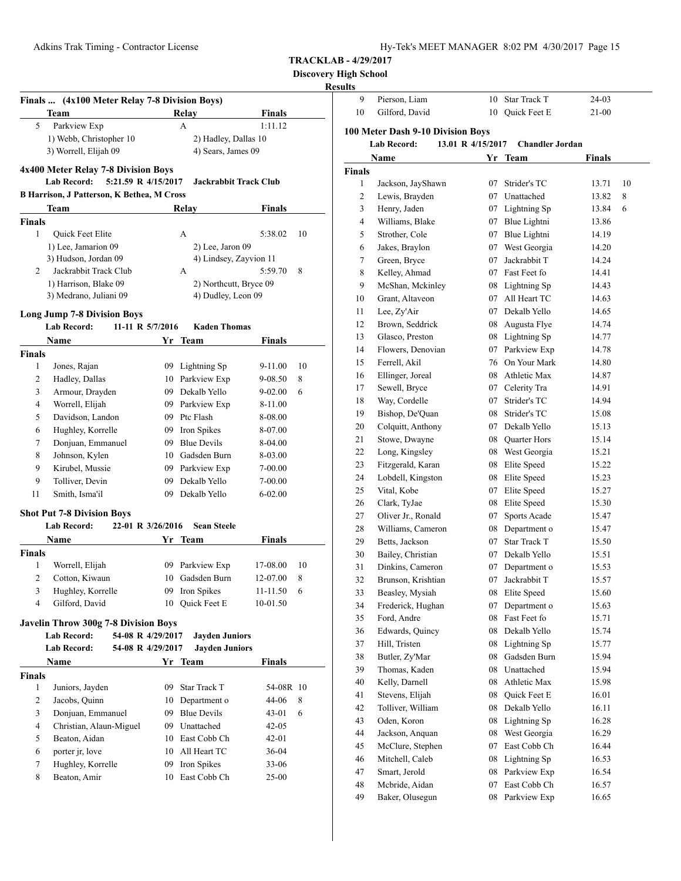**Discovery High School**

|                     | <b>Team</b>                                                                  |          | Relay                        | <b>Finals</b>        |         |
|---------------------|------------------------------------------------------------------------------|----------|------------------------------|----------------------|---------|
| 5                   | Parkview Exp                                                                 |          | A                            | 1:11.12              |         |
|                     | 1) Webb, Christopher 10                                                      |          | 2) Hadley, Dallas 10         |                      |         |
|                     | 3) Worrell, Elijah 09                                                        |          | 4) Sears, James 09           |                      |         |
|                     | 4x400 Meter Relay 7-8 Division Boys                                          |          |                              |                      |         |
|                     | <b>Lab Record:</b><br>5:21.59 R 4/15/2017                                    |          | <b>Jackrabbit Track Club</b> |                      |         |
|                     | <b>B Harrison, J Patterson, K Bethea, M Cross</b><br><b>Team</b>             |          |                              |                      |         |
|                     |                                                                              |          | Relay                        | <b>Finals</b>        |         |
| <b>Finals</b><br>1  | Quick Feet Elite                                                             |          | А                            | 5:38.02              | 10      |
|                     | 1) Lee, Jamarion 09                                                          |          | 2) Lee, Jaron 09             |                      |         |
|                     | 3) Hudson, Jordan 09                                                         |          | 4) Lindsey, Zayvion 11       |                      |         |
| $\overline{2}$      | Jackrabbit Track Club                                                        |          | А                            | 5:59.70              | 8       |
|                     | 1) Harrison, Blake 09                                                        |          | 2) Northcutt, Bryce 09       |                      |         |
|                     | 3) Medrano, Juliani 09                                                       |          | 4) Dudley, Leon 09           |                      |         |
|                     |                                                                              |          |                              |                      |         |
|                     | <b>Long Jump 7-8 Division Boys</b><br><b>Lab Record:</b><br>11-11 R 5/7/2016 |          | <b>Kaden Thomas</b>          |                      |         |
|                     | <b>Name</b>                                                                  | Yr       | Team                         | <b>Finals</b>        |         |
| <b>Finals</b>       |                                                                              |          |                              |                      |         |
| 1                   | Jones, Rajan                                                                 |          | 09 Lightning Sp              | 9-11.00              | 10      |
| 2                   | Hadley, Dallas                                                               |          | 10 Parkview Exp              | 9-08.50              | 8       |
| 3                   | Armour, Drayden                                                              |          | 09 Dekalb Yello              | $9 - 02.00$          | 6       |
| 4                   | Worrell, Elijah                                                              |          | 09 Parkview Exp              | 8-11.00              |         |
| 5                   | Davidson, Landon                                                             |          | 09 Ptc Flash                 | 8-08.00              |         |
| 6                   | Hughley, Korrelle                                                            | 09 -     | Iron Spikes                  | 8-07.00              |         |
| 7                   | Donjuan, Emmanuel                                                            | 09       | <b>Blue Devils</b>           | 8-04.00              |         |
| 8                   | Johnson, Kylen                                                               |          | 10 Gadsden Burn              | 8-03.00              |         |
| 9                   | Kirubel, Mussie                                                              |          | 09 Parkview Exp              | 7-00.00              |         |
| 9                   | Tolliver, Devin                                                              |          | 09 Dekalb Yello              | 7-00.00              |         |
| 11                  | Smith, Isma'il                                                               |          | 09 Dekalb Yello              | $6 - 02.00$          |         |
|                     |                                                                              |          |                              |                      |         |
|                     | <b>Shot Put 7-8 Division Boys</b><br><b>Lab Record:</b><br>22-01 R 3/26/2016 |          | <b>Sean Steele</b>           |                      |         |
|                     | Name                                                                         |          | Yr Team                      | <b>Finals</b>        |         |
|                     |                                                                              |          |                              |                      |         |
|                     |                                                                              |          |                              |                      |         |
|                     |                                                                              |          |                              |                      |         |
| <b>Finals</b><br>1  | Worrell, Elijah                                                              | 09       | Parkview Exp                 | 17-08.00             |         |
| 2                   | Cotton, Kiwaun                                                               |          | 10 Gadsden Burn              | 12-07.00             | 8       |
| 3<br>$\overline{4}$ | Hughley, Korrelle                                                            | 09       | Iron Spikes                  | 11-11.50<br>10-01.50 | 10<br>6 |
|                     | Gilford, David                                                               | 10       | <b>Ouick Feet E</b>          |                      |         |
|                     | Javelin Throw 300g 7-8 Division Boys                                         |          |                              |                      |         |
|                     | <b>Lab Record:</b><br>54-08 R 4/29/2017                                      |          | <b>Jayden Juniors</b>        |                      |         |
|                     | <b>Lab Record:</b><br>54-08 R 4/29/2017                                      |          | <b>Jayden Juniors</b>        |                      |         |
|                     | Name                                                                         |          | Yr Team                      | Finals               |         |
| 1                   |                                                                              |          | <b>Star Track T</b>          |                      |         |
|                     | Juniors, Jayden                                                              | 09       |                              | 54-08R 10            |         |
| Finals<br>2         | Jacobs, Quinn                                                                | 10       | Department o                 | 44-06                | 8       |
| 3                   | Donjuan, Emmanuel                                                            |          | 09 Blue Devils               | 43-01                | 6       |
| 4                   | Christian, Alaun-Miguel                                                      |          | 09 Unattached                | 42-05                |         |
| 5                   | Beaton, Aidan                                                                |          | 10 East Cobb Ch              | 42-01                |         |
| 6<br>7              | porter jr, love<br>Hughley, Korrelle                                         | 10<br>09 | All Heart TC<br>Iron Spikes  | 36-04<br>33-06       |         |

| uns           |                                                         |                   |                        |               |    |
|---------------|---------------------------------------------------------|-------------------|------------------------|---------------|----|
| 9             | Pierson, Liam                                           | 10                | Star Track T           | 24-03         |    |
| 10            | Gilford, David                                          |                   | 10 Quick Feet E        | 21-00         |    |
|               |                                                         |                   |                        |               |    |
|               | 100 Meter Dash 9-10 Division Boys<br><b>Lab Record:</b> | 13.01 R 4/15/2017 | <b>Chandler Jordan</b> |               |    |
|               |                                                         |                   |                        |               |    |
|               | Name                                                    |                   | Yr Team                | <b>Finals</b> |    |
| <b>Finals</b> |                                                         |                   |                        |               |    |
| 1             | Jackson, JayShawn                                       | 07                | Strider's TC           | 13.71         | 10 |
| 2             | Lewis, Brayden                                          |                   | 07 Unattached          | 13.82         | 8  |
| 3             | Henry, Jaden                                            |                   | 07 Lightning Sp        | 13.84         | 6  |
| 4             | Williams, Blake                                         |                   | 07 Blue Lightni        | 13.86         |    |
| 5             | Strother, Cole                                          |                   | 07 Blue Lightni        | 14.19         |    |
| 6             | Jakes, Braylon                                          |                   | 07 West Georgia        | 14.20         |    |
| 7             | Green, Bryce                                            | 07                | Jackrabbit T           | 14.24         |    |
| 8             | Kelley, Ahmad                                           |                   | 07 Fast Feet fo        | 14.41         |    |
| 9             | McShan, Mckinley                                        |                   | 08 Lightning Sp        | 14.43         |    |
| 10            | Grant, Altaveon                                         |                   | 07 All Heart TC        | 14.63         |    |
| 11            | Lee, Zy'Air                                             |                   | 07 Dekalb Yello        | 14.65         |    |
| 12            | Brown, Seddrick                                         | 08                | Augusta Flye           | 14.74         |    |
| 13            | Glasco, Preston                                         |                   | 08 Lightning Sp        | 14.77         |    |
| 14            | Flowers, Denovian                                       | 07                | Parkview Exp           | 14.78         |    |
| 15            | Ferrell, Akil                                           |                   | 76 On Your Mark        | 14.80         |    |
| 16            | Ellinger, Joreal                                        |                   | 08 Athletic Max        | 14.87         |    |
| 17            | Sewell, Bryce                                           |                   | 07 Celerity Tra        | 14.91         |    |
| 18            | Way, Cordelle                                           |                   | 07 Strider's TC        | 14.94         |    |
| 19            | Bishop, De'Quan                                         |                   | 08 Strider's TC        | 15.08         |    |
| 20            | Colquitt, Anthony                                       |                   | 07 Dekalb Yello        | 15.13         |    |
| 21            | Stowe, Dwayne                                           |                   | 08 Quarter Hors        | 15.14         |    |
| 22            | Long, Kingsley                                          |                   | 08 West Georgia        | 15.21         |    |
| 23            | Fitzgerald, Karan                                       | 08                | Elite Speed            | 15.22         |    |
| 24            | Lobdell, Kingston                                       | 08                | Elite Speed            | 15.23         |    |
| 25            | Vital, Kobe                                             | 07                | Elite Speed            | 15.27         |    |
| 26            | Clark, TyJae                                            |                   | 08 Elite Speed         | 15.30         |    |
| 27            | Oliver Jr., Ronald                                      | 07                | Sports Acade           | 15.47         |    |
| 28            | Williams, Cameron                                       | 08                | Department o           | 15.47         |    |
| 29            | Betts, Jackson                                          | 07                | <b>Star Track T</b>    | 15.50         |    |
| 30            | Bailey, Christian                                       |                   | 07 Dekalb Yello        | 15.51         |    |
| 31            | Dinkins, Cameron                                        | 07                | Department o           | 15.53         |    |
| 32            | Brunson, Krishtian                                      | 07                | Jackrabbit T           | 15.57         |    |
| 33            | Beasley, Mysiah                                         | 08                | Elite Speed            | 15.60         |    |
| 34            | Frederick, Hughan                                       | 07                | Department o           | 15.63         |    |
| 35            | Ford, Andre                                             | 08                | Fast Feet fo           | 15.71         |    |
| 36            | Edwards, Quincy                                         | 08                | Dekalb Yello           | 15.74         |    |
| 37            | Hill, Tristen                                           | 08                | Lightning Sp           | 15.77         |    |
| 38            | Butler, Zy'Mar                                          | 08                | Gadsden Burn           | 15.94         |    |
| 39            | Thomas, Kaden                                           | 08                | Unattached             | 15.94         |    |
| 40            | Kelly, Darnell                                          | 08                | Athletic Max           | 15.98         |    |
| 41            | Stevens, Elijah                                         | 08                | Quick Feet E           | 16.01         |    |
| 42            | Tolliver, William                                       | 08                | Dekalb Yello           | 16.11         |    |
| 43            | Oden, Koron                                             | 08                | Lightning Sp           | 16.28         |    |
| 44            | Jackson, Anquan                                         | 08                | West Georgia           | 16.29         |    |
| 45            | McClure, Stephen                                        | 07                | East Cobb Ch           | 16.44         |    |
| 46            | Mitchell, Caleb                                         | 08                | Lightning Sp           | 16.53         |    |
| 47            | Smart, Jerold                                           | 08                | Parkview Exp           | 16.54         |    |
| 48            | Mcbride, Aidan                                          | 07                | East Cobb Ch           | 16.57         |    |
| 49            | Baker, Olusegun                                         | 08                | Parkview Exp           | 16.65         |    |
|               |                                                         |                   |                        |               |    |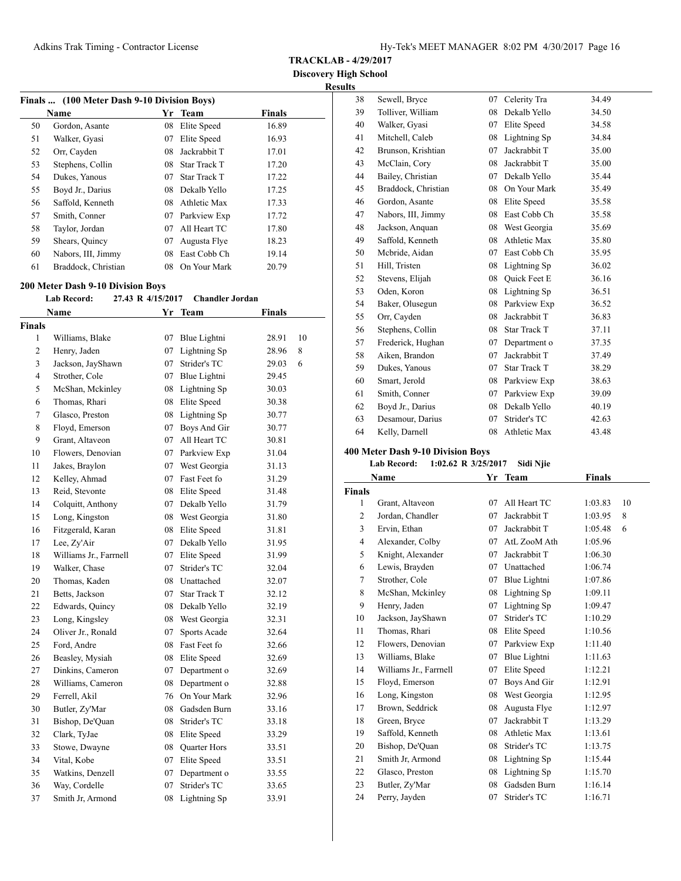**TRACKLAB - 4/29/2017**

**Discovery High School Results**

| Finals  (100 Meter Dash 9-10 Division Boys) |                     |    |                     |               |  |  |
|---------------------------------------------|---------------------|----|---------------------|---------------|--|--|
|                                             | <b>Name</b>         | Yr | Team                | <b>Finals</b> |  |  |
| 50                                          | Gordon, Asante      | 08 | Elite Speed         | 16.89         |  |  |
| 51                                          | Walker, Gyasi       | 07 | Elite Speed         | 16.93         |  |  |
| 52                                          | Orr, Cayden         | 08 | Jackrabbit T        | 17.01         |  |  |
| 53                                          | Stephens, Collin    | 08 | <b>Star Track T</b> | 17.20         |  |  |
| 54                                          | Dukes, Yanous       | 07 | <b>Star Track T</b> | 17.22         |  |  |
| 55                                          | Boyd Jr., Darius    | 08 | Dekalb Yello        | 17.25         |  |  |
| 56                                          | Saffold, Kenneth    | 08 | Athletic Max        | 17.33         |  |  |
| 57                                          | Smith, Conner       | 07 | Parkview Exp        | 17.72         |  |  |
| 58                                          | Taylor, Jordan      | 07 | All Heart TC        | 17.80         |  |  |
| 59                                          | Shears, Quincy      | 07 | Augusta Flye        | 18.23         |  |  |
| 60                                          | Nabors, III, Jimmy  | 08 | East Cobb Ch        | 19.14         |  |  |
| 61                                          | Braddock, Christian | 08 | On Your Mark        | 20.79         |  |  |

#### **200 Meter Dash 9-10 Division Boys**

#### **Lab Record: 27.43 R 4/15/2017 Chandler Jordan**

| Name                   | Yr                                                   | <b>Team</b>         |                                                                                                                                                                                                                 |               |
|------------------------|------------------------------------------------------|---------------------|-----------------------------------------------------------------------------------------------------------------------------------------------------------------------------------------------------------------|---------------|
|                        |                                                      |                     |                                                                                                                                                                                                                 |               |
| Williams, Blake        | 07                                                   | Blue Lightni        | 28.91                                                                                                                                                                                                           | 10            |
| Henry, Jaden           | 07                                                   | Lightning Sp        | 28.96                                                                                                                                                                                                           | 8             |
| Jackson, JayShawn      |                                                      | Strider's TC        | 29.03                                                                                                                                                                                                           | 6             |
| Strother, Cole         |                                                      | Blue Lightni        | 29.45                                                                                                                                                                                                           |               |
| McShan, Mckinley       |                                                      | Lightning Sp        | 30.03                                                                                                                                                                                                           |               |
| Thomas, Rhari          |                                                      | Elite Speed         | 30.38                                                                                                                                                                                                           |               |
| Glasco, Preston        |                                                      |                     | 30.77                                                                                                                                                                                                           |               |
| Floyd, Emerson         |                                                      | Boys And Gir        | 30.77                                                                                                                                                                                                           |               |
| Grant, Altaveon        |                                                      | All Heart TC        | 30.81                                                                                                                                                                                                           |               |
| Flowers, Denovian      |                                                      |                     | 31.04                                                                                                                                                                                                           |               |
| Jakes, Braylon         |                                                      | West Georgia        | 31.13                                                                                                                                                                                                           |               |
| Kelley, Ahmad          | 07                                                   | Fast Feet fo        | 31.29                                                                                                                                                                                                           |               |
| Reid, Stevonte         | 08                                                   | Elite Speed         | 31.48                                                                                                                                                                                                           |               |
| Colquitt, Anthony      |                                                      | Dekalb Yello        | 31.79                                                                                                                                                                                                           |               |
| Long, Kingston         |                                                      | West Georgia        | 31.80                                                                                                                                                                                                           |               |
| Fitzgerald, Karan      | 08                                                   | Elite Speed         | 31.81                                                                                                                                                                                                           |               |
| Lee, Zy'Air            | 07                                                   | Dekalb Yello        | 31.95                                                                                                                                                                                                           |               |
| Williams Jr., Farrnell |                                                      | Elite Speed         | 31.99                                                                                                                                                                                                           |               |
| Walker, Chase          | 07                                                   | Strider's TC        | 32.04                                                                                                                                                                                                           |               |
| Thomas, Kaden          |                                                      |                     | 32.07                                                                                                                                                                                                           |               |
| Betts, Jackson         |                                                      | <b>Star Track T</b> | 32.12                                                                                                                                                                                                           |               |
| Edwards, Quincy        |                                                      |                     | 32.19                                                                                                                                                                                                           |               |
| Long, Kingsley         | 08                                                   | West Georgia        | 32.31                                                                                                                                                                                                           |               |
| Oliver Jr., Ronald     | 07                                                   | Sports Acade        | 32.64                                                                                                                                                                                                           |               |
| Ford, Andre            | 08                                                   | Fast Feet fo        | 32.66                                                                                                                                                                                                           |               |
| Beasley, Mysiah        | 08                                                   | Elite Speed         | 32.69                                                                                                                                                                                                           |               |
| Dinkins, Cameron       | 07                                                   | Department o        | 32.69                                                                                                                                                                                                           |               |
|                        | 08                                                   | Department o        | 32.88                                                                                                                                                                                                           |               |
| Ferrell, Akil          |                                                      | On Your Mark        | 32.96                                                                                                                                                                                                           |               |
| Butler, Zy'Mar         | 08                                                   | Gadsden Burn        | 33.16                                                                                                                                                                                                           |               |
|                        |                                                      |                     | 33.18                                                                                                                                                                                                           |               |
|                        |                                                      |                     | 33.29                                                                                                                                                                                                           |               |
| Stowe, Dwayne          |                                                      |                     | 33.51                                                                                                                                                                                                           |               |
| Vital, Kobe            |                                                      | Elite Speed         | 33.51                                                                                                                                                                                                           |               |
| Watkins, Denzell       | 07                                                   | Department o        | 33.55                                                                                                                                                                                                           |               |
| Way, Cordelle          | 07                                                   | Strider's TC        | 33.65                                                                                                                                                                                                           |               |
| Smith Jr, Armond       | 08                                                   | Lightning Sp        | 33.91                                                                                                                                                                                                           |               |
|                        | Williams, Cameron<br>Bishop, De'Quan<br>Clark, TyJae |                     | 07<br>07<br>08<br>08<br>08 Lightning Sp<br>07<br>07<br>07 Parkview Exp<br>07<br>07<br>08<br>07<br>08 Unattached<br>07<br>08 Dekalb Yello<br>76<br>08<br>Strider's TC<br>08 Elite Speed<br>08 Quarter Hors<br>07 | <b>Finals</b> |

| 38 | Sewell, Bryce       | 07 | Celerity Tra        | 34.49 |
|----|---------------------|----|---------------------|-------|
| 39 | Tolliver, William   | 08 | Dekalb Yello        | 34.50 |
| 40 | Walker, Gyasi       | 07 | Elite Speed         | 34.58 |
| 41 | Mitchell, Caleb     | 08 | Lightning Sp        | 34.84 |
| 42 | Brunson, Krishtian  | 07 | Jackrabbit T        | 35.00 |
| 43 | McClain, Cory       | 08 | Jackrabbit T        | 35.00 |
| 44 | Bailey, Christian   | 07 | Dekalb Yello        | 35.44 |
| 45 | Braddock, Christian | 08 | On Your Mark        | 35.49 |
| 46 | Gordon, Asante      | 08 | Elite Speed         | 35.58 |
| 47 | Nabors, III, Jimmy  | 08 | East Cobb Ch        | 35.58 |
| 48 | Jackson, Anquan     |    | 08 West Georgia     | 35.69 |
| 49 | Saffold, Kenneth    | 08 | Athletic Max        | 35.80 |
| 50 | Mcbride, Aidan      | 07 | East Cobb Ch        | 35.95 |
| 51 | Hill, Tristen       | 08 | Lightning Sp        | 36.02 |
| 52 | Stevens, Elijah     | 08 | <b>Ouick Feet E</b> | 36.16 |
| 53 | Oden, Koron         | 08 | Lightning Sp        | 36.51 |
| 54 | Baker, Olusegun     | 08 | Parkview Exp        | 36.52 |
| 55 | Orr, Cayden         | 08 | Jackrabbit T        | 36.83 |
| 56 | Stephens, Collin    | 08 | <b>Star Track T</b> | 37.11 |
| 57 | Frederick, Hughan   | 07 | Department o        | 37.35 |
| 58 | Aiken, Brandon      | 07 | Jackrabbit T        | 37.49 |
| 59 | Dukes, Yanous       | 07 | <b>Star Track T</b> | 38.29 |
| 60 | Smart, Jerold       | 08 | Parkview Exp        | 38.63 |
| 61 | Smith, Conner       | 07 | Parkview Exp        | 39.09 |
| 62 | Boyd Jr., Darius    | 08 | Dekalb Yello        | 40.19 |
| 63 | Desamour, Darius    | 07 | Strider's TC        | 42.63 |
| 64 | Kelly, Darnell      | 08 | Athletic Max        | 43.48 |

# **400 Meter Dash 9-10 Division Boys**

# **Lab Record: 1:02.62 R 3/25/2017 Sidi Njie**

| Name           |                        | Yr | <b>Team</b>  | <b>Finals</b> |    |
|----------------|------------------------|----|--------------|---------------|----|
| <b>Finals</b>  |                        |    |              |               |    |
| 1              | Grant, Altaveon        | 07 | All Heart TC | 1:03.83       | 10 |
| 2              | Jordan, Chandler       | 07 | Jackrabbit T | 1:03.95       | 8  |
| 3              | Ervin, Ethan           | 07 | Jackrabbit T | 1:05.48       | 6  |
| $\overline{4}$ | Alexander, Colby       | 07 | AtL ZooM Ath | 1:05.96       |    |
| 5              | Knight, Alexander      | 07 | Jackrabbit T | 1:06.30       |    |
| 6              | Lewis, Brayden         | 07 | Unattached   | 1:06.74       |    |
| 7              | Strother, Cole         | 07 | Blue Lightni | 1:07.86       |    |
| 8              | McShan, Mckinley       | 08 | Lightning Sp | 1:09.11       |    |
| 9              | Henry, Jaden           | 07 | Lightning Sp | 1:09.47       |    |
| 10             | Jackson, JayShawn      | 07 | Strider's TC | 1:10.29       |    |
| 11             | Thomas, Rhari          | 08 | Elite Speed  | 1:10.56       |    |
| 12             | Flowers, Denovian      | 07 | Parkview Exp | 1:11.40       |    |
| 13             | Williams, Blake        | 07 | Blue Lightni | 1:11.63       |    |
| 14             | Williams Jr., Farrnell | 07 | Elite Speed  | 1:12.21       |    |
| 15             | Floyd, Emerson         | 07 | Boys And Gir | 1:12.91       |    |
| 16             | Long, Kingston         | 08 | West Georgia | 1:12.95       |    |
| 17             | Brown, Seddrick        | 08 | Augusta Flye | 1:12.97       |    |
| 18             | Green, Bryce           | 07 | Jackrabbit T | 1:13.29       |    |
| 19             | Saffold, Kenneth       | 08 | Athletic Max | 1:13.61       |    |
| 20             | Bishop, De'Quan        | 08 | Strider's TC | 1:13.75       |    |
| 21             | Smith Jr, Armond       | 08 | Lightning Sp | 1:15.44       |    |
| 22             | Glasco, Preston        | 08 | Lightning Sp | 1:15.70       |    |
| 23             | Butler, Zy'Mar         | 08 | Gadsden Burn | 1:16.14       |    |
| 24             | Perry, Jayden          | 07 | Strider's TC | 1:16.71       |    |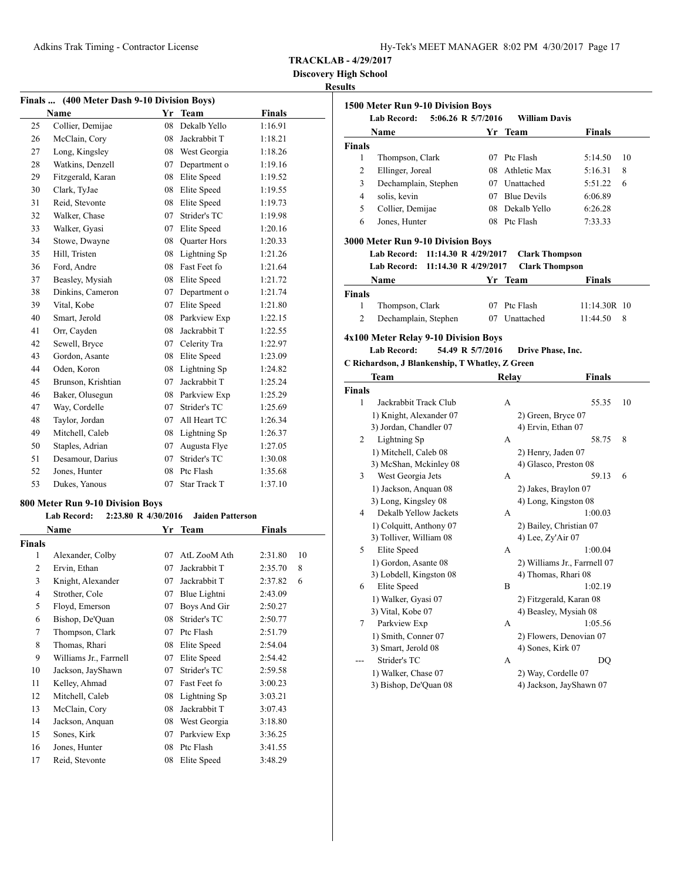**Discovery High School**

# **Results**

| Finals  (400 Meter Dash 9-10 Division Boys) |                    |    |                     |               |  |  |
|---------------------------------------------|--------------------|----|---------------------|---------------|--|--|
|                                             | Name               | Yr | <b>Team</b>         | <b>Finals</b> |  |  |
| 25                                          | Collier, Demijae   | 08 | Dekalb Yello        | 1:16.91       |  |  |
| 26                                          | McClain, Cory      | 08 | Jackrabbit T        | 1:18.21       |  |  |
| 27                                          | Long, Kingsley     | 08 | West Georgia        | 1:18.26       |  |  |
| 28                                          | Watkins, Denzell   | 07 | Department o        | 1:19.16       |  |  |
| 29                                          | Fitzgerald, Karan  | 08 | Elite Speed         | 1:19.52       |  |  |
| 30                                          | Clark, TyJae       | 08 | Elite Speed         | 1:19.55       |  |  |
| 31                                          | Reid, Stevonte     | 08 | Elite Speed         | 1:19.73       |  |  |
| 32                                          | Walker, Chase      | 07 | Strider's TC        | 1:19.98       |  |  |
| 33                                          | Walker, Gyasi      | 07 | Elite Speed         | 1:20.16       |  |  |
| 34                                          | Stowe, Dwayne      | 08 | Quarter Hors        | 1:20.33       |  |  |
| 35                                          | Hill, Tristen      | 08 | Lightning Sp        | 1:21.26       |  |  |
| 36                                          | Ford, Andre        | 08 | Fast Feet fo        | 1:21.64       |  |  |
| 37                                          | Beasley, Mysiah    | 08 | Elite Speed         | 1:21.72       |  |  |
| 38                                          | Dinkins, Cameron   | 07 | Department o        | 1:21.74       |  |  |
| 39                                          | Vital, Kobe        | 07 | Elite Speed         | 1:21.80       |  |  |
| 40                                          | Smart, Jerold      | 08 | Parkview Exp        | 1:22.15       |  |  |
| 41                                          | Orr, Cayden        | 08 | Jackrabbit T        | 1:22.55       |  |  |
| 42                                          | Sewell, Bryce      | 07 | Celerity Tra        | 1:22.97       |  |  |
| 43                                          | Gordon, Asante     | 08 | Elite Speed         | 1:23.09       |  |  |
| 44                                          | Oden, Koron        | 08 | Lightning Sp        | 1:24.82       |  |  |
| 45                                          | Brunson, Krishtian | 07 | Jackrabbit T        | 1:25.24       |  |  |
| 46                                          | Baker, Olusegun    | 08 | Parkview Exp        | 1:25.29       |  |  |
| 47                                          | Way, Cordelle      | 07 | Strider's TC        | 1:25.69       |  |  |
| 48                                          | Taylor, Jordan     | 07 | All Heart TC        | 1:26.34       |  |  |
| 49                                          | Mitchell, Caleb    | 08 | Lightning Sp        | 1:26.37       |  |  |
| 50                                          | Staples, Adrian    | 07 | Augusta Flye        | 1:27.05       |  |  |
| 51                                          | Desamour, Darius   | 07 | Strider's TC        | 1:30.08       |  |  |
| 52                                          | Jones, Hunter      | 08 | Ptc Flash           | 1:35.68       |  |  |
| 53                                          | Dukes, Yanous      | 07 | <b>Star Track T</b> | 1:37.10       |  |  |
|                                             |                    |    |                     |               |  |  |

# **800 Meter Run 9-10 Division Boys**

# **Lab Record: 2:23.80 R 4/30/2016 Jaiden Patterson**

|                        | Yr   | <b>Team</b>  | Finals  |    |
|------------------------|------|--------------|---------|----|
|                        |      |              |         |    |
| Alexander, Colby       | 07   | AtL ZooM Ath | 2:31.80 | 10 |
| Ervin, Ethan           | 07   | Jackrabbit T | 2:35.70 | 8  |
| Knight, Alexander      | 07   | Jackrabbit T | 2:37.82 | 6  |
| Strother, Cole         | 07   | Blue Lightni | 2:43.09 |    |
| Floyd, Emerson         | 07   | Boys And Gir | 2:50.27 |    |
| Bishop, De'Quan        | 08   | Strider's TC | 2:50.77 |    |
| Thompson, Clark        | 07   | Ptc Flash    | 2:51.79 |    |
| Thomas, Rhari          | 08   | Elite Speed  | 2:54.04 |    |
| Williams Jr., Farrnell | 07   | Elite Speed  | 2:54.42 |    |
| Jackson, JayShawn      | 07   | Strider's TC | 2:59.58 |    |
| Kelley, Ahmad          | 07   | Fast Feet fo | 3:00.23 |    |
| Mitchell, Caleb        | 08   | Lightning Sp | 3:03.21 |    |
| McClain, Cory          | 08   | Jackrabbit T | 3:07.43 |    |
| Jackson, Anquan        | 08   | West Georgia | 3:18.80 |    |
| Sones, Kirk            | 07   | Parkview Exp | 3:36.25 |    |
| Jones, Hunter          | 08   | Ptc Flash    | 3:41.55 |    |
| Reid, Stevonte         | 08   | Elite Speed  | 3:48.29 |    |
|                        | Name |              |         |    |

|        | Name                                             |                      | Yr Team |       |                              | <b>Finals</b> |    |
|--------|--------------------------------------------------|----------------------|---------|-------|------------------------------|---------------|----|
| Finals |                                                  |                      |         |       |                              |               |    |
| 1      | Thompson, Clark                                  |                      | 07      |       | Ptc Flash                    | 5:14.50       | 10 |
| 2      | Ellinger, Joreal                                 |                      | 08      |       | Athletic Max                 | 5:16.31       | 8  |
| 3      | Dechamplain, Stephen                             |                      |         |       | 07 Unattached                | 5:51.22       | 6  |
| 4      | solis, kevin                                     |                      |         |       | 07 Blue Devils               | 6:06.89       |    |
| 5      | Collier, Demijae                                 |                      | 08      |       | Dekalb Yello                 | 6:26.28       |    |
| 6      | Jones, Hunter                                    |                      | 08      |       | Ptc Flash                    | 7:33.33       |    |
|        |                                                  |                      |         |       |                              |               |    |
|        | 3000 Meter Run 9-10 Division Boys<br>Lab Record: | 11:14.30 R 4/29/2017 |         |       | <b>Clark Thompson</b>        |               |    |
|        | <b>Lab Record:</b>                               | 11:14.30 R 4/29/2017 |         |       | <b>Clark Thompson</b>        |               |    |
|        |                                                  |                      |         |       |                              |               |    |
|        | Name                                             |                      | Yr Team |       |                              | Finals        |    |
| Finals |                                                  |                      |         |       |                              |               |    |
| 1      | Thompson, Clark                                  |                      | 07      |       | Ptc Flash                    | 11:14.30R 10  |    |
| 2      | Dechamplain, Stephen                             |                      |         |       | 07 Unattached                | 11:44.50      | 8  |
|        | 4x100 Meter Relay 9-10 Division Boys             |                      |         |       |                              |               |    |
|        | <b>Lab Record:</b>                               | 54.49 R 5/7/2016     |         |       | Drive Phase, Inc.            |               |    |
|        | C Richardson, J Blankenship, T Whatley, Z Green  |                      |         |       |                              |               |    |
|        | Team                                             |                      |         | Relay |                              | Finals        |    |
| Finals |                                                  |                      |         |       |                              |               |    |
| 1      | Jackrabbit Track Club                            |                      |         | А     |                              | 55.35         | 10 |
|        | 1) Knight, Alexander 07                          |                      |         |       | 2) Green, Bryce 07           |               |    |
|        | 3) Jordan, Chandler 07                           |                      |         |       | 4) Ervin, Ethan 07           |               |    |
| 2      | Lightning Sp                                     |                      |         | A     |                              | 58.75         | 8  |
|        | 1) Mitchell, Caleb 08                            |                      |         |       | 2) Henry, Jaden 07           |               |    |
|        | 3) McShan, Mckinley 08                           |                      |         |       | 4) Glasco, Preston 08        |               |    |
| 3      | West Georgia Jets                                |                      |         | A     |                              | 59.13         | 6  |
|        | 1) Jackson, Anquan 08                            |                      |         |       | 2) Jakes, Braylon 07         |               |    |
|        |                                                  |                      |         |       | 4) Long, Kingston 08         |               |    |
|        | 3) Long, Kingsley 08                             |                      |         |       |                              | 1:00.03       |    |
| 4      | Dekalb Yellow Jackets                            |                      |         | A     |                              |               |    |
|        |                                                  |                      |         |       |                              |               |    |
|        | 1) Colquitt, Anthony 07                          |                      |         |       | 2) Bailey, Christian 07      |               |    |
| 5      | 3) Tolliver, William 08<br>Elite Speed           |                      |         | А     | 4) Lee, Zy'Air 07            | 1:00.04       |    |
|        |                                                  |                      |         |       |                              |               |    |
|        | 1) Gordon, Asante 08                             |                      |         |       | 2) Williams Jr., Farrnell 07 |               |    |
| 6      | 3) Lobdell, Kingston 08                          |                      |         | B     | 4) Thomas, Rhari 08          | 1:02.19       |    |
|        | Elite Speed                                      |                      |         |       |                              |               |    |
|        | 1) Walker, Gyasi 07                              |                      |         |       | 2) Fitzgerald, Karan 08      |               |    |
|        | 3) Vital, Kobe 07                                |                      |         |       | 4) Beasley, Mysiah 08        |               |    |
| 7      | Parkview Exp                                     |                      |         | А     |                              | 1:05.56       |    |
|        | 1) Smith, Conner 07                              |                      |         |       | 2) Flowers, Denovian 07      |               |    |
|        | 3) Smart, Jerold 08                              |                      |         |       | 4) Sones, Kirk 07            |               |    |
|        | Strider's TC<br>1) Walker, Chase 07              |                      |         | А     | 2) Way, Cordelle 07          | DQ            |    |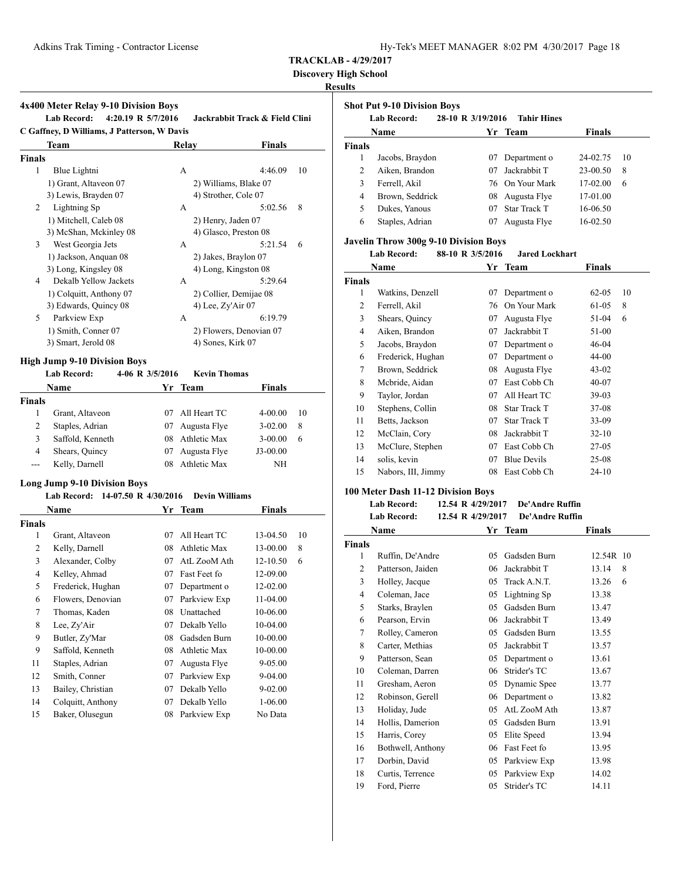| Hy-Tek's MEET MANAGER 8:02 PM 4/30/2017 Page 18 |  |  |  |
|-------------------------------------------------|--|--|--|
|-------------------------------------------------|--|--|--|

**Discovery High School**

# **Results**

# **4x400 Meter Relay 9-10 Division Boys**

**Lab Record: 4:20.19 R 5/7/2016 Jackrabbit Track & Field Clini C Gaffney, D Williams, J Patterson, W Davis**

| <b>Team</b>             | Relay                | <b>Finals</b>           |
|-------------------------|----------------------|-------------------------|
| <b>Finals</b>           |                      |                         |
| Blue Lightni            | А                    | 4:46.09<br>10           |
| 1) Grant, Altaveon 07   |                      | 2) Williams, Blake 07   |
| 3) Lewis, Brayden 07    | 4) Strother, Cole 07 |                         |
| Lightning Sp            | A                    | 8<br>5:02.56            |
| 1) Mitchell, Caleb 08   | 2) Henry, Jaden 07   |                         |
| 3) McShan, Mckinley 08  |                      | 4) Glasco, Preston 08   |
| West Georgia Jets       | А                    | 5:21.54<br>6            |
| 1) Jackson, Anguan 08   | 2) Jakes, Braylon 07 |                         |
| 3) Long, Kingsley 08    |                      | 4) Long, Kingston 08    |
| Dekalb Yellow Jackets   | A                    | 5:29.64                 |
| 1) Colquitt, Anthony 07 |                      | 2) Collier, Demijae 08  |
| 3) Edwards, Quincy 08   | 4) Lee, $Zy'Air$ 07  |                         |
| Parkview Exp            | А                    | 6:19.79                 |
| 1) Smith, Conner 07     |                      | 2) Flowers, Denovian 07 |
| 3) Smart, Jerold 08     | 4) Sones, Kirk 07    |                         |
|                         |                      |                         |

# **High Jump 9-10 Division Boys**

|               | <b>Lab Record:</b> | 4-06 R 3/5/2016 | <b>Kevin Thomas</b> |               |    |
|---------------|--------------------|-----------------|---------------------|---------------|----|
|               | <b>Name</b>        |                 | Yr Team             | <b>Finals</b> |    |
| <b>Finals</b> |                    |                 |                     |               |    |
|               | Grant, Altaveon    | 07              | All Heart TC        | $4 - 00.00$   | 10 |
| 2             | Staples, Adrian    | 07              | Augusta Flye        | $3 - 02.00$   | 8  |
| 3             | Saffold, Kenneth   |                 | 08 Athletic Max     | $3 - 00.00$   | 6  |
| 4             | Shears, Quincy     | 07              | Augusta Flye        | $J3-00.00$    |    |
| $---$         | Kelly, Darnell     | 08              | Athletic Max        | NΗ            |    |

# **Long Jump 9-10 Division Boys**

# **Lab Record: 14-07.50 R 4/30/2016 Devin Williams**

|               | Name              | Yr | Team                | <b>Finals</b> |    |
|---------------|-------------------|----|---------------------|---------------|----|
| <b>Finals</b> |                   |    |                     |               |    |
| 1             | Grant, Altaveon   | 07 | All Heart TC        | 13-04.50      | 10 |
| 2             | Kelly, Darnell    | 08 | Athletic Max        | 13-00.00      | 8  |
| 3             | Alexander, Colby  | 07 | AtL ZooM Ath        | 12-10.50      | 6  |
| 4             | Kelley, Ahmad     | 07 | Fast Feet fo        | 12-09.00      |    |
| 5             | Frederick, Hughan | 07 | Department o        | 12-02.00      |    |
| 6             | Flowers, Denovian | 07 | Parkview Exp        | 11-04.00      |    |
| 7             | Thomas, Kaden     | 08 | Unattached          | 10-06.00      |    |
| 8             | Lee, Zy'Air       | 07 | Dekalb Yello        | 10-04.00      |    |
| 9             | Butler, Zy'Mar    | 08 | Gadsden Burn        | 10-00.00      |    |
| 9             | Saffold, Kenneth  | 08 | <b>Athletic Max</b> | 10-00.00      |    |
| 11            | Staples, Adrian   | 07 | Augusta Flye        | 9-05.00       |    |
| 12            | Smith, Conner     | 07 | Parkview Exp        | 9-04.00       |    |
| 13            | Bailey, Christian | 07 | Dekalb Yello        | 9-02.00       |    |
| 14            | Colquitt, Anthony | 07 | Dekalb Yello        | $1 - 06.00$   |    |
| 15            | Baker, Olusegun   | 08 | Parkview Exp        | No Data       |    |

|               | <b>Shot Put 9-10 Division Boys</b> |                   |                     |               |    |  |  |
|---------------|------------------------------------|-------------------|---------------------|---------------|----|--|--|
|               | <b>Lab Record:</b>                 | 28-10 R 3/19/2016 | <b>Tahir Hines</b>  |               |    |  |  |
|               | Name                               |                   | Yr Team             | <b>Finals</b> |    |  |  |
| <b>Finals</b> |                                    |                   |                     |               |    |  |  |
| 1             | Jacobs, Braydon                    | 07                | Department o        | 24-02.75      | 10 |  |  |
| 2             | Aiken, Brandon                     | 07                | Jackrabbit T        | $23-00.50$    | 8  |  |  |
| 3             | Ferrell, Akil                      |                   | 76 On Your Mark     | 17-02.00      | 6  |  |  |
| 4             | Brown, Seddrick                    | 08                | Augusta Flye        | 17-01.00      |    |  |  |
| 5             | Dukes, Yanous                      | 07                | <b>Star Track T</b> | 16-06.50      |    |  |  |
| 6             | Staples, Adrian                    | 07                | Augusta Flye        | 16-02.50      |    |  |  |

# **Javelin Throw 300g 9-10 Division Boys**

#### **Lab Record: 88-10 R 3/5/2016 Jared Lockhart**

|               | Name               | Yr | Team               | Finals    |    |
|---------------|--------------------|----|--------------------|-----------|----|
| <b>Finals</b> |                    |    |                    |           |    |
| 1             | Watkins, Denzell   | 07 | Department o       | $62 - 05$ | 10 |
| 2             | Ferrell, Akil      | 76 | On Your Mark       | 61-05     | 8  |
| 3             | Shears, Quincy     | 07 | Augusta Flye       | 51-04     | 6  |
| 4             | Aiken, Brandon     | 07 | Jackrabbit T       | 51-00     |    |
| 5             | Jacobs, Braydon    | 07 | Department o       | 46-04     |    |
| 6             | Frederick, Hughan  | 07 | Department o       | 44-00     |    |
| 7             | Brown, Seddrick    | 08 | Augusta Flye       | $43 - 02$ |    |
| 8             | Mcbride, Aidan     | 07 | East Cobb Ch       | $40 - 07$ |    |
| 9             | Taylor, Jordan     | 07 | All Heart TC       | $39-03$   |    |
| 10            | Stephens, Collin   | 08 | Star Track T       | $37-08$   |    |
| 11            | Betts, Jackson     | 07 | Star Track T       | $33-09$   |    |
| 12            | McClain, Cory      | 08 | Jackrabbit T       | $32 - 10$ |    |
| 13            | McClure, Stephen   | 07 | East Cobb Ch       | $27-05$   |    |
| 14            | solis, kevin       | 07 | <b>Blue Devils</b> | $25-08$   |    |
| 15            | Nabors, III, Jimmy | 08 | East Cobb Ch       | $24-10$   |    |

# **100 Meter Dash 11-12 Division Boys**

#### **Lab Record: 12.54 R 4/29/2017 De'Andre Ruffin Lab Record: 12.54 R 4/29/2017 De'Andre Ruffin**

|        | Name              |    | Yr Team      | <b>Finals</b> |
|--------|-------------------|----|--------------|---------------|
| Finals |                   |    |              |               |
| 1      | Ruffin, De'Andre  | 05 | Gadsden Burn | 12.54R 10     |
| 2      | Patterson, Jaiden | 06 | Jackrabbit T | 13.14<br>8    |
| 3      | Holley, Jacque    | 05 | Track A.N.T. | 13.26<br>6    |
| 4      | Coleman, Jace     | 05 | Lightning Sp | 13.38         |
| 5      | Starks, Braylen   | 05 | Gadsden Burn | 13.47         |
| 6      | Pearson, Ervin    | 06 | Jackrabbit T | 13.49         |
| 7      | Rolley, Cameron   | 05 | Gadsden Burn | 13.55         |
| 8      | Carter, Methias   | 05 | Jackrabbit T | 13.57         |
| 9      | Patterson, Sean   | 05 | Department o | 13.61         |
| 10     | Coleman, Darren   | 06 | Strider's TC | 13.67         |
| 11     | Gresham, Aeron    | 05 | Dynamic Spee | 13.77         |
| 12     | Robinson, Gerell  | 06 | Department o | 13.82         |
| 13     | Holiday, Jude     | 05 | AtL ZooM Ath | 13.87         |
| 14     | Hollis, Damerion  | 05 | Gadsden Burn | 13.91         |
| 15     | Harris, Corey     | 05 | Elite Speed  | 13.94         |
| 16     | Bothwell, Anthony | 06 | Fast Feet fo | 13.95         |
| 17     | Dorbin, David     | 05 | Parkview Exp | 13.98         |
| 18     | Curtis, Terrence  | 05 | Parkview Exp | 14.02         |
| 19     | Ford, Pierre      | 05 | Strider's TC | 14.11         |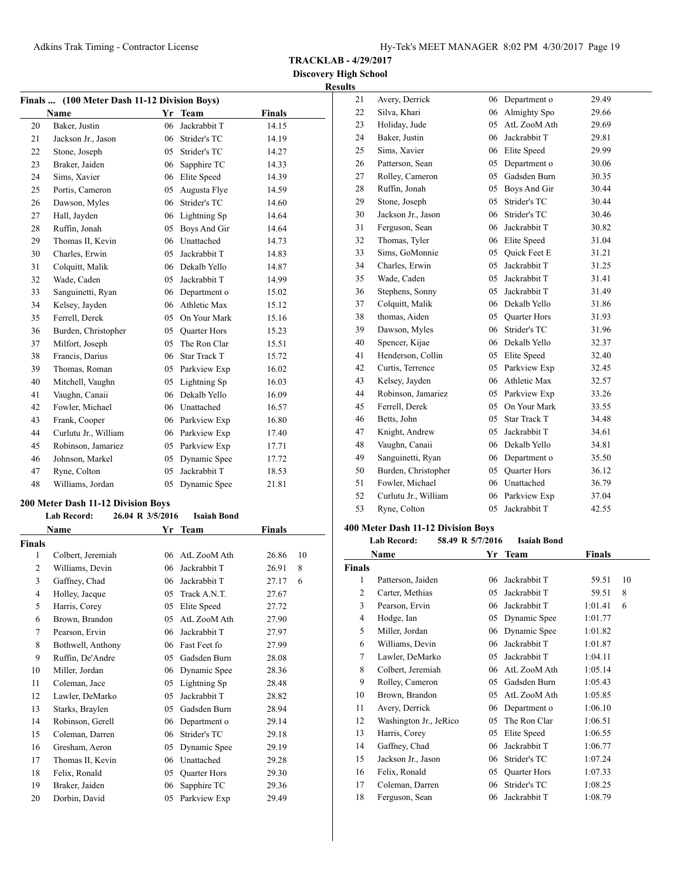**TRACKLAB - 4/29/2017**

# **Discovery High School Results**

| Finals  (100 Meter Dash 11-12 Division Boys) |                      |    |                     |               |  |  |
|----------------------------------------------|----------------------|----|---------------------|---------------|--|--|
|                                              | Name                 |    | Yr Team             | <b>Finals</b> |  |  |
| 20                                           | Baker, Justin        | 06 | Jackrabbit T        | 14.15         |  |  |
| 21                                           | Jackson Jr., Jason   | 06 | Strider's TC        | 14.19         |  |  |
| 22                                           | Stone, Joseph        | 05 | Strider's TC        | 14.27         |  |  |
| 23                                           | Braker, Jaiden       | 06 | Sapphire TC         | 14.33         |  |  |
| 24                                           | Sims, Xavier         | 06 | Elite Speed         | 14.39         |  |  |
| 25                                           | Portis, Cameron      | 05 | Augusta Flye        | 14.59         |  |  |
| 26                                           | Dawson, Myles        | 06 | Strider's TC        | 14.60         |  |  |
| 27                                           | Hall, Jayden         | 06 | Lightning Sp        | 14.64         |  |  |
| 28                                           | Ruffin, Jonah        | 05 | Boys And Gir        | 14.64         |  |  |
| 29                                           | Thomas II, Kevin     |    | 06 Unattached       | 14.73         |  |  |
| 30                                           | Charles, Erwin       | 05 | Jackrabbit T        | 14.83         |  |  |
| 31                                           | Colquitt, Malik      | 06 | Dekalb Yello        | 14.87         |  |  |
| 32                                           | Wade, Caden          | 05 | Jackrabbit T        | 14.99         |  |  |
| 33                                           | Sanguinetti, Ryan    | 06 | Department o        | 15.02         |  |  |
| 34                                           | Kelsey, Jayden       | 06 | <b>Athletic Max</b> | 15.12         |  |  |
| 35                                           | Ferrell, Derek       | 05 | On Your Mark        | 15.16         |  |  |
| 36                                           | Burden, Christopher  | 05 | <b>Quarter Hors</b> | 15.23         |  |  |
| 37                                           | Milfort, Joseph      | 05 | The Ron Clar        | 15.51         |  |  |
| 38                                           | Francis, Darius      | 06 | <b>Star Track T</b> | 15.72         |  |  |
| 39                                           | Thomas, Roman        |    | 05 Parkview Exp     | 16.02         |  |  |
| 40                                           | Mitchell, Vaughn     | 05 | Lightning Sp        | 16.03         |  |  |
| 41                                           | Vaughn, Canaii       | 06 | Dekalb Yello        | 16.09         |  |  |
| 42                                           | Fowler, Michael      |    | 06 Unattached       | 16.57         |  |  |
| 43                                           | Frank, Cooper        |    | 06 Parkview Exp     | 16.80         |  |  |
| 44                                           | Curlutu Jr., William |    | 06 Parkview Exp     | 17.40         |  |  |
| 45                                           | Robinson, Jamariez   | 05 | Parkview Exp        | 17.71         |  |  |
| 46                                           | Johnson, Markel      | 05 | Dynamic Spee        | 17.72         |  |  |
| 47                                           | Ryne, Colton         | 05 | Jackrabbit T        | 18.53         |  |  |
| 48                                           | Williams, Jordan     | 05 | Dynamic Spee        | 21.81         |  |  |

#### **200 Meter Dash 11-12 Division Boys**

|                | <b>Lab Record:</b> | 26.04 R 3/5/2016 | <b>Isaiah Bond</b>  |        |    |
|----------------|--------------------|------------------|---------------------|--------|----|
|                | Name               |                  | Yr Team             | Finals |    |
| Finals         |                    |                  |                     |        |    |
| 1              | Colbert, Jeremiah  | 06               | AtL ZooM Ath        | 26.86  | 10 |
| $\overline{2}$ | Williams, Devin    | 06               | Jackrabbit T        | 26.91  | 8  |
| 3              | Gaffney, Chad      | 06               | Jackrabbit T        | 27.17  | 6  |
| $\overline{4}$ | Holley, Jacque     | 05               | Track A.N.T.        | 27.67  |    |
| 5              | Harris, Corey      | 05               | Elite Speed         | 27.72  |    |
| 6              | Brown, Brandon     | 05               | AtL ZooM Ath        | 27.90  |    |
| 7              | Pearson, Ervin     | 06               | Jackrabbit T        | 27.97  |    |
| 8              | Bothwell, Anthony  | 06               | Fast Feet fo        | 27.99  |    |
| 9              | Ruffin, De'Andre   | 05               | Gadsden Burn        | 28.08  |    |
| 10             | Miller, Jordan     | 06               | Dynamic Spee        | 28.36  |    |
| 11             | Coleman, Jace      | 05               | Lightning Sp        | 28.48  |    |
| 12             | Lawler, DeMarko    | 05               | Jackrabbit T        | 28.82  |    |
| 13             | Starks, Braylen    | 05               | Gadsden Burn        | 28.94  |    |
| 14             | Robinson, Gerell   | 06               | Department o        | 29.14  |    |
| 15             | Coleman, Darren    | 06               | Strider's TC        | 29.18  |    |
| 16             | Gresham, Aeron     | 05               | Dynamic Spee        | 29.19  |    |
| 17             | Thomas II, Kevin   | 06               | Unattached          | 29.28  |    |
| 18             | Felix, Ronald      | 05               | <b>Quarter Hors</b> | 29.30  |    |
| 19             | Braker, Jaiden     | 06               | Sapphire TC         | 29.36  |    |
| 20             | Dorbin, David      | 05               | Parkview Exp        | 29.49  |    |

| lts |                      |    |                     |       |
|-----|----------------------|----|---------------------|-------|
| 21  | Avery, Derrick       | 06 | Department o        | 29.49 |
| 22  | Silva, Khari         | 06 | Almighty Spo        | 29.66 |
| 23  | Holiday, Jude        | 05 | AtL ZooM Ath        | 29.69 |
| 24  | Baker, Justin        | 06 | Jackrabbit T        | 29.81 |
| 25  | Sims, Xavier         |    | 06 Elite Speed      | 29.99 |
| 26  | Patterson, Sean      | 05 | Department o        | 30.06 |
| 27  | Rolley, Cameron      |    | 05 Gadsden Burn     | 30.35 |
| 28  | Ruffin, Jonah        |    | 05 Boys And Gir     | 30.44 |
| 29  | Stone, Joseph        | 05 | Strider's TC        | 30.44 |
| 30  | Jackson Jr., Jason   | 06 | Strider's TC        | 30.46 |
| 31  | Ferguson, Sean       | 06 | Jackrabbit T        | 30.82 |
| 32  | Thomas, Tyler        |    | 06 Elite Speed      | 31.04 |
| 33  | Sims, GoMonnie       | 05 | Quick Feet E        | 31.21 |
| 34  | Charles, Erwin       | 05 | Jackrabbit T        | 31.25 |
| 35  | Wade, Caden          | 05 | Jackrabbit T        | 31.41 |
| 36  | Stephens, Sonny      | 05 | Jackrabbit T        | 31.49 |
| 37  | Colquitt, Malik      |    | 06 Dekalb Yello     | 31.86 |
| 38  | thomas, Aiden        |    | 05 Quarter Hors     | 31.93 |
| 39  | Dawson, Myles        | 06 | Strider's TC        | 31.96 |
| 40  | Spencer, Kijae       |    | 06 Dekalb Yello     | 32.37 |
| 41  | Henderson, Collin    | 05 | Elite Speed         | 32.40 |
| 42  | Curtis, Terrence     | 05 | Parkview Exp        | 32.45 |
| 43  | Kelsey, Jayden       | 06 | <b>Athletic Max</b> | 32.57 |
| 44  | Robinson, Jamariez   |    | 05 Parkview Exp     | 33.26 |
| 45  | Ferrell, Derek       | 05 | On Your Mark        | 33.55 |
| 46  | Betts, John          |    | 05 Star Track T     | 34.48 |
| 47  | Knight, Andrew       | 05 | Jackrabbit T        | 34.61 |
| 48  | Vaughn, Canaii       | 06 | Dekalb Yello        | 34.81 |
| 49  | Sanguinetti, Ryan    | 06 | Department o        | 35.50 |
| 50  | Burden, Christopher  | 05 | <b>Quarter Hors</b> | 36.12 |
| 51  | Fowler, Michael      |    | 06 Unattached       | 36.79 |
| 52  | Curlutu Jr., William | 06 | Parkview Exp        | 37.04 |
| 53  | Ryne, Colton         | 05 | Jackrabbit T        | 42.55 |
|     |                      |    |                     |       |

|                | 58.49 R 5/7/2016<br><b>Lab Record:</b> |    | <b>Isaiah Bond</b>  |         |    |
|----------------|----------------------------------------|----|---------------------|---------|----|
|                | Name                                   | Yr | <b>Team</b>         | Finals  |    |
| <b>Finals</b>  |                                        |    |                     |         |    |
| 1              | Patterson, Jaiden                      | 06 | Jackrabbit T        | 59.51   | 10 |
| $\overline{c}$ | Carter, Methias                        | 05 | Jackrabbit T        | 59.51   | 8  |
| 3              | Pearson, Ervin                         | 06 | Jackrabbit T        | 1:01.41 | 6  |
| 4              | Hodge, Ian                             | 05 | Dynamic Spee        | 1:01.77 |    |
| 5              | Miller, Jordan                         | 06 | Dynamic Spee        | 1:01.82 |    |
| 6              | Williams, Devin                        | 06 | Jackrabbit T        | 1:01.87 |    |
| 7              | Lawler, DeMarko                        | 05 | Jackrabbit T        | 1:04.11 |    |
| 8              | Colbert, Jeremiah                      | 06 | AtL ZooM Ath        | 1:05.14 |    |
| 9              | Rolley, Cameron                        | 05 | Gadsden Burn        | 1:05.43 |    |
| 10             | Brown, Brandon                         | 05 | AtL ZooM Ath        | 1:05.85 |    |
| 11             | Avery, Derrick                         | 06 | Department o        | 1:06.10 |    |
| 12             | Washington Jr., JeRico                 | 05 | The Ron Clar        | 1:06.51 |    |
| 13             | Harris, Corey                          | 05 | Elite Speed         | 1:06.55 |    |
| 14             | Gaffney, Chad                          | 06 | Jackrabbit T        | 1:06.77 |    |
| 15             | Jackson Jr., Jason                     | 06 | Strider's TC        | 1:07.24 |    |
| 16             | Felix, Ronald                          | 05 | <b>Quarter Hors</b> | 1:07.33 |    |
| 17             | Coleman, Darren                        | 06 | Strider's TC        | 1:08.25 |    |
| 18             | Ferguson, Sean                         | 06 | Jackrabbit T        | 1:08.79 |    |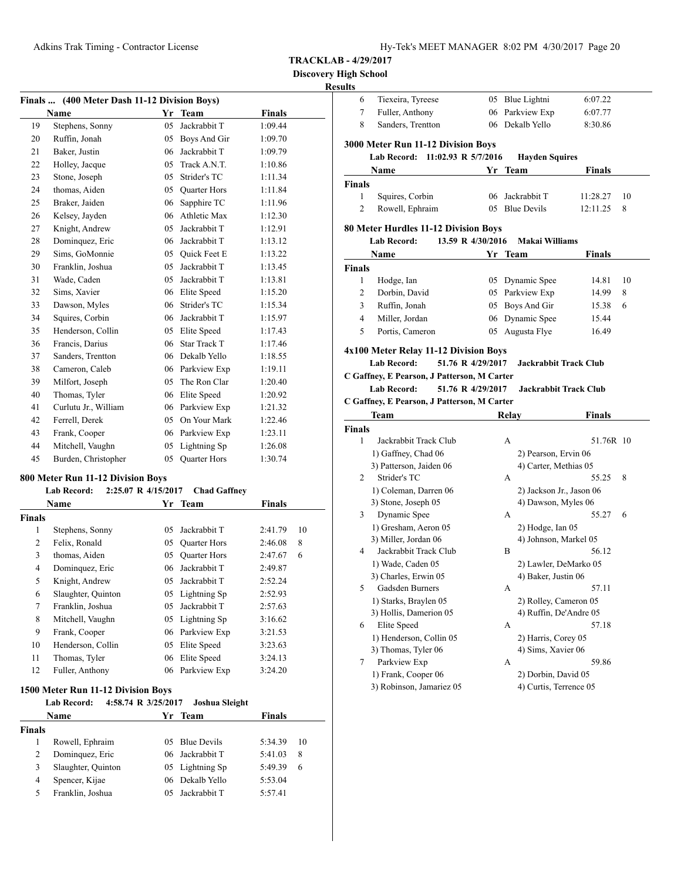#### **Discovery High School Results**

|    | Finals  (400 Meter Dash 11-12 Division Boys) |    |                     |               |  |  |  |
|----|----------------------------------------------|----|---------------------|---------------|--|--|--|
|    | <b>Name</b>                                  | Yr | <b>Team</b>         | <b>Finals</b> |  |  |  |
| 19 | Stephens, Sonny                              | 05 | Jackrabbit T        | 1:09.44       |  |  |  |
| 20 | Ruffin, Jonah                                | 05 | Boys And Gir        | 1:09.70       |  |  |  |
| 21 | Baker, Justin                                | 06 | Jackrabbit T        | 1:09.79       |  |  |  |
| 22 | Holley, Jacque                               | 05 | Track A.N.T.        | 1:10.86       |  |  |  |
| 23 | Stone, Joseph                                | 05 | Strider's TC        | 1:11.34       |  |  |  |
| 24 | thomas, Aiden                                | 05 | <b>Quarter Hors</b> | 1:11.84       |  |  |  |
| 25 | Braker, Jaiden                               | 06 | Sapphire TC         | 1:11.96       |  |  |  |
| 26 | Kelsey, Jayden                               | 06 | Athletic Max        | 1:12.30       |  |  |  |
| 27 | Knight, Andrew                               | 05 | Jackrabbit T        | 1:12.91       |  |  |  |
| 28 | Dominquez, Eric                              | 06 | Jackrabbit T        | 1:13.12       |  |  |  |
| 29 | Sims, GoMonnie                               | 05 | <b>Ouick Feet E</b> | 1:13.22       |  |  |  |
| 30 | Franklin, Joshua                             | 05 | Jackrabbit T        | 1:13.45       |  |  |  |
| 31 | Wade, Caden                                  | 05 | Jackrabbit T        | 1:13.81       |  |  |  |
| 32 | Sims, Xavier                                 | 06 | Elite Speed         | 1:15.20       |  |  |  |
| 33 | Dawson, Myles                                | 06 | Strider's TC        | 1:15.34       |  |  |  |
| 34 | Squires, Corbin                              | 06 | Jackrabbit T        | 1:15.97       |  |  |  |
| 35 | Henderson, Collin                            | 05 | Elite Speed         | 1:17.43       |  |  |  |
| 36 | Francis, Darius                              | 06 | <b>Star Track T</b> | 1:17.46       |  |  |  |
| 37 | Sanders, Trentton                            | 06 | Dekalb Yello        | 1:18.55       |  |  |  |
| 38 | Cameron, Caleb                               | 06 | Parkview Exp        | 1:19.11       |  |  |  |
| 39 | Milfort, Joseph                              | 05 | The Ron Clar        | 1:20.40       |  |  |  |
| 40 | Thomas, Tyler                                | 06 | Elite Speed         | 1:20.92       |  |  |  |
| 41 | Curlutu Jr., William                         | 06 | Parkview Exp        | 1:21.32       |  |  |  |
| 42 | Ferrell, Derek                               | 05 | On Your Mark        | 1:22.46       |  |  |  |
| 43 | Frank, Cooper                                | 06 | Parkview Exp        | 1:23.11       |  |  |  |
| 44 | Mitchell, Vaughn                             | 05 | Lightning Sp        | 1:26.08       |  |  |  |
| 45 | Burden, Christopher                          | 05 | <b>Ouarter Hors</b> | 1:30.74       |  |  |  |

#### **800 Meter Run 11-12 Division Boys**

# **Lab Record: 2:25.07 R 4/15/2017 Chad Gaffney**

|        | Name               | Yr | <b>Team</b>         | Finals  |    |
|--------|--------------------|----|---------------------|---------|----|
| Finals |                    |    |                     |         |    |
| 1      | Stephens, Sonny    | 05 | Jackrabbit T        | 2:41.79 | 10 |
| 2      | Felix, Ronald      | 05 | <b>Quarter Hors</b> | 2:46.08 | 8  |
| 3      | thomas, Aiden      | 05 | <b>Quarter Hors</b> | 2:47.67 | 6  |
| 4      | Dominquez, Eric    | 06 | Jackrabbit T        | 2:49.87 |    |
| 5      | Knight, Andrew     | 05 | Jackrabbit T        | 2:52.24 |    |
| 6      | Slaughter, Quinton |    | 05 Lightning Sp     | 2:52.93 |    |
| 7      | Franklin, Joshua   | 05 | Jackrabbit T        | 2:57.63 |    |
| 8      | Mitchell, Vaughn   |    | 05 Lightning Sp     | 3:16.62 |    |
| 9      | Frank, Cooper      |    | 06 Parkview Exp     | 3:21.53 |    |
| 10     | Henderson, Collin  | 05 | Elite Speed         | 3:23.63 |    |
| 11     | Thomas, Tyler      | 06 | Elite Speed         | 3:24.13 |    |
| 12     | Fuller, Anthony    |    | 06 Parkview Exp     | 3:24.20 |    |

# **1500 Meter Run 11-12 Division Boys**

|        | <b>Lab Record:</b> | 4:58.74 R 3/25/2017 | Joshua Sleight  |               |    |
|--------|--------------------|---------------------|-----------------|---------------|----|
|        | <b>Name</b>        |                     | Yr Team         | <b>Finals</b> |    |
| Finals |                    |                     |                 |               |    |
|        | Rowell, Ephraim    |                     | 05 Blue Devils  | 5:34.39       | 10 |
| 2      | Dominquez, Eric    |                     | 06 Jackrabbit T | 5:41.03       | 8  |
| 3      | Slaughter, Quinton |                     | 05 Lightning Sp | 5:49.39       | 6  |
| 4      | Spencer, Kijae     | 06.                 | Dekalb Yello    | 5:53.04       |    |
|        | Franklin, Joshua   |                     | 05 Jackrabbit T | 5:57.41       |    |

| ults           |                                                                                        |    |                                               |           |    |
|----------------|----------------------------------------------------------------------------------------|----|-----------------------------------------------|-----------|----|
| 6              | Tiexeira, Tyreese                                                                      |    | 05 Blue Lightni                               | 6:07.22   |    |
| 7              | Fuller, Anthony                                                                        |    | 06 Parkview Exp                               | 6:07.77   |    |
| 8              | Sanders, Trentton                                                                      |    | 06 Dekalb Yello                               | 8:30.86   |    |
|                |                                                                                        |    |                                               |           |    |
|                | 3000 Meter Run 11-12 Division Boys<br><b>Lab Record:</b><br>11:02.93 R 5/7/2016        |    | <b>Hayden Squires</b>                         |           |    |
|                | Name                                                                                   | Yr | Team                                          | Finals    |    |
| Finals         |                                                                                        |    |                                               |           |    |
| 1              | Squires, Corbin                                                                        |    | 06 Jackrabbit T                               | 11:28.27  | 10 |
| $\overline{c}$ | Rowell, Ephraim                                                                        |    | 05 Blue Devils                                | 12:11.25  | 8  |
|                |                                                                                        |    |                                               |           |    |
|                | 80 Meter Hurdles 11-12 Division Boys                                                   |    |                                               |           |    |
|                | <b>Lab Record:</b><br>13.59 R 4/30/2016                                                |    | Makai Williams                                |           |    |
|                | Name                                                                                   | Yr | Team                                          | Finals    |    |
| <b>Finals</b>  |                                                                                        |    |                                               |           |    |
| 1              | Hodge, Ian                                                                             |    | 05 Dynamic Spee                               | 14.81     | 10 |
| 2              | Dorbin, David                                                                          |    | 05 Parkview Exp                               | 14.99     | 8  |
| 3              | Ruffin, Jonah                                                                          |    | 05 Boys And Gir                               | 15.38     | 6  |
| 4              | Miller, Jordan                                                                         |    | 06 Dynamic Spee                               | 15.44     |    |
| 5              | Portis, Cameron                                                                        | 05 | Augusta Flye                                  | 16.49     |    |
|                | 4x100 Meter Relay 11-12 Division Boys                                                  |    |                                               |           |    |
|                | <b>Lab Record:</b><br>51.76 R 4/29/2017                                                |    | <b>Jackrabbit Track Club</b>                  |           |    |
|                |                                                                                        |    |                                               |           |    |
|                |                                                                                        |    |                                               |           |    |
|                | C Gaffney, E Pearson, J Patterson, M Carter<br><b>Lab Record:</b><br>51.76 R 4/29/2017 |    | <b>Jackrabbit Track Club</b>                  |           |    |
|                | C Gaffney, E Pearson, J Patterson, M Carter                                            |    |                                               |           |    |
|                | Team                                                                                   |    | Relay                                         | Finals    |    |
|                |                                                                                        |    |                                               |           |    |
| 1              | Jackrabbit Track Club                                                                  |    | A                                             | 51.76R 10 |    |
|                | 1) Gaffney, Chad 06                                                                    |    | 2) Pearson, Ervin 06                          |           |    |
|                | 3) Patterson, Jaiden 06                                                                |    | 4) Carter, Methias 05                         |           |    |
| $\overline{2}$ | Strider's TC                                                                           |    | А                                             | 55.25     | 8  |
|                | 1) Coleman, Darren 06                                                                  |    | 2) Jackson Jr., Jason 06                      |           |    |
|                | 3) Stone, Joseph 05                                                                    |    | 4) Dawson, Myles 06                           |           |    |
| 3              | Dynamic Spee                                                                           |    | А                                             | 55.27     | 6  |
|                | 1) Gresham, Aeron 05                                                                   |    | 2) Hodge, Ian 05                              |           |    |
|                | 3) Miller, Jordan 06                                                                   |    | 4) Johnson, Markel 05                         |           |    |
| 4              | Jackrabbit Track Club                                                                  |    | B                                             | 56.12     |    |
|                | 1) Wade, Caden 05                                                                      |    | 2) Lawler, DeMarko 05                         |           |    |
|                | 3) Charles, Erwin 05                                                                   |    | 4) Baker, Justin 06                           |           |    |
| 5              | Gadsden Burners                                                                        |    | А                                             | 57.11     |    |
|                | 1) Starks, Braylen 05                                                                  |    | 2) Rolley, Cameron 05                         |           |    |
|                | 3) Hollis, Damerion 05                                                                 |    | 4) Ruffin, De'Andre 05                        |           |    |
| 6              | Elite Speed                                                                            |    | А                                             | 57.18     |    |
|                | 1) Henderson, Collin 05                                                                |    | 2) Harris, Corey 05                           |           |    |
|                | 3) Thomas, Tyler 06                                                                    |    | 4) Sims, Xavier 06                            |           |    |
| 7              | Parkview Exp                                                                           |    | А                                             | 59.86     |    |
| <b>Finals</b>  | 1) Frank, Cooper 06<br>3) Robinson, Jamariez 05                                        |    | 2) Dorbin, David 05<br>4) Curtis, Terrence 05 |           |    |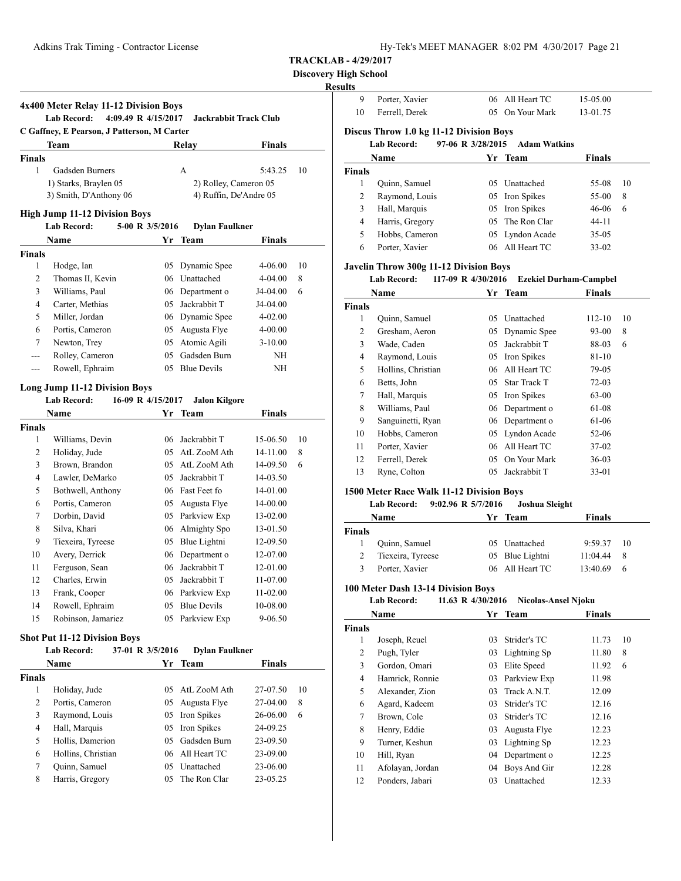| Hy-Tek's MEET MANAGER  8:02 PM  4/30/2017  Page 21 |  |  |  |
|----------------------------------------------------|--|--|--|
|----------------------------------------------------|--|--|--|

**Discovery High School**

#### **Result**

|                    | 4x400 Meter Relay 11-12 Division Boys<br><b>Lab Record:</b><br>4:09.49 R 4/15/2017 |                   | <b>Jackrabbit Track Club</b>  |               |    |
|--------------------|------------------------------------------------------------------------------------|-------------------|-------------------------------|---------------|----|
|                    | C Gaffney, E Pearson, J Patterson, M Carter<br>Team                                |                   | Relay                         | <b>Finals</b> |    |
| <b>Finals</b>      |                                                                                    |                   |                               |               |    |
| 1                  | Gadsden Burners                                                                    |                   | A                             | 5:43.25       | 10 |
|                    | 1) Starks, Braylen 05                                                              |                   | 2) Rolley, Cameron 05         |               |    |
|                    | 3) Smith, D'Anthony 06                                                             |                   | 4) Ruffin, De'Andre 05        |               |    |
|                    |                                                                                    |                   |                               |               |    |
|                    | <b>High Jump 11-12 Division Boys</b>                                               |                   |                               |               |    |
|                    | <b>Lab Record:</b>                                                                 | 5-00 R 3/5/2016   | <b>Dylan Faulkner</b>         |               |    |
|                    | Name                                                                               |                   | Yr Team                       | Finals        |    |
| Finals<br>1        |                                                                                    | 05                |                               | 4-06.00       | 10 |
| 2                  | Hodge, Ian<br>Thomas II, Kevin                                                     |                   | Dynamic Spee<br>06 Unattached | 4-04.00       | 8  |
| 3                  | Williams, Paul                                                                     |                   |                               | J4-04.00      | 6  |
| 4                  |                                                                                    |                   | 06 Department o               |               |    |
|                    | Carter, Methias                                                                    |                   | 05 Jackrabbit T               | J4-04.00      |    |
| 5                  | Miller, Jordan<br>Portis, Cameron                                                  |                   | 06 Dynamic Spee               | 4-02.00       |    |
| 6                  |                                                                                    |                   | 05 Augusta Flye               | $4 - 00.00$   |    |
| 7                  | Newton, Trey                                                                       | 05                | Atomic Agili                  | $3-10.00$     |    |
| ---                | Rolley, Cameron                                                                    | 05                | Gadsden Burn                  | NΗ            |    |
| $---$              | Rowell, Ephraim                                                                    |                   | 05 Blue Devils                | NΗ            |    |
|                    | <b>Long Jump 11-12 Division Boys</b>                                               |                   |                               |               |    |
|                    | <b>Lab Record:</b>                                                                 | 16-09 R 4/15/2017 | <b>Jalon Kilgore</b>          |               |    |
|                    | Name                                                                               |                   | Yr Team                       | <b>Finals</b> |    |
| Finals             |                                                                                    |                   |                               |               |    |
| 1                  | Williams, Devin                                                                    |                   | 06 Jackrabbit T               | 15-06.50      | 10 |
| 2                  | Holiday, Jude                                                                      |                   | 05 AtL ZooM Ath               | 14-11.00      | 8  |
| 3                  | Brown, Brandon                                                                     |                   | 05 AtL ZooM Ath               | 14-09.50      | 6  |
| 4                  | Lawler, DeMarko                                                                    |                   | 05 Jackrabbit T               | 14-03.50      |    |
| 5                  | Bothwell, Anthony                                                                  |                   | 06 Fast Feet fo               | 14-01.00      |    |
| 6                  | Portis, Cameron                                                                    |                   | 05 Augusta Flye               | 14-00.00      |    |
| 7                  | Dorbin, David                                                                      |                   | 05 Parkview Exp               | 13-02.00      |    |
| 8                  | Silva, Khari                                                                       |                   | 06 Almighty Spo               | 13-01.50      |    |
| 9                  | Tiexeira, Tyreese                                                                  |                   | 05 Blue Lightni               | 12-09.50      |    |
| 10                 | Avery, Derrick                                                                     |                   | 06 Department o               | 12-07.00      |    |
| 11                 | Ferguson, Sean                                                                     |                   | 06 Jackrabbit T               | 12-01.00      |    |
| 12                 | Charles, Erwin                                                                     | 05                | Jackrabbit T                  | 11-07.00      |    |
| 13                 | Frank, Cooper                                                                      |                   | 06 Parkview Exp               | 11-02.00      |    |
| 14                 | Rowell, Ephraim                                                                    | 05                | <b>Blue Devils</b>            | 10-08.00      |    |
| 15                 | Robinson, Jamariez                                                                 | 05                | Parkview Exp                  | 9-06.50       |    |
|                    |                                                                                    |                   |                               |               |    |
|                    | <b>Shot Put 11-12 Division Boys</b><br><b>Lab Record:</b>                          | 37-01 R 3/5/2016  | <b>Dylan Faulkner</b>         |               |    |
|                    | Name                                                                               |                   | Yr Team                       | Finals        |    |
|                    |                                                                                    |                   |                               |               |    |
| <b>Finals</b><br>1 | Holiday, Jude                                                                      | 05                | AtL ZooM Ath                  | 27-07.50      | 10 |
| 2                  | Portis, Cameron                                                                    | 05                | Augusta Flye                  | 27-04.00      | 8  |
| 3                  | Raymond, Louis                                                                     | 05                | Iron Spikes                   | 26-06.00      | 6  |
|                    |                                                                                    |                   |                               |               |    |
| 4<br>5             | Hall, Marquis<br>Hollis, Damerion                                                  | 05                | Iron Spikes<br>Gadsden Burn   | 24-09.25      |    |
|                    |                                                                                    | 05                |                               | 23-09.50      |    |
| 6                  | Hollins, Christian                                                                 | 06                | All Heart TC                  | 23-09.00      |    |
| 7                  | Quinn, Samuel                                                                      | 05                | Unattached                    | 23-06.00      |    |
| 8                  | Harris, Gregory                                                                    | 05                | The Ron Clar                  | 23-05.25      |    |

| ults           |                                               |                    |                               |               |    |
|----------------|-----------------------------------------------|--------------------|-------------------------------|---------------|----|
| 9              | Porter, Xavier                                | 06                 | All Heart TC                  | 15-05.00      |    |
| 10             | Ferrell, Derek                                | 05                 | On Your Mark                  | 13-01.75      |    |
|                | Discus Throw 1.0 kg 11-12 Division Boys       |                    |                               |               |    |
|                | <b>Lab Record:</b>                            | 97-06 R 3/28/2015  | <b>Adam Watkins</b>           |               |    |
|                | Name                                          |                    | Yr Team                       | Finals        |    |
| <b>Finals</b>  |                                               |                    |                               |               |    |
| 1              | Quinn, Samuel                                 | 05                 | Unattached                    | 55-08         | 10 |
| $\overline{c}$ | Raymond, Louis                                | 05                 | Iron Spikes                   | 55-00         | 8  |
| 3              | Hall, Marquis                                 | 05                 | Iron Spikes                   | 46-06         | 6  |
| 4              | Harris, Gregory                               | 05                 | The Ron Clar                  | $44 - 11$     |    |
| 5              | Hobbs, Cameron                                | 05                 | Lyndon Acade                  | $35-05$       |    |
| 6              | Porter, Xavier                                | 06                 | All Heart TC                  | $33 - 02$     |    |
|                | <b>Javelin Throw 300g 11-12 Division Boys</b> |                    |                               |               |    |
|                | <b>Lab Record:</b>                            | 117-09 R 4/30/2016 | <b>Ezekiel Durham-Campbel</b> |               |    |
|                | Name                                          | Yr                 | Team                          | <b>Finals</b> |    |
| <b>Finals</b>  |                                               |                    |                               |               |    |
| 1              | Quinn, Samuel                                 | 05                 | Unattached                    | 112-10        | 10 |
| 2              | Gresham, Aeron                                | 05                 | Dynamic Spee                  | 93-00         | 8  |
| 3              | Wade, Caden                                   | 05                 | Jackrabbit T                  | 88-03         | 6  |
| 4              | Raymond, Louis                                | 05                 | Iron Spikes                   | 81-10         |    |
| 5              | Hollins, Christian                            | 06                 | All Heart TC                  | 79-05         |    |
| 6              | Betts, John                                   | 05                 | <b>Star Track T</b>           | 72-03         |    |
| 7              | Hall, Marquis                                 | 05                 | Iron Spikes                   | $63 - 00$     |    |
| 8              | Williams, Paul                                | 06                 | Department o                  | 61-08         |    |

#### 1 Quinn, Samuel 05 Unattached 9:59.37 10 2 Tiexeira, Tyreese 05 Blue Lightni 11:04.44 8

**Finals**

**1500 Meter Race Walk 11-12 Division Boys**

# 3 Porter, Xavier 06 All Heart TC 13:40.69 6

#### **100 Meter Dash 13-14 Division Boys Lab Record: 11.63 R 4/30/2016 Nicolas-Ansel Njoku**

**Lab Record: 9:02.96 R 5/7/2016 Joshua Sleight**

**Name Yr** Team **Finals** 

 Sanguinetti, Ryan 06 Department o 61-06 Hobbs, Cameron 05 Lyndon Acade 52-06 Porter, Xavier 06 All Heart TC 37-02 Ferrell, Derek 05 On Your Mark 36-03 13 Ryne, Colton 05 Jackrabbit T 33-01

|               | Name             | Yr | Team         | Finals |    |
|---------------|------------------|----|--------------|--------|----|
| <b>Finals</b> |                  |    |              |        |    |
| 1             | Joseph, Reuel    | 03 | Strider's TC | 11.73  | 10 |
| 2             | Pugh, Tyler      | 03 | Lightning Sp | 11.80  | 8  |
| 3             | Gordon, Omari    | 03 | Elite Speed  | 11.92  | 6  |
| 4             | Hamrick, Ronnie  | 03 | Parkview Exp | 11.98  |    |
| 5             | Alexander, Zion  | 03 | Track A.N.T. | 12.09  |    |
| 6             | Agard, Kadeem    | 03 | Strider's TC | 12.16  |    |
| 7             | Brown, Cole      | 03 | Strider's TC | 12.16  |    |
| 8             | Henry, Eddie     | 03 | Augusta Flye | 12.23  |    |
| 9             | Turner, Keshun   | 03 | Lightning Sp | 12.23  |    |
| 10            | Hill, Ryan       | 04 | Department o | 12.25  |    |
| 11            | Afolayan, Jordan | 04 | Boys And Gir | 12.28  |    |
| 12            | Ponders, Jabari  | 03 | Unattached   | 12.33  |    |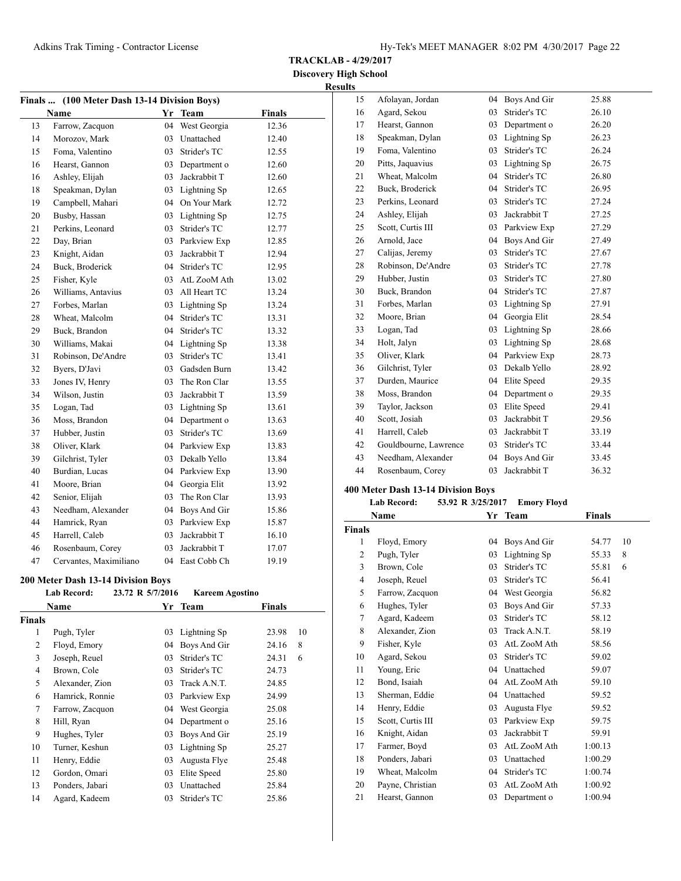**TRACKLAB - 4/29/2017**

**Discovery High School Results**

| Finals  (100 Meter Dash 13-14 Division Boys) |                        |    |              |               |  |
|----------------------------------------------|------------------------|----|--------------|---------------|--|
|                                              | <b>Name</b>            | Yr | <b>Team</b>  | <b>Finals</b> |  |
| 13                                           | Farrow, Zacquon        | 04 | West Georgia | 12.36         |  |
| 14                                           | Morozov, Mark          | 03 | Unattached   | 12.40         |  |
| 15                                           | Foma, Valentino        | 03 | Strider's TC | 12.55         |  |
| 16                                           | Hearst, Gannon         | 03 | Department o | 12.60         |  |
| 16                                           | Ashley, Elijah         | 03 | Jackrabbit T | 12.60         |  |
| 18                                           | Speakman, Dylan        | 03 | Lightning Sp | 12.65         |  |
| 19                                           | Campbell, Mahari       | 04 | On Your Mark | 12.72         |  |
| 20                                           | Busby, Hassan          | 03 | Lightning Sp | 12.75         |  |
| 21                                           | Perkins, Leonard       | 03 | Strider's TC | 12.77         |  |
| 22                                           | Day, Brian             | 03 | Parkview Exp | 12.85         |  |
| 23                                           | Knight, Aidan          | 03 | Jackrabbit T | 12.94         |  |
| 24                                           | Buck, Broderick        | 04 | Strider's TC | 12.95         |  |
| 25                                           | Fisher, Kyle           | 03 | AtL ZooM Ath | 13.02         |  |
| 26                                           | Williams, Antavius     | 03 | All Heart TC | 13.24         |  |
| 27                                           | Forbes, Marlan         | 03 | Lightning Sp | 13.24         |  |
| 28                                           | Wheat, Malcolm         | 04 | Strider's TC | 13.31         |  |
| 29                                           | Buck, Brandon          | 04 | Strider's TC | 13.32         |  |
| 30                                           | Williams, Makai        | 04 | Lightning Sp | 13.38         |  |
| 31                                           | Robinson, De'Andre     | 03 | Strider's TC | 13.41         |  |
| 32                                           | Byers, D'Javi          | 03 | Gadsden Burn | 13.42         |  |
| 33                                           | Jones IV, Henry        | 03 | The Ron Clar | 13.55         |  |
| 34                                           | Wilson, Justin         | 03 | Jackrabbit T | 13.59         |  |
| 35                                           | Logan, Tad             | 03 | Lightning Sp | 13.61         |  |
| 36                                           | Moss, Brandon          | 04 | Department o | 13.63         |  |
| 37                                           | Hubber, Justin         | 03 | Strider's TC | 13.69         |  |
| 38                                           | Oliver, Klark          | 04 | Parkview Exp | 13.83         |  |
| 39                                           | Gilchrist, Tyler       | 03 | Dekalb Yello | 13.84         |  |
| 40                                           | Burdian, Lucas         | 04 | Parkview Exp | 13.90         |  |
| 41                                           | Moore, Brian           | 04 | Georgia Elit | 13.92         |  |
| 42                                           | Senior, Elijah         | 03 | The Ron Clar | 13.93         |  |
| 43                                           | Needham, Alexander     | 04 | Boys And Gir | 15.86         |  |
| 44                                           | Hamrick, Ryan          | 03 | Parkview Exp | 15.87         |  |
| 45                                           | Harrell, Caleb         | 03 | Jackrabbit T | 16.10         |  |
| 46                                           | Rosenbaum, Corey       | 03 | Jackrabbit T | 17.07         |  |
| 47                                           | Cervantes, Maximiliano | 04 | East Cobb Ch | 19.19         |  |

# **200 Meter Dash 13-14 Division Boys**

|        | <b>Lab Record:</b> | 23.72 R 5/7/2016 | <b>Kareem Agostino</b> |        |    |
|--------|--------------------|------------------|------------------------|--------|----|
|        | Name               |                  | Yr Team                | Finals |    |
| Finals |                    |                  |                        |        |    |
| 1      | Pugh, Tyler        | 03               | Lightning Sp           | 23.98  | 10 |
| 2      | Floyd, Emory       | 04               | Boys And Gir           | 24.16  | 8  |
| 3      | Joseph, Reuel      | 03               | Strider's TC           | 24.31  | 6  |
| 4      | Brown, Cole        | 03               | Strider's TC           | 24.73  |    |
| 5      | Alexander, Zion    | 03               | Track A.N.T.           | 24.85  |    |
| 6      | Hamrick, Ronnie    | 03               | Parkview Exp           | 24.99  |    |
| 7      | Farrow, Zacquon    | 04               | West Georgia           | 25.08  |    |
| 8      | Hill, Ryan         | 04               | Department o           | 25.16  |    |
| 9      | Hughes, Tyler      | 03               | Boys And Gir           | 25.19  |    |
| 10     | Turner, Keshun     | 03               | Lightning Sp           | 25.27  |    |
| 11     | Henry, Eddie       | 03               | Augusta Flye           | 25.48  |    |
| 12     | Gordon, Omari      | 03               | Elite Speed            | 25.80  |    |
| 13     | Ponders, Jabari    | 03               | Unattached             | 25.84  |    |
| 14     | Agard, Kadeem      | 03               | Strider's TC           | 25.86  |    |
|        |                    |                  |                        |        |    |

| 15 | Afolayan, Jordan      | 04 | Boys And Gir | 25.88 |
|----|-----------------------|----|--------------|-------|
| 16 | Agard, Sekou          | 03 | Strider's TC | 26.10 |
| 17 | Hearst, Gannon        | 03 | Department o | 26.20 |
| 18 | Speakman, Dylan       | 03 | Lightning Sp | 26.23 |
| 19 | Foma, Valentino       | 03 | Strider's TC | 26.24 |
| 20 | Pitts, Jaquavius      | 03 | Lightning Sp | 26.75 |
| 21 | Wheat, Malcolm        | 04 | Strider's TC | 26.80 |
| 22 | Buck, Broderick       | 04 | Strider's TC | 26.95 |
| 23 | Perkins, Leonard      | 03 | Strider's TC | 27.24 |
| 24 | Ashley, Elijah        | 03 | Jackrabbit T | 27.25 |
| 25 | Scott, Curtis III     | 03 | Parkview Exp | 27.29 |
| 26 | Arnold, Jace          | 04 | Boys And Gir | 27.49 |
| 27 | Calijas, Jeremy       | 03 | Strider's TC | 27.67 |
| 28 | Robinson, De'Andre    | 03 | Strider's TC | 27.78 |
| 29 | Hubber, Justin        | 03 | Strider's TC | 27.80 |
| 30 | Buck, Brandon         | 04 | Strider's TC | 27.87 |
| 31 | Forbes, Marlan        | 03 | Lightning Sp | 27.91 |
| 32 | Moore, Brian          | 04 | Georgia Elit | 28.54 |
| 33 | Logan, Tad            | 03 | Lightning Sp | 28.66 |
| 34 | Holt, Jalyn           | 03 | Lightning Sp | 28.68 |
| 35 | Oliver, Klark         | 04 | Parkview Exp | 28.73 |
| 36 | Gilchrist, Tyler      | 03 | Dekalb Yello | 28.92 |
| 37 | Durden, Maurice       | 04 | Elite Speed  | 29.35 |
| 38 | Moss, Brandon         | 04 | Department o | 29.35 |
| 39 | Taylor, Jackson       | 03 | Elite Speed  | 29.41 |
| 40 | Scott, Josiah         | 03 | Jackrabbit T | 29.56 |
| 41 | Harrell, Caleb        | 03 | Jackrabbit T | 33.19 |
| 42 | Gouldbourne, Lawrence | 03 | Strider's TC | 33.44 |
| 43 | Needham, Alexander    | 04 | Boys And Gir | 33.45 |
| 44 | Rosenbaum, Corey      | 03 | Jackrabbit T | 36.32 |
|    |                       |    |              |       |

# **400 Meter Dash 13-14 Division Boys**

# **Lab Record: 53.92 R 3/25/2017 Emory Floyd**

|                | Name              | Yr | <b>Team</b>  | <b>Finals</b> |    |
|----------------|-------------------|----|--------------|---------------|----|
| <b>Finals</b>  |                   |    |              |               |    |
| 1              | Floyd, Emory      | 04 | Boys And Gir | 54.77         | 10 |
| $\overline{c}$ | Pugh, Tyler       | 03 | Lightning Sp | 55.33         | 8  |
| 3              | Brown, Cole       | 03 | Strider's TC | 55.81         | 6  |
| $\overline{4}$ | Joseph, Reuel     | 03 | Strider's TC | 56.41         |    |
| 5              | Farrow, Zacquon   | 04 | West Georgia | 56.82         |    |
| 6              | Hughes, Tyler     | 03 | Boys And Gir | 57.33         |    |
| 7              | Agard, Kadeem     | 03 | Strider's TC | 58.12         |    |
| 8              | Alexander, Zion   | 03 | Track A.N.T. | 58.19         |    |
| 9              | Fisher, Kyle      | 03 | AtL ZooM Ath | 58.56         |    |
| 10             | Agard, Sekou      | 03 | Strider's TC | 59.02         |    |
| 11             | Young, Eric       | 04 | Unattached   | 59.07         |    |
| 12             | Bond, Isaiah      | 04 | AtL ZooM Ath | 59.10         |    |
| 13             | Sherman, Eddie    | 04 | Unattached   | 59.52         |    |
| 14             | Henry, Eddie      | 03 | Augusta Flye | 59.52         |    |
| 15             | Scott, Curtis III | 03 | Parkview Exp | 59.75         |    |
| 16             | Knight, Aidan     | 03 | Jackrabbit T | 59.91         |    |
| 17             | Farmer, Boyd      | 03 | AtL ZooM Ath | 1:00.13       |    |
| 18             | Ponders, Jabari   | 03 | Unattached   | 1:00.29       |    |
| 19             | Wheat, Malcolm    | 04 | Strider's TC | 1:00.74       |    |
| 20             | Payne, Christian  | 03 | AtL ZooM Ath | 1:00.92       |    |
| 21             | Hearst. Gannon    | 03 | Department o | 1:00.94       |    |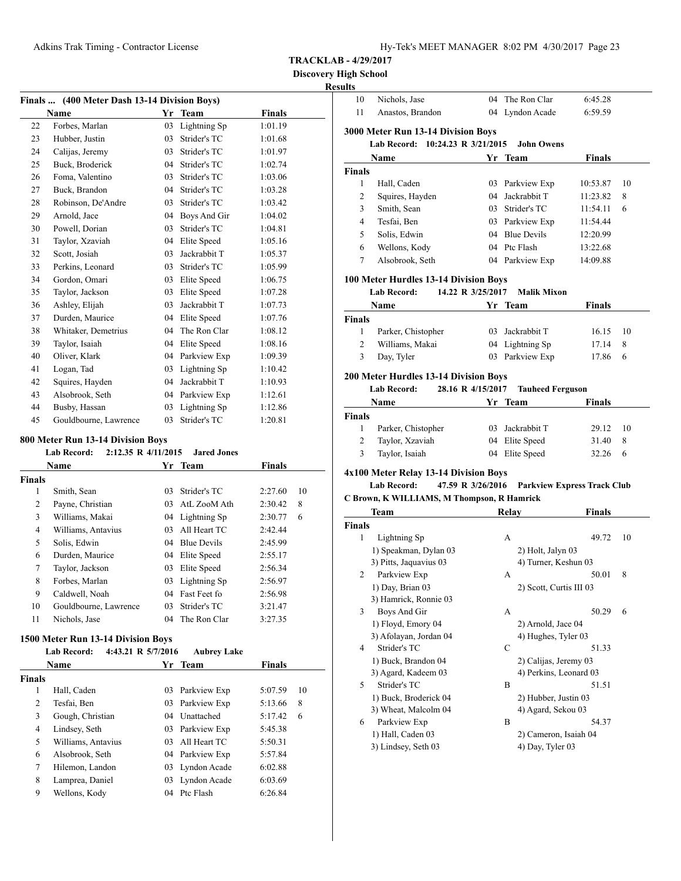$\overline{a}$ 

|  | Hy-Tek's MEET MANAGER 8:02 PM 4/30/2017 Page 23 |  |  |
|--|-------------------------------------------------|--|--|
|  |                                                 |  |  |

**TRACKLAB - 4/29/2017**

**Discovery High School Resu** 

| Finals  (400 Meter Dash 13-14 Division Boys) |                                                                 |                |                 |               |  |  |
|----------------------------------------------|-----------------------------------------------------------------|----------------|-----------------|---------------|--|--|
|                                              | <b>Name</b>                                                     |                | Yr Team         | <b>Finals</b> |  |  |
| 22                                           | Forbes, Marlan                                                  | 03             | Lightning Sp    | 1:01.19       |  |  |
| 23                                           | Hubber, Justin                                                  | 03             | Strider's TC    | 1:01.68       |  |  |
| 24                                           | Calijas, Jeremy                                                 |                | 03 Strider's TC | 1:01.97       |  |  |
| 25                                           | Buck, Broderick                                                 |                | 04 Strider's TC | 1:02.74       |  |  |
| 26                                           | Foma, Valentino                                                 | 0 <sup>3</sup> | Strider's TC    | 1:03.06       |  |  |
| 27                                           | Buck, Brandon                                                   | 04             | Strider's TC    | 1:03.28       |  |  |
| 28                                           | Robinson, De'Andre                                              |                | 03 Strider's TC | 1:03.42       |  |  |
| 29                                           | Arnold, Jace                                                    | 04             | Boys And Gir    | 1:04.02       |  |  |
| 30                                           | Powell, Dorian                                                  | 03             | Strider's TC    | 1:04.81       |  |  |
| 31                                           | Taylor, Xzaviah                                                 | 04             | Elite Speed     | 1:05.16       |  |  |
| 32                                           | Scott, Josiah                                                   | 03             | Jackrabbit T    | 1:05.37       |  |  |
| 33                                           | Perkins, Leonard                                                | 0 <sup>3</sup> | Strider's TC    | 1:05.99       |  |  |
| 34                                           | Gordon, Omari                                                   |                | 03 Elite Speed  | 1:06.75       |  |  |
| 35                                           | Taylor, Jackson                                                 | 03             | Elite Speed     | 1:07.28       |  |  |
| 36                                           | Ashley, Elijah                                                  | 03             | Jackrabbit T    | 1:07.73       |  |  |
| 37                                           | Durden, Maurice                                                 | 04             | Elite Speed     | 1:07.76       |  |  |
| 38                                           | Whitaker, Demetrius                                             | 04             | The Ron Clar    | 1:08.12       |  |  |
| 39                                           | Taylor, Isaiah                                                  | 04             | Elite Speed     | 1:08.16       |  |  |
| 40                                           | Oliver, Klark                                                   |                | 04 Parkview Exp | 1:09.39       |  |  |
| 41                                           | Logan, Tad                                                      | 03             | Lightning Sp    | 1:10.42       |  |  |
| 42                                           | Squires, Hayden                                                 | 04             | Jackrabbit T    | 1:10.93       |  |  |
| 43                                           | Alsobrook, Seth                                                 |                | 04 Parkview Exp | 1:12.61       |  |  |
| 44                                           | Busby, Hassan                                                   | 03             | Lightning Sp    | 1:12.86       |  |  |
| 45                                           | Gouldbourne, Lawrence                                           | 03             | Strider's TC    | 1:20.81       |  |  |
|                                              | 800 Meter Run 13-14 Division Boys                               |                |                 |               |  |  |
|                                              | 2:12.35 R 4/11/2015<br><b>Jared Jones</b><br><b>Lab Record:</b> |                |                 |               |  |  |
|                                              | Name                                                            |                | Yr Team         | <b>Finals</b> |  |  |

| Finals |                       |     |                 |         |    |
|--------|-----------------------|-----|-----------------|---------|----|
| 1      | Smith, Sean           | 03  | Strider's TC    | 2:27.60 | 10 |
| 2      | Payne, Christian      | 03  | AtL ZooM Ath    | 2:30.42 | 8  |
| 3      | Williams, Makai       |     | 04 Lightning Sp | 2:30.77 | 6  |
| 4      | Williams, Antavius    | 03. | All Heart TC    | 2:42.44 |    |
| 5      | Solis, Edwin          |     | 04 Blue Devils  | 2:45.99 |    |
| 6      | Durden, Maurice       |     | 04 Elite Speed  | 2:55.17 |    |
| 7      | Taylor, Jackson       | 03  | Elite Speed     | 2:56.34 |    |
| 8      | Forbes, Marlan        |     | 03 Lightning Sp | 2:56.97 |    |
| 9      | Caldwell, Noah        |     | 04 Fast Feet fo | 2:56.98 |    |
| 10     | Gouldbourne, Lawrence | 03. | Strider's TC    | 3:21.47 |    |
| 11     | Nichols, Jase         |     | 04 The Ron Clar | 3:27.35 |    |
|        |                       |     |                 |         |    |

# **1500 Meter Run 13-14 Division Boys**

|               | <b>Lab Record:</b> | 4:43.21 R 5/7/2016 | <b>Aubrey Lake</b> |               |    |
|---------------|--------------------|--------------------|--------------------|---------------|----|
|               | <b>Name</b>        |                    | Yr Team            | <b>Finals</b> |    |
| <b>Finals</b> |                    |                    |                    |               |    |
| 1             | Hall, Caden        | 03                 | Parkview Exp       | 5:07.59       | 10 |
| 2             | Tesfai, Ben        |                    | 03 Parkview Exp    | 5:13.66       | 8  |
| 3             | Gough, Christian   |                    | 04 Unattached      | 5:17.42       | 6  |
| 4             | Lindsey, Seth      |                    | 03 Parkview Exp    | 5:45.38       |    |
| 5             | Williams, Antavius | 03                 | All Heart TC       | 5:50.31       |    |
| 6             | Alsobrook. Seth    |                    | 04 Parkview Exp    | 5:57.84       |    |
| $\tau$        | Hilemon, Landon    |                    | 03 Lyndon Acade    | 6:02.88       |    |
| 8             | Lamprea, Daniel    | 03                 | Lyndon Acade       | 6:03.69       |    |
| 9             | Wellons, Kody      | 04                 | Ptc Flash          | 6:26.84       |    |

| 10                             | Nichols, Jase                                               |                   | 04 The Ron Clar                            | 6:45.28                            |    |
|--------------------------------|-------------------------------------------------------------|-------------------|--------------------------------------------|------------------------------------|----|
| 11                             | Anastos, Brandon                                            |                   | 04 Lyndon Acade                            | 6:59.59                            |    |
|                                | 3000 Meter Run 13-14 Division Boys                          |                   |                                            |                                    |    |
|                                | Lab Record: 10:24.23 R 3/21/2015                            |                   | <b>John Owens</b>                          |                                    |    |
|                                | Name                                                        | Yr                | Team                                       | <b>Finals</b>                      |    |
| <b>Finals</b>                  |                                                             |                   |                                            |                                    |    |
| 1                              | Hall, Caden                                                 |                   | 03 Parkview Exp                            | 10:53.87                           | 10 |
| 2                              | Squires, Hayden                                             |                   | 04 Jackrabbit T                            | 11:23.82                           | 8  |
| 3                              | Smith, Sean                                                 |                   | 03 Strider's TC                            | 11:54.11                           | 6  |
| 4                              | Tesfai. Ben                                                 |                   | 03 Parkview Exp                            | 11:54.44                           |    |
| 5                              | Solis, Edwin                                                |                   | 04 Blue Devils                             | 12:20.99                           |    |
| 6                              | Wellons, Kody                                               |                   | 04 Ptc Flash                               | 13:22.68                           |    |
| 7                              | Alsobrook, Seth                                             |                   | 04 Parkview Exp                            | 14:09.88                           |    |
|                                |                                                             |                   |                                            |                                    |    |
|                                | 100 Meter Hurdles 13-14 Division Boys                       |                   |                                            |                                    |    |
|                                | <b>Lab Record:</b>                                          | 14.22 R 3/25/2017 | <b>Malik Mixon</b>                         |                                    |    |
|                                | Name                                                        | Yr                | Team                                       | Finals                             |    |
| <b>Finals</b><br>1             | Parker, Chistopher                                          |                   | 03 Jackrabbit T                            | 16.15                              | 10 |
| 2                              | Williams, Makai                                             |                   | 04 Lightning Sp                            | 17.14                              | 8  |
| 3                              | Day, Tyler                                                  |                   | 03 Parkview Exp                            | 17.86                              | 6  |
|                                |                                                             |                   |                                            |                                    |    |
|                                | <b>200 Meter Hurdles 13-14 Division Boys</b>                |                   |                                            |                                    |    |
|                                | <b>Lab Record:</b>                                          | 28.16 R 4/15/2017 | <b>Tauheed Ferguson</b>                    |                                    |    |
|                                | Name                                                        |                   | Yr Team                                    | <b>Finals</b>                      |    |
|                                |                                                             |                   |                                            |                                    |    |
|                                |                                                             |                   |                                            |                                    |    |
| 1                              | Parker, Chistopher                                          |                   | 03 Jackrabbit T                            | 29.12                              | 10 |
| 2                              | Taylor, Xzaviah                                             |                   | 04 Elite Speed                             | 31.40                              | 8  |
| 3                              | Taylor, Isaiah                                              |                   | 04 Elite Speed                             | 32.26                              | 6  |
|                                |                                                             |                   |                                            |                                    |    |
|                                | 4x100 Meter Relay 13-14 Division Boys<br><b>Lab Record:</b> | 47.59 R 3/26/2016 |                                            | <b>Parkview Express Track Club</b> |    |
|                                | C Brown, K WILLIAMS, M Thompson, R Hamrick                  |                   |                                            |                                    |    |
|                                | Team                                                        |                   | Relay                                      | Finals                             |    |
|                                |                                                             |                   |                                            |                                    |    |
| 1                              | Lightning Sp                                                |                   | A                                          | 49.72                              | 10 |
|                                | 1) Speakman, Dylan 03                                       |                   | 2) Holt, Jalyn 03                          |                                    |    |
|                                | 3) Pitts, Jaquavius 03                                      |                   | 4) Turner, Keshun 03                       |                                    |    |
| $\overline{2}$                 | Parkview Exp                                                |                   | А                                          | 50.01                              | 8  |
|                                | 1) Day, Brian 03                                            |                   | 2) Scott, Curtis III 03                    |                                    |    |
|                                | 3) Hamrick, Ronnie 03                                       |                   |                                            |                                    |    |
| 3                              | Boys And Gir                                                |                   | А                                          | 50.29                              | 6  |
|                                | 1) Floyd, Emory 04                                          |                   | 2) Arnold, Jace 04                         |                                    |    |
|                                | 3) Afolayan, Jordan 04                                      |                   | 4) Hughes, Tyler 03                        |                                    |    |
| 4                              | Strider's TC                                                |                   | C                                          | 51.33                              |    |
|                                | 1) Buck, Brandon 04                                         |                   | 2) Calijas, Jeremy 03                      |                                    |    |
| 5                              | 3) Agard, Kadeem 03<br>Strider's TC                         |                   | 4) Perkins, Leonard 03<br>B                | 51.51                              |    |
|                                |                                                             |                   |                                            |                                    |    |
|                                | 1) Buck, Broderick 04                                       |                   | 2) Hubber, Justin 03<br>4) Agard, Sekou 03 |                                    |    |
| 6                              | 3) Wheat, Malcolm 04<br>Parkview Exp                        |                   | B                                          | 54.37                              |    |
| <b>Finals</b><br><b>Finals</b> | 1) Hall, Caden 03                                           |                   | 2) Cameron, Isaiah 04                      |                                    |    |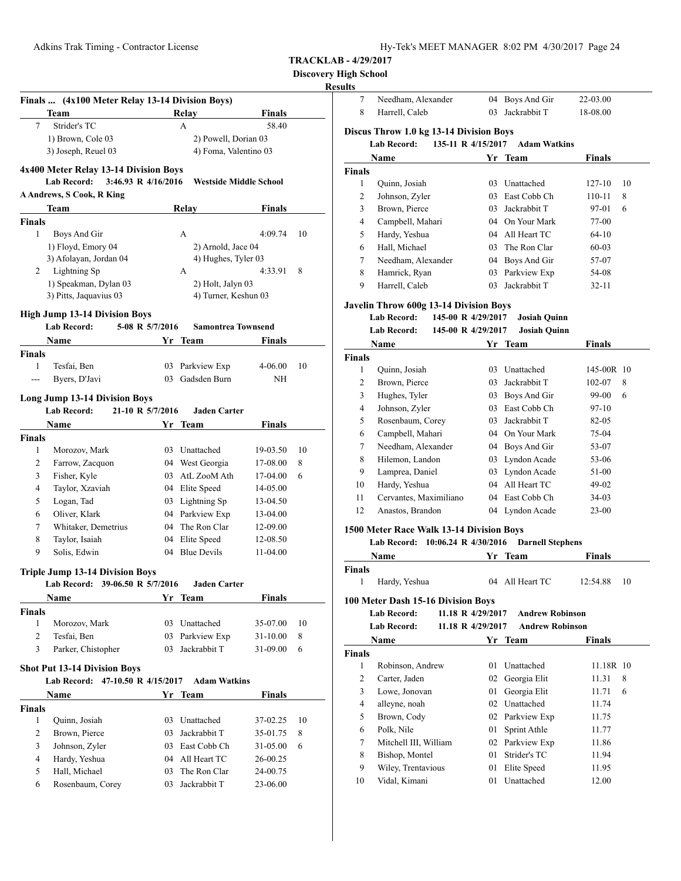| Hy-Tek's MEET MANAGER 8:02 PM 4/30/2017 Page 24 |  |  |  |
|-------------------------------------------------|--|--|--|
|-------------------------------------------------|--|--|--|

# **Discovery High School**

|                 | Finals  (4x100 Meter Relay 13-14 Division Boys) |                                                      |               |    | 7                                              | Needham, Alexander                                      | 04 Boys And Gir                       | 22-03.00       |
|-----------------|-------------------------------------------------|------------------------------------------------------|---------------|----|------------------------------------------------|---------------------------------------------------------|---------------------------------------|----------------|
|                 | Team                                            | Relay                                                | <b>Finals</b> |    | 8<br>Harrell, Caleb                            |                                                         | 03 Jackrabbit T                       | 18-08.00       |
| $7\overline{ }$ | Strider's TC                                    | A                                                    | 58.40         |    |                                                | Discus Throw 1.0 kg 13-14 Division Boys                 |                                       |                |
|                 | 1) Brown, Cole 03                               | 2) Powell, Dorian 03                                 |               |    | Lab Record:                                    |                                                         | 135-11 R 4/15/2017 Adam Watkins       |                |
|                 | 3) Joseph, Reuel 03                             | 4) Foma, Valentino 03                                |               |    | Name                                           |                                                         | Yr Team                               | Finals         |
|                 | 4x400 Meter Relay 13-14 Division Boys           |                                                      |               |    | <b>Finals</b>                                  |                                                         |                                       |                |
|                 | <b>Lab Record:</b>                              | 3:46.93 R 4/16/2016<br><b>Westside Middle School</b> |               |    | 1<br>Quinn, Josiah                             |                                                         | 03 Unattached                         | 127-10         |
|                 | <b>A Andrews, S Cook, R King</b>                |                                                      |               |    | $\mathfrak{2}$<br>Johnson, Zyler               |                                                         | 03 East Cobb Ch                       | 110-11         |
|                 | Team                                            | Relay                                                | <b>Finals</b> |    | 3<br>Brown, Pierce                             |                                                         | 03 Jackrabbit T                       | 97-01          |
| <b>Finals</b>   |                                                 |                                                      |               |    | Campbell, Mahari<br>4                          |                                                         | On Your Mark<br>04                    | 77-00          |
| 1               | Boys And Gir                                    | A                                                    | 4:09.74       | 10 | 5<br>Hardy, Yeshua                             |                                                         | All Heart TC<br>04                    | $64 - 10$      |
|                 | 1) Floyd, Emory 04                              | 2) Arnold, Jace 04                                   |               |    | Hall, Michael<br>6                             |                                                         | The Ron Clar<br>03                    | $60 - 03$      |
|                 | 3) Afolayan, Jordan 04                          | 4) Hughes, Tyler 03                                  |               |    | 7                                              | Needham, Alexander                                      | Boys And Gir<br>04                    | 57-07          |
| 2               | Lightning Sp                                    | A                                                    | 4:33.91       | 8  | 8<br>Hamrick, Ryan                             |                                                         | 03 Parkview Exp                       | 54-08          |
|                 | 1) Speakman, Dylan 03                           | 2) Holt, Jalyn 03                                    |               |    | 9<br>Harrell, Caleb                            |                                                         | 03 Jackrabbit T                       | $32 - 11$      |
|                 | 3) Pitts, Jaquavius 03                          | 4) Turner, Keshun 03                                 |               |    |                                                |                                                         |                                       |                |
|                 | <b>High Jump 13-14 Division Boys</b>            |                                                      |               |    |                                                | <b>Javelin Throw 600g 13-14 Division Boys</b>           |                                       |                |
|                 | <b>Lab Record:</b>                              | 5-08 R 5/7/2016<br><b>Samontrea Townsend</b>         |               |    | Lab Record:                                    | 145-00 R 4/29/2017                                      | <b>Josiah Quinn</b>                   |                |
|                 | Name                                            | Yr Team                                              | Finals        |    | <b>Lab Record:</b>                             | 145-00 R 4/29/2017                                      | <b>Josiah Quinn</b>                   |                |
| <b>Finals</b>   |                                                 |                                                      |               |    | Name                                           |                                                         | Yr Team                               | Finals         |
| 1               | Tesfai, Ben                                     | 03 Parkview Exp                                      | 4-06.00       | 10 | Finals                                         |                                                         |                                       |                |
| $ -$            | Byers, D'Javi                                   | 03 Gadsden Burn                                      | NH            |    | Quinn, Josiah<br>$\mathbf{1}$                  |                                                         | 03 Unattached                         | 145-00         |
|                 |                                                 |                                                      |               |    | $\mathfrak{2}$<br>Brown, Pierce                |                                                         | 03 Jackrabbit T                       | 102-07         |
|                 | <b>Long Jump 13-14 Division Boys</b>            |                                                      |               |    | 3<br>Hughes, Tyler                             |                                                         | 03 Boys And Gir                       | 99-00          |
|                 | <b>Lab Record:</b>                              | 21-10 R 5/7/2016<br><b>Jaden Carter</b>              |               |    | Johnson, Zyler<br>4                            |                                                         | East Cobb Ch<br>03                    | $97 - 10$      |
|                 | Name                                            | Yr Team                                              | <b>Finals</b> |    | 5<br>Rosenbaum, Corey                          |                                                         | Jackrabbit T<br>03                    | 82-05          |
| <b>Finals</b>   |                                                 |                                                      |               |    | Campbell, Mahari<br>6                          |                                                         | 04 On Your Mark                       | 75-04          |
| 1               | Morozov, Mark                                   | Unattached<br>03                                     | 19-03.50      | 10 | 7                                              | Needham, Alexander                                      | 04 Boys And Gir                       | 53-07          |
| $\overline{2}$  | Farrow, Zacquon                                 | 04 West Georgia                                      | 17-08.00      | 8  | 8<br>Hilemon, Landon                           |                                                         | 03 Lyndon Acade                       | 53-06          |
| 3               | Fisher, Kyle                                    | 03 AtL ZooM Ath                                      | 17-04.00      | 6  | 9<br>Lamprea, Daniel                           |                                                         | 03 Lyndon Acade                       | 51-00          |
| $\overline{4}$  | Taylor, Xzaviah                                 | 04 Elite Speed                                       | 14-05.00      |    | Hardy, Yeshua<br>10                            |                                                         | 04 All Heart TC                       | 49-02          |
| 5               | Logan, Tad                                      | Lightning Sp<br>03                                   | 13-04.50      |    | 11                                             | Cervantes, Maximiliano                                  | 04 East Cobb Ch                       | 34-03          |
| 6               | Oliver, Klark                                   | Parkview Exp<br>04                                   | 13-04.00      |    | 12<br>Anastos, Brandon                         |                                                         | 04 Lyndon Acade                       | $23 - 00$      |
| $\tau$          | Whitaker, Demetrius                             | The Ron Clar<br>04                                   | 12-09.00      |    |                                                | 1500 Meter Race Walk 13-14 Division Boys                |                                       |                |
| 8               | Taylor, Isaiah                                  | Elite Speed<br>04                                    | 12-08.50      |    |                                                | Lab Record: 10:06.24 R 4/30/2016 Darnell Stephens       |                                       |                |
| 9               | Solis, Edwin                                    | 04 Blue Devils                                       | 11-04.00      |    | Name                                           |                                                         | Yr Team                               | Finals         |
|                 | <b>Triple Jump 13-14 Division Boys</b>          |                                                      |               |    | Finals                                         |                                                         |                                       |                |
|                 | Lab Record: 39-06.50 R 5/7/2016                 | <b>Jaden Carter</b>                                  |               |    | Hardy, Yeshua<br>1                             |                                                         | 04 All Heart TC                       | 12:54.88       |
|                 | Name                                            | Yr Team                                              | <b>Finals</b> |    |                                                |                                                         |                                       |                |
| <b>Finals</b>   |                                                 |                                                      |               |    | Lab Record:                                    | 100 Meter Dash 15-16 Division Boys<br>11.18 R 4/29/2017 | <b>Andrew Robinson</b>                |                |
| -1              | Morozov, Mark                                   | 03 Unattached                                        | 35-07.00      | 10 | Lab Record:                                    | 11.18 R 4/29/2017                                       | <b>Andrew Robinson</b>                |                |
| $\overline{c}$  | Tesfai, Ben                                     | Parkview Exp<br>03                                   | 31-10.00      | 8  |                                                |                                                         |                                       |                |
| 3               | Parker, Chistopher                              | Jackrabbit T<br>03                                   | 31-09.00      | 6  | Name                                           |                                                         | Yr Team                               | Finals         |
|                 |                                                 |                                                      |               |    | Finals                                         |                                                         |                                       |                |
|                 | <b>Shot Put 13-14 Division Boys</b>             |                                                      |               |    | Robinson, Andrew<br>$\mathbf{1}$               |                                                         | 01 Unattached                         | 11.18          |
|                 | Lab Record: 47-10.50 R 4/15/2017                | <b>Adam Watkins</b>                                  |               |    | $\overline{\mathbf{c}}$<br>Carter, Jaden       |                                                         | 02 Georgia Elit                       | 11.31          |
|                 | Name                                            | Yr Team                                              | <b>Finals</b> |    | Lowe, Jonovan<br>3                             |                                                         | 01 Georgia Elit                       | 11.71          |
|                 |                                                 |                                                      |               |    | alleyne, noah<br>4                             |                                                         | 02 Unattached                         | 11.74          |
| <b>Finals</b>   |                                                 |                                                      | 37-02.25      | 10 | Brown, Cody<br>5                               |                                                         | 02 Parkview Exp                       | 11.75          |
| $\mathbf{1}$    | Quinn, Josiah                                   | 03 Unattached                                        |               |    |                                                |                                                         |                                       | 11.77          |
| $\overline{c}$  | Brown, Pierce                                   | Jackrabbit T<br>03                                   | 35-01.75      | 8  | Polk, Nile<br>6                                |                                                         | 01 Sprint Athle                       |                |
| 3               | Johnson, Zyler                                  | East Cobb Ch<br>03                                   | 31-05.00      | 6  | 7                                              | Mitchell III, William                                   | 02 Parkview Exp                       | 11.86          |
| 4               | Hardy, Yeshua                                   | All Heart TC<br>04                                   | 26-00.25      |    | 8<br>Bishop, Montel                            |                                                         | Strider's TC<br>01                    | 11.94          |
| 5               | Hall, Michael                                   | The Ron Clar<br>03                                   | 24-00.75      |    | 9<br>Wiley, Trentavious<br>Vidal, Kimani<br>10 |                                                         | Elite Speed<br>01<br>Unattached<br>01 | 11.95<br>12.00 |

|                             | Harrell, Caleb                           | 03                   | Jackrabbit T                    | 18-08.00               |    |
|-----------------------------|------------------------------------------|----------------------|---------------------------------|------------------------|----|
|                             | Discus Throw 1.0 kg 13-14 Division Boys  |                      |                                 |                        |    |
|                             | <b>Lab Record:</b>                       |                      | 135-11 R 4/15/2017 Adam Watkins |                        |    |
|                             | Name                                     |                      | Yr Team                         | Finals                 |    |
| Finals                      |                                          |                      |                                 |                        |    |
| 1                           | Quinn, Josiah                            |                      | 03 Unattached                   | 127-10                 | 10 |
| 2                           | Johnson, Zyler                           |                      | 03 East Cobb Ch                 | 110-11                 | 8  |
| 3                           | Brown, Pierce                            |                      | 03 Jackrabbit T                 | 97-01                  | 6  |
| $\overline{4}$              | Campbell, Mahari                         |                      | 04 On Your Mark                 | 77-00                  |    |
| 5                           | Hardy, Yeshua                            |                      | 04 All Heart TC                 | $64-10$                |    |
| 6                           | Hall, Michael                            |                      | 03 The Ron Clar                 | $60 - 03$              |    |
| 7                           | Needham, Alexander                       |                      | 04 Boys And Gir                 | 57-07                  |    |
| 8                           | Hamrick, Ryan                            |                      | 03 Parkview Exp                 | 54-08                  |    |
| 9                           | Harrell, Caleb                           | 03                   | Jackrabbit T                    | 32-11                  |    |
|                             |                                          |                      |                                 |                        |    |
|                             | Javelin Throw 600g 13-14 Division Boys   |                      |                                 |                        |    |
|                             | <b>Lab Record:</b>                       | 145-00 R 4/29/2017   | <b>Josiah Quinn</b>             |                        |    |
|                             | <b>Lab Record:</b>                       | 145-00 R 4/29/2017   | <b>Josiah Quinn</b>             |                        |    |
|                             | Name                                     |                      | Yr Team                         | Finals                 |    |
| Finals                      |                                          |                      |                                 |                        |    |
| 1                           | Quinn, Josiah                            |                      | 03 Unattached                   | 145-00R 10             |    |
| 2                           | Brown, Pierce                            |                      | 03 Jackrabbit T                 | 102-07                 | 8  |
| 3                           | Hughes, Tyler                            |                      | 03 Boys And Gir                 | 99-00                  | 6  |
| 4                           | Johnson, Zyler                           |                      | 03 East Cobb Ch                 | 97-10                  |    |
| 5                           | Rosenbaum, Corey                         |                      | 03 Jackrabbit T                 | 82-05                  |    |
| 6                           | Campbell, Mahari                         |                      | 04 On Your Mark                 | 75-04                  |    |
| 7                           | Needham, Alexander                       |                      | 04 Boys And Gir                 | 53-07                  |    |
| 8                           | Hilemon, Landon                          |                      | 03 Lyndon Acade                 | 53-06                  |    |
| 9                           | Lamprea, Daniel                          |                      | 03 Lyndon Acade                 | 51-00                  |    |
|                             |                                          |                      |                                 |                        |    |
| 10                          | Hardy, Yeshua                            |                      | 04 All Heart TC                 | 49-02                  |    |
| 11                          | Cervantes, Maximiliano                   |                      | 04 East Cobb Ch                 | 34-03                  |    |
| 12                          | Anastos, Brandon                         |                      | 04 Lyndon Acade                 | 23-00                  |    |
|                             | 1500 Meter Race Walk 13-14 Division Boys |                      |                                 |                        |    |
|                             | <b>Lab Record:</b>                       | 10:06.24 R 4/30/2016 | <b>Darnell Stephens</b>         |                        |    |
|                             | Name                                     | Yr                   | Team                            | Finals                 |    |
|                             |                                          |                      |                                 |                        |    |
| 1                           | Hardy, Yeshua                            |                      | 04 All Heart TC                 | 12:54.88               | 10 |
|                             |                                          |                      |                                 |                        |    |
|                             | 100 Meter Dash 15-16 Division Boys       |                      |                                 |                        |    |
|                             | Lab Record:                              | 11.18 R 4/29/2017    | <b>Andrew Robinson</b>          |                        |    |
|                             | <b>Lab Record:</b>                       | 11.18 R 4/29/2017    |                                 | <b>Andrew Robinson</b> |    |
|                             | Name                                     |                      | Yr Team                         | Finals                 |    |
|                             |                                          |                      |                                 |                        |    |
| $\mathbf{1}$                | Robinson, Andrew                         | 01                   | Unattached                      | 11.18R 10              |    |
| 2                           | Carter, Jaden                            | 02                   | Georgia Elit                    | 11.31                  | 8  |
| 3                           | Lowe, Jonovan                            | 01                   | Georgia Elit                    | 11.71                  | 6  |
| $\overline{4}$              | alleyne, noah                            | 02                   | Unattached                      | 11.74                  |    |
| 5                           | Brown, Cody                              |                      | 02 Parkview Exp                 | 11.75                  |    |
| 6                           | Polk, Nile                               | 01                   | Sprint Athle                    | 11.77                  |    |
| 7                           | Mitchell III, William                    |                      | 02 Parkview Exp                 | 11.86                  |    |
| 8                           | Bishop, Montel                           | 01                   | Strider's TC                    | 11.94                  |    |
| Finals<br>Finals<br>9<br>10 | Wiley, Trentavious<br>Vidal, Kimani      | 01<br>01             | Elite Speed<br>Unattached       | 11.95<br>12.00         |    |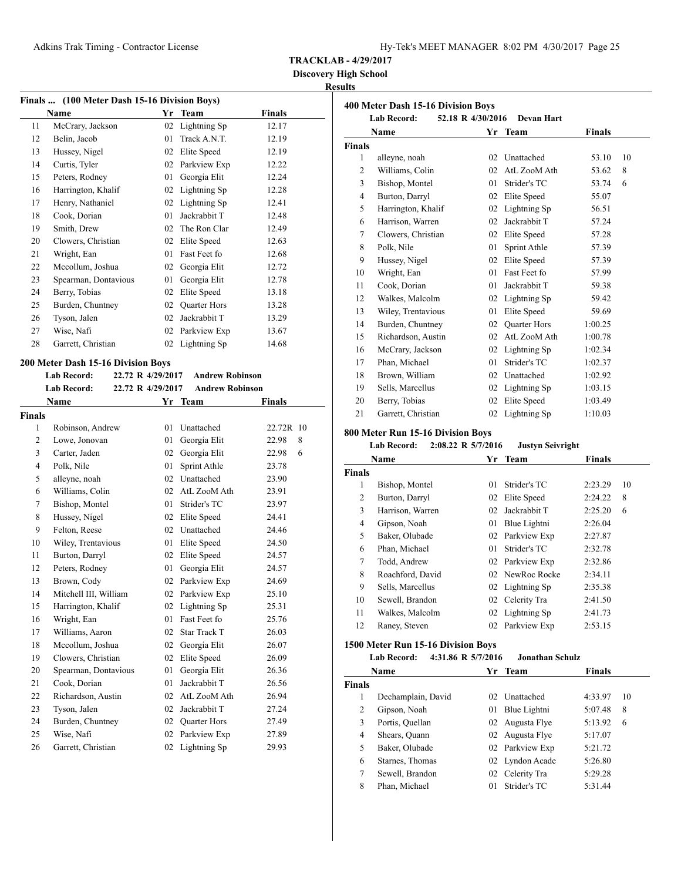**Discovery High School**

# **Results**

|    | Finals  (100 Meter Dash 15-16 Division Boys) |    |                     |        |
|----|----------------------------------------------|----|---------------------|--------|
|    | Name                                         | Yr | Team                | Finals |
| 11 | McCrary, Jackson                             | 02 | Lightning Sp        | 12.17  |
| 12 | Belin, Jacob                                 | 01 | Track A.N.T.        | 12.19  |
| 13 | Hussey, Nigel                                | 02 | Elite Speed         | 12.19  |
| 14 | Curtis, Tyler                                | 02 | Parkview Exp        | 12.22  |
| 15 | Peters, Rodney                               | 01 | Georgia Elit        | 12.24  |
| 16 | Harrington, Khalif                           | 02 | Lightning Sp        | 12.28  |
| 17 | Henry, Nathaniel                             | 02 | Lightning Sp        | 12.41  |
| 18 | Cook, Dorian                                 | 01 | Jackrabbit T        | 12.48  |
| 19 | Smith, Drew                                  | 02 | The Ron Clar        | 12.49  |
| 20 | Clowers, Christian                           | 02 | Elite Speed         | 12.63  |
| 21 | Wright, Ean                                  | 01 | Fast Feet fo        | 12.68  |
| 22 | Mccollum, Joshua                             | 02 | Georgia Elit        | 12.72  |
| 23 | Spearman, Dontavious                         | 01 | Georgia Elit        | 12.78  |
| 24 | Berry, Tobias                                | 02 | Elite Speed         | 13.18  |
| 25 | Burden, Chuntney                             | 02 | <b>Quarter Hors</b> | 13.28  |
| 26 | Tyson, Jalen                                 | 02 | Jackrabbit T        | 13.29  |
| 27 | Wise, Nafi                                   | 02 | Parkview Exp        | 13.67  |
| 28 | Garrett, Christian                           | 02 | Lightning Sp        | 14.68  |
|    |                                              |    |                     |        |

# **200 Meter Dash 15-16 Division Boys**

| <b>Lab Record:</b> | 22.72 R 4/29/2017 | Andrew Robinson        |
|--------------------|-------------------|------------------------|
| Lab Record:        | 22.72 R 4/29/2017 | <b>Andrew Robinson</b> |

|                | Name                  | Yr | Team                | <b>Finals</b> |
|----------------|-----------------------|----|---------------------|---------------|
| Finals         |                       |    |                     |               |
| $\mathbf{1}$   | Robinson, Andrew      | 01 | Unattached          | 22.72R 10     |
| 2              | Lowe, Jonovan         | 01 | Georgia Elit        | 22.98<br>8    |
| 3              | Carter, Jaden         | 02 | Georgia Elit        | 22.98<br>6    |
| $\overline{4}$ | Polk, Nile            | 01 | Sprint Athle        | 23.78         |
| 5              | alleyne, noah         | 02 | Unattached          | 23.90         |
| 6              | Williams, Colin       | 02 | AtL ZooM Ath        | 23.91         |
| 7              | Bishop, Montel        | 01 | Strider's TC        | 23.97         |
| 8              | Hussey, Nigel         | 02 | Elite Speed         | 24.41         |
| 9              | Felton, Reese         | 02 | Unattached          | 24.46         |
| 10             | Wiley, Trentavious    | 01 | Elite Speed         | 24.50         |
| 11             | Burton, Darryl        | 02 | Elite Speed         | 24.57         |
| 12             | Peters, Rodney        | 01 | Georgia Elit        | 24.57         |
| 13             | Brown, Cody           | 02 | Parkview Exp        | 24.69         |
| 14             | Mitchell III, William | 02 | Parkview Exp        | 25.10         |
| 15             | Harrington, Khalif    | 02 | Lightning Sp        | 25.31         |
| 16             | Wright, Ean           | 01 | Fast Feet fo        | 25.76         |
| 17             | Williams, Aaron       | 02 | <b>Star Track T</b> | 26.03         |
| 18             | Mccollum, Joshua      | 02 | Georgia Elit        | 26.07         |
| 19             | Clowers, Christian    | 02 | Elite Speed         | 26.09         |
| 20             | Spearman, Dontavious  | 01 | Georgia Elit        | 26.36         |
| 21             | Cook, Dorian          | 01 | Jackrabbit T        | 26.56         |
| 22             | Richardson, Austin    | 02 | AtL ZooM Ath        | 26.94         |
| 23             | Tyson, Jalen          | 02 | Jackrabbit T        | 27.24         |
| 24             | Burden, Chuntney      | 02 | Quarter Hors        | 27.49         |
| 25             | Wise, Nafi            | 02 | Parkview Exp        | 27.89         |
| 26             | Garrett, Christian    | 02 | Lightning Sp        | 29.93         |
|                |                       |    |                     |               |

| 400 Meter Dash 15-16 Division Boys |                    |                   |                     |               |    |
|------------------------------------|--------------------|-------------------|---------------------|---------------|----|
|                                    | <b>Lab Record:</b> | 52.18 R 4/30/2016 | <b>Devan Hart</b>   |               |    |
|                                    | Name               | Yr                | <b>Team</b>         | <b>Finals</b> |    |
| <b>Finals</b>                      |                    |                   |                     |               |    |
| 1                                  | alleyne, noah      | 02                | Unattached          | 53.10         | 10 |
| $\overline{c}$                     | Williams, Colin    | 02                | AtL ZooM Ath        | 53.62         | 8  |
| 3                                  | Bishop, Montel     | 01                | Strider's TC        | 53.74         | 6  |
| 4                                  | Burton, Darryl     | 02                | Elite Speed         | 55.07         |    |
| 5                                  | Harrington, Khalif | 02                | Lightning Sp        | 56.51         |    |
| 6                                  | Harrison, Warren   | 02                | Jackrabbit T        | 57.24         |    |
| 7                                  | Clowers, Christian | 02                | Elite Speed         | 57.28         |    |
| 8                                  | Polk, Nile         | 01                | Sprint Athle        | 57.39         |    |
| 9                                  | Hussey, Nigel      | 02                | Elite Speed         | 57.39         |    |
| 10                                 | Wright, Ean        | 01                | Fast Feet fo        | 57.99         |    |
| 11                                 | Cook, Dorian       | 01                | Jackrabbit T        | 59.38         |    |
| 12                                 | Walkes, Malcolm    | 02                | Lightning Sp        | 59.42         |    |
| 13                                 | Wiley, Trentavious | 01                | Elite Speed         | 59.69         |    |
| 14                                 | Burden, Chuntney   | 02                | <b>Quarter Hors</b> | 1:00.25       |    |
| 15                                 | Richardson, Austin | 02                | AtL ZooM Ath        | 1:00.78       |    |
| 16                                 | McCrary, Jackson   | 02                | Lightning Sp        | 1:02.34       |    |
| 17                                 | Phan, Michael      | 01                | Strider's TC        | 1:02.37       |    |
| 18                                 | Brown, William     | 02                | Unattached          | 1:02.92       |    |
| 19                                 | Sells, Marcellus   | 02                | Lightning Sp        | 1:03.15       |    |
| 20                                 | Berry, Tobias      | 02                | Elite Speed         | 1:03.49       |    |
| 21                                 | Garrett, Christian | 02                | Lightning Sp        | 1:10.03       |    |

# **800 Meter Run 15-16 Division Boys**

**Lab Record: 2:08.22 R 5/7/2016 Justyn Seivright**

| Name          |                  | Yr | Team            | Finals  |    |
|---------------|------------------|----|-----------------|---------|----|
| <b>Finals</b> |                  |    |                 |         |    |
| 1             | Bishop, Montel   | 01 | Strider's TC    | 2:23.29 | 10 |
| 2             | Burton, Darryl   |    | 02 Elite Speed  | 2:24.22 | 8  |
| 3             | Harrison, Warren | 02 | Jackrabbit T    | 2:25.20 | 6  |
| 4             | Gipson, Noah     | 01 | Blue Lightni    | 2:26.04 |    |
| 5             | Baker, Olubade   | 02 | Parkview Exp    | 2:27.87 |    |
| 6             | Phan, Michael    | 01 | Strider's TC    | 2:32.78 |    |
| 7             | Todd, Andrew     |    | 02 Parkview Exp | 2:32.86 |    |
| 8             | Roachford, David |    | 02 NewRoc Rocke | 2:34.11 |    |
| 9             | Sells, Marcellus |    | 02 Lightning Sp | 2:35.38 |    |
| 10            | Sewell, Brandon  |    | 02 Celerity Tra | 2:41.50 |    |
| 11            | Walkes, Malcolm  |    | 02 Lightning Sp | 2:41.73 |    |
| 12            | Raney, Steven    |    | 02 Parkview Exp | 2:53.15 |    |
|               |                  |    |                 |         |    |

# **1500 Meter Run 15-16 Division Boys**

|               | <b>Lab Record:</b> | 4:31.86 R 5/7/2016 | <b>Jonathan Schulz</b> |         |    |
|---------------|--------------------|--------------------|------------------------|---------|----|
|               | <b>Name</b>        |                    | Yr Team                | Finals  |    |
| <b>Finals</b> |                    |                    |                        |         |    |
|               | Dechamplain, David |                    | 02 Unattached          | 4:33.97 | 10 |
| 2             | Gipson, Noah       | 01                 | Blue Lightni           | 5:07.48 | 8  |
| 3             | Portis, Quellan    |                    | 02 Augusta Flye        | 5:13.92 | 6  |
| 4             | Shears, Quann      |                    | 02 Augusta Flye        | 5:17.07 |    |
| 5             | Baker, Olubade     |                    | 02 Parkview Exp        | 5:21.72 |    |
| 6             | Starnes, Thomas    |                    | 02 Lyndon Acade        | 5:26.80 |    |
| 7             | Sewell, Brandon    |                    | 02 Celerity Tra        | 5:29.28 |    |
| 8             | Phan, Michael      | 01                 | Strider's TC           | 5:31.44 |    |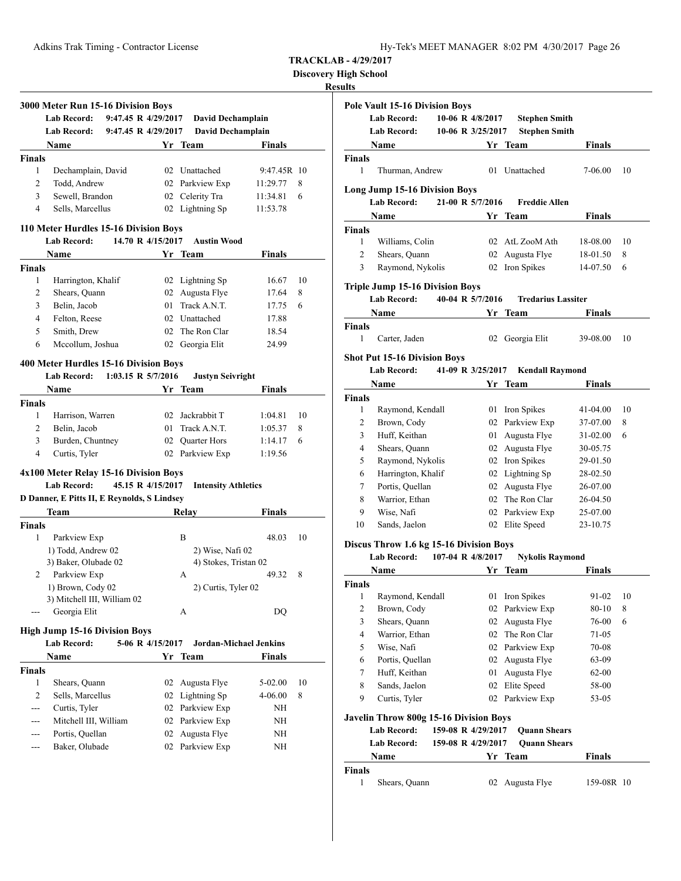Adkins Trak Timing - Contractor License

| Hy-Tek's MEET MANAGER 8:02 PM 4/30/2017 Page 26 |  |  |  |
|-------------------------------------------------|--|--|--|
|-------------------------------------------------|--|--|--|

**TRACKLAB - 4/29/2017**

**Discovery High School**

|                         | 3000 Meter Run 15-16 Division Boys<br><b>Lab Record:</b>                         |                  |                                               |                      |    |
|-------------------------|----------------------------------------------------------------------------------|------------------|-----------------------------------------------|----------------------|----|
|                         | 9:47.45 R 4/29/2017<br><b>Lab Record:</b><br>9:47.45 R 4/29/2017                 |                  | David Dechamplain<br><b>David Dechamplain</b> |                      |    |
|                         |                                                                                  |                  |                                               |                      |    |
|                         | Name                                                                             |                  | Yr Team                                       | <b>Finals</b>        |    |
| <b>Finals</b><br>1      | Dechamplain, David                                                               |                  | 02 Unattached                                 | 9:47.45R 10          |    |
| $\overline{c}$          | Todd, Andrew                                                                     |                  | 02 Parkview Exp                               |                      | 8  |
| 3                       | Sewell, Brandon                                                                  |                  | 02 Celerity Tra                               | 11:29.77             | 6  |
| 4                       | Sells, Marcellus                                                                 |                  | 02 Lightning Sp                               | 11:34.81<br>11:53.78 |    |
|                         |                                                                                  |                  |                                               |                      |    |
|                         | 110 Meter Hurdles 15-16 Division Boys<br><b>Lab Record:</b><br>14.70 R 4/15/2017 |                  | <b>Austin Wood</b>                            |                      |    |
|                         | Name                                                                             |                  | Yr Team                                       | <b>Finals</b>        |    |
|                         |                                                                                  |                  |                                               |                      |    |
| <b>Finals</b><br>1      |                                                                                  |                  |                                               |                      | 10 |
|                         | Harrington, Khalif                                                               |                  | 02 Lightning Sp                               | 16.67                |    |
| $\overline{2}$<br>3     | Shears, Quann<br>Belin, Jacob                                                    |                  | 02 Augusta Flye<br>01 Track A.N.T.            | 17.64<br>17.75       | 8  |
|                         |                                                                                  |                  | 02 Unattached                                 |                      | 6  |
| 4                       | Felton, Reese                                                                    |                  |                                               | 17.88                |    |
| 5                       | Smith, Drew<br>Mccollum, Joshua                                                  |                  | 02 The Ron Clar                               | 18.54                |    |
| 6                       |                                                                                  |                  | 02 Georgia Elit                               | 24.99                |    |
|                         | 400 Meter Hurdles 15-16 Division Boys                                            |                  |                                               |                      |    |
|                         | 1:03.15 R 5/7/2016<br>Lab Record:                                                |                  | <b>Justyn Seivright</b>                       |                      |    |
|                         | <b>Name</b>                                                                      |                  | Yr Team                                       | <b>Finals</b>        |    |
| Finals                  |                                                                                  |                  |                                               |                      |    |
| 1                       | Harrison, Warren                                                                 |                  | 02 Jackrabbit T                               | 1:04.81              | 10 |
| $\overline{c}$          | Belin, Jacob                                                                     | 01               | Track A.N.T.                                  | 1:05.37              | 8  |
| 3                       | Burden, Chuntney                                                                 |                  | 02 Quarter Hors                               | 1:14.17              | 6  |
|                         | Curtis, Tyler                                                                    |                  | 02 Parkview Exp                               | 1:19.56              |    |
| $\overline{4}$          |                                                                                  |                  |                                               |                      |    |
|                         | 4x100 Meter Relay 15-16 Division Boys                                            |                  |                                               |                      |    |
|                         | <b>Lab Record:</b><br>45.15 R 4/15/2017                                          |                  | <b>Intensity Athletics</b>                    |                      |    |
|                         | D Danner, E Pitts II, E Reynolds, S Lindsey                                      |                  |                                               |                      |    |
|                         | Team                                                                             |                  | Relay                                         | <b>Finals</b>        |    |
|                         |                                                                                  |                  |                                               |                      |    |
| 1                       | Parkview Exp                                                                     |                  | B                                             | 48.03                |    |
|                         | 1) Todd, Andrew 02                                                               |                  | 2) Wise, Nafi 02                              |                      |    |
|                         | 3) Baker, Olubade 02                                                             |                  | 4) Stokes, Tristan 02                         |                      |    |
| 2                       | Parkview Exp                                                                     |                  | А                                             | 49.32                | 8  |
|                         | 1) Brown, Cody 02                                                                |                  | 2) Curtis, Tyler 02                           |                      |    |
|                         | 3) Mitchell III, William 02                                                      |                  |                                               |                      | 10 |
|                         | Georgia Elit                                                                     |                  | А                                             | DQ                   |    |
|                         | <b>High Jump 15-16 Division Boys</b>                                             |                  |                                               |                      |    |
|                         | Lab Record:                                                                      | 5-06 R 4/15/2017 | Jordan-Michael Jenkins                        |                      |    |
|                         | Name                                                                             |                  | Yr Team                                       | <b>Finals</b>        |    |
|                         |                                                                                  |                  |                                               |                      |    |
| 1                       | Shears, Quann                                                                    | 02               | Augusta Flye                                  | 5-02.00              | 10 |
| $\overline{2}$          | Sells, Marcellus                                                                 | 02               | Lightning Sp                                  | 4-06.00              | 8  |
| <b>Finals</b><br>Finals | Curtis, Tyler                                                                    | 02               | Parkview Exp                                  | ΝH                   |    |
| ---                     | Mitchell III, William                                                            | 02               |                                               | NH                   |    |
|                         | Portis, Quellan                                                                  | 02               | Parkview Exp<br>Augusta Flye                  | NH                   |    |

|              | <b>Pole Vault 15-16 Division Boys</b>                        |                    |                           |               |    |
|--------------|--------------------------------------------------------------|--------------------|---------------------------|---------------|----|
|              |                                                              |                    |                           |               |    |
|              | <b>Lab Record:</b>                                           | 10-06 R 4/8/2017   | <b>Stephen Smith</b>      |               |    |
|              | Lab Record:                                                  | 10-06 R 3/25/2017  | <b>Stephen Smith</b>      |               |    |
|              | Name                                                         |                    | Yr Team                   | <b>Finals</b> |    |
| Finals       |                                                              |                    |                           |               |    |
| 1            | Thurman, Andrew                                              | 01                 | Unattached                | 7-06.00       | 10 |
|              | <b>Long Jump 15-16 Division Boys</b>                         |                    |                           |               |    |
|              | Lab Record:                                                  | 21-00 R 5/7/2016   | <b>Freddie Allen</b>      |               |    |
|              | Name                                                         | Yr                 | Team                      | Finals        |    |
| Finals       |                                                              |                    |                           |               |    |
| 1            | Williams, Colin                                              |                    | 02 AtL ZooM Ath           | 18-08.00      | 10 |
| 2            | Shears, Quann                                                |                    | 02 Augusta Flye           | 18-01.50      | 8  |
| 3            | Raymond, Nykolis                                             |                    | 02 Iron Spikes            | 14-07.50      | 6  |
|              |                                                              |                    |                           |               |    |
|              | <b>Triple Jump 15-16 Division Boys</b>                       |                    |                           |               |    |
|              | <b>Lab Record:</b>                                           | 40-04 R 5/7/2016   | <b>Tredarius Lassiter</b> |               |    |
|              | Name                                                         |                    | Yr Team                   | Finals        |    |
| Finals<br>1  | Carter, Jaden                                                |                    | 02 Georgia Elit           | 39-08.00      | 10 |
|              |                                                              |                    |                           |               |    |
|              | <b>Shot Put 15-16 Division Boys</b>                          |                    |                           |               |    |
|              | <b>Lab Record:</b>                                           | 41-09 R 3/25/2017  | <b>Kendall Raymond</b>    |               |    |
|              | Name                                                         |                    | Yr Team                   | Finals        |    |
| Finals       |                                                              |                    |                           |               |    |
| 1            | Raymond, Kendall                                             |                    | 01 Iron Spikes            | 41-04.00      | 10 |
| 2            | Brown, Cody                                                  |                    | 02 Parkview Exp           | 37-07.00      | 8  |
| 3            | Huff, Keithan                                                |                    | 01 Augusta Flye           | 31-02.00      | 6  |
| 4            | Shears, Quann                                                |                    | 02 Augusta Flye           | 30-05.75      |    |
| 5            | Raymond, Nykolis                                             |                    | 02 Iron Spikes            | 29-01.50      |    |
| 6            | Harrington, Khalif                                           |                    | 02 Lightning Sp           | 28-02.50      |    |
| 7            | Portis, Quellan                                              |                    | 02 Augusta Flye           | 26-07.00      |    |
|              |                                                              |                    | 02 The Ron Clar           | 26-04.50      |    |
| 8            | Warrior, Ethan                                               |                    |                           |               |    |
| 9            | Wise, Nafi                                                   |                    | 02 Parkview Exp           | 25-07.00      |    |
| 10           | Sands, Jaelon                                                |                    | 02 Elite Speed            | 23-10.75      |    |
|              | Discus Throw 1.6 kg 15-16 Division Boys                      |                    |                           |               |    |
|              | <b>Lab Record:</b>                                           | 107-04 R 4/8/2017  | <b>Nykolis Raymond</b>    |               |    |
|              | Name                                                         | Yr                 | Team                      | Finals        |    |
| Finals       |                                                              |                    |                           |               |    |
| $\mathbf{1}$ | Raymond, Kendall                                             | 01                 | Iron Spikes               | 91-02         | 10 |
| $\mathbf{2}$ | Brown, Cody                                                  | 02                 | Parkview Exp              | 80-10         | 8  |
| 3            | Shears, Quann                                                |                    | 02 Augusta Flye           | 76-00         | 6  |
| 4            | Warrior, Ethan                                               |                    | 02 The Ron Clar           | 71-05         |    |
| 5            | Wise, Nafi                                                   |                    | 02 Parkview Exp           | 70-08         |    |
| 6            | Portis, Quellan                                              |                    | 02 Augusta Flye           | 63-09         |    |
| 7            | Huff, Keithan                                                | 01                 | Augusta Flye              | 62-00         |    |
| 8            | Sands, Jaelon                                                | 02                 | Elite Speed               | 58-00         |    |
| 9            | Curtis, Tyler                                                |                    | 02 Parkview Exp           | 53-05         |    |
|              |                                                              |                    |                           |               |    |
|              | Javelin Throw 800g 15-16 Division Boys<br><b>Lab Record:</b> | 159-08 R 4/29/2017 | <b>Quann Shears</b>       |               |    |
|              | Lab Record:                                                  | 159-08 R 4/29/2017 | <b>Quann Shears</b>       |               |    |
|              | Name                                                         |                    |                           |               |    |
| Finals       |                                                              |                    | Yr Team                   | <b>Finals</b> |    |
| $\mathbf{1}$ | Shears, Quann                                                | 02                 | Augusta Flye              | 159-08R 10    |    |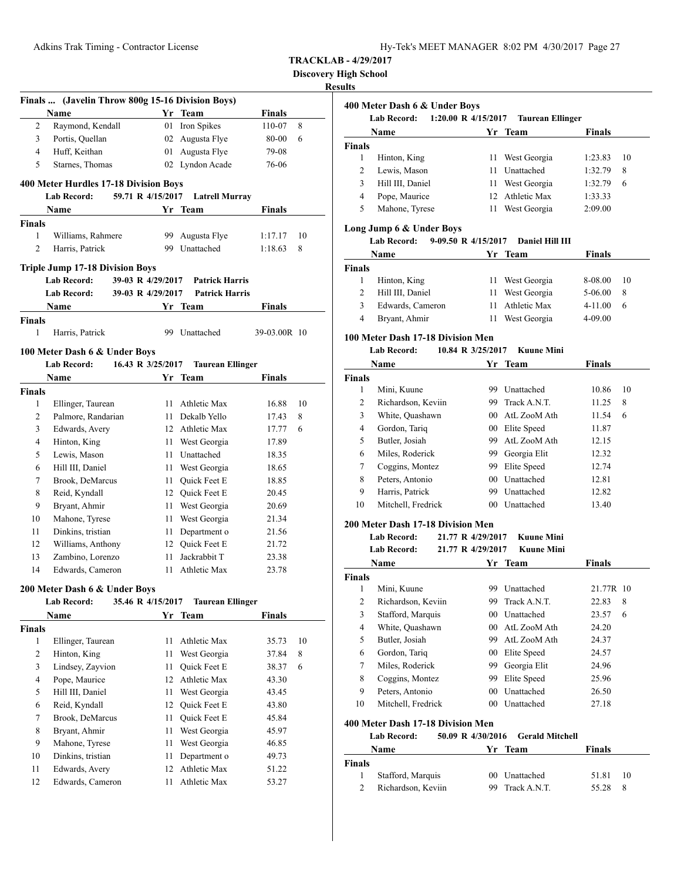**Discovery High School**

# **Results**

|                | Finals  (Javelin Throw 800g 15-16 Division Boys) |                   |                         |               |    |
|----------------|--------------------------------------------------|-------------------|-------------------------|---------------|----|
|                | Name                                             |                   | Yr Team                 | <b>Finals</b> |    |
| 2              | Raymond, Kendall                                 |                   | 01 Iron Spikes          | 110-07        | 8  |
| 3              | Portis, Quellan                                  |                   | 02 Augusta Flye         | 80-00         | 6  |
| $\overline{4}$ | Huff, Keithan                                    |                   | 01 Augusta Flye         | 79-08         |    |
| 5              | Starnes, Thomas                                  |                   | 02 Lyndon Acade         | 76-06         |    |
|                | 400 Meter Hurdles 17-18 Division Boys            |                   |                         |               |    |
|                | <b>Lab Record:</b>                               | 59.71 R 4/15/2017 | <b>Latrell Murray</b>   |               |    |
|                | Name                                             |                   | Yr Team                 | <b>Finals</b> |    |
| <b>Finals</b>  |                                                  |                   |                         |               |    |
| 1              | Williams, Rahmere                                | 99.               | Augusta Flye            | 1:17.17       | 10 |
| $\overline{2}$ | Harris, Patrick                                  |                   | 99 Unattached           | 1:18.63       | 8  |
|                |                                                  |                   |                         |               |    |
|                | <b>Triple Jump 17-18 Division Boys</b>           |                   |                         |               |    |
|                | <b>Lab Record:</b>                               | 39-03 R 4/29/2017 | <b>Patrick Harris</b>   |               |    |
|                | <b>Lab Record:</b>                               | 39-03 R 4/29/2017 | <b>Patrick Harris</b>   |               |    |
|                | Name                                             |                   | Yr Team                 | Finals        |    |
| <b>Finals</b>  |                                                  |                   |                         |               |    |
| 1              | Harris, Patrick                                  |                   | 99 Unattached           | 39-03.00R 10  |    |
|                | 100 Meter Dash 6 & Under Boys                    |                   |                         |               |    |
|                | <b>Lab Record:</b>                               | 16.43 R 3/25/2017 | <b>Taurean Ellinger</b> |               |    |
|                | Name                                             |                   | Yr Team                 | Finals        |    |
| <b>Finals</b>  |                                                  |                   |                         |               |    |
| 1              | Ellinger, Taurean                                |                   | 11 Athletic Max         | 16.88         | 10 |
| 2              | Palmore, Randarian                               |                   | 11 Dekalb Yello         | 17.43         | 8  |
| 3              | Edwards, Avery                                   |                   | 12 Athletic Max         | 17.77         | 6  |
| 4              | Hinton, King                                     |                   | 11 West Georgia         | 17.89         |    |
| 5              | Lewis, Mason                                     |                   | 11 Unattached           | 18.35         |    |
| 6              | Hill III, Daniel                                 | 11 -              | West Georgia            | 18.65         |    |
| 7              | Brook, DeMarcus                                  | 11 -              | Quick Feet E            | 18.85         |    |
| 8              | Reid, Kyndall                                    |                   | 12 Quick Feet E         | 20.45         |    |
| 9              | Bryant, Ahmir                                    |                   | 11 West Georgia         | 20.69         |    |
| 10             | Mahone, Tyrese                                   | 11                | West Georgia            | 21.34         |    |
| 11             | Dinkins, tristian                                | 11                | Department o            | 21.56         |    |
| 12             | Williams, Anthony                                |                   | 12 Ouick Feet E         | 21.72         |    |
| 13             | Zambino, Lorenzo                                 | 11                | Jackrabbit T            | 23.38         |    |
| 14             | Edwards, Cameron                                 | 11                | Athletic Max            | 23.78         |    |
|                | 200 Meter Dash 6 & Under Boys                    |                   |                         |               |    |
|                | <b>Lab Record:</b>                               | 35.46 R 4/15/2017 | <b>Taurean Ellinger</b> |               |    |
|                | Name                                             |                   | Yr Team                 | <b>Finals</b> |    |
| <b>Finals</b>  |                                                  |                   |                         |               |    |
| 1              | Ellinger, Taurean                                | 11                | Athletic Max            | 35.73         | 10 |
|                | Hinton, King                                     | 11                | West Georgia            | 37.84         | 8  |
| 2              |                                                  | 11                | Quick Feet E            | 38.37         | 6  |
| 3              | Lindsey, Zayvion                                 |                   |                         |               |    |
| 4              |                                                  | 12                | Athletic Max            | 43.30         |    |
| 5              | Pope, Maurice<br>Hill III, Daniel                | 11                | West Georgia            | 43.45         |    |
| 6              | Reid, Kyndall                                    | 12                | Quick Feet E            | 43.80         |    |
| 7              | Brook, DeMarcus                                  | 11                | Quick Feet E            | 45.84         |    |
| 8              |                                                  | 11                | West Georgia            | 45.97         |    |
| 9              | Bryant, Ahmir<br>Mahone, Tyrese                  | 11                | West Georgia            | 46.85         |    |
| 10             | Dinkins, tristian                                | 11                | Department o            | 49.73         |    |
| 11             | Edwards, Avery                                   | 12                | Athletic Max            | 51.22         |    |

| 1:20.00 R 4/15/2017<br>Lab Record:<br>Taurean Ellinger |                  |    |                 |         |    |
|--------------------------------------------------------|------------------|----|-----------------|---------|----|
|                                                        | Name             |    | Yr Team         | Finals  |    |
| <b>Finals</b>                                          |                  |    |                 |         |    |
|                                                        | Hinton, King     | 11 | West Georgia    | 1:23.83 | 10 |
| 2                                                      | Lewis, Mason     | 11 | Unattached      | 1:32.79 | 8  |
| 3                                                      | Hill III, Daniel | 11 | West Georgia    | 1:32.79 | 6  |
| 4                                                      | Pope, Maurice    |    | 12 Athletic Max | 1:33.33 |    |
| 5                                                      | Mahone, Tyrese   | 11 | West Georgia    | 2:09.00 |    |

# **Long Jump 6 & Under Boys**

# **Lab Record: 9-09.50 R 4/15/2017 Daniel Hill III**

|        | Name             | Yr Team         | <b>Finals</b> |    |
|--------|------------------|-----------------|---------------|----|
| Finals |                  |                 |               |    |
|        | Hinton, King     | 11 West Georgia | 8-08.00       | 10 |
|        | Hill III, Daniel | 11 West Georgia | 5-06.00       | 8  |
| 3      | Edwards, Cameron | Athletic Max    | $4 - 11.00$   | 6  |
| 4      | Bryant, Ahmir    | West Georgia    | 4-09.00       |    |

# **100 Meter Dash 17-18 Division Men**

# **Lab Record: 10.84 R 3/25/2017 Kuune Mini**

| Name          |                    | Yr | Team         | Finals |    |
|---------------|--------------------|----|--------------|--------|----|
| <b>Finals</b> |                    |    |              |        |    |
| 1             | Mini, Kuune        | 99 | Unattached   | 10.86  | 10 |
| 2             | Richardson, Keviin | 99 | Track A.N.T. | 11.25  | 8  |
| 3             | White, Quashawn    | 00 | AtL ZooM Ath | 11.54  | 6  |
| 4             | Gordon, Tariq      | 00 | Elite Speed  | 11.87  |    |
| 5             | Butler, Josiah     | 99 | AtL ZooM Ath | 12.15  |    |
| 6             | Miles, Roderick    | 99 | Georgia Elit | 12.32  |    |
| 7             | Coggins, Montez    | 99 | Elite Speed  | 12.74  |    |
| 8             | Peters, Antonio    | 00 | Unattached   | 12.81  |    |
| 9             | Harris, Patrick    | 99 | Unattached   | 12.82  |    |
| 10            | Mitchell, Fredrick | 00 | Unattached   | 13.40  |    |

# **200 Meter Dash 17-18 Division Men**

#### **Lab Record: 21.77 R 4/29/2017 Kuune Mini Lab Record: 21.77 R 4/29/2017 Kuune Mini**

|               | Lab Record:        | 21.77 K 4/29/2017 | Kuune Mini      |            |
|---------------|--------------------|-------------------|-----------------|------------|
|               | Name               |                   | Yr Team         | Finals     |
| <b>Finals</b> |                    |                   |                 |            |
| 1             | Mini, Kuune        | 99                | Unattached      | 21.77R 10  |
| 2             | Richardson, Keviin | 99.               | Track A.N.T.    | 22.83<br>8 |
| 3             | Stafford, Marquis  | 00 <sup>2</sup>   | Unattached      | 23.57<br>6 |
| 4             | White, Quashawn    | (0()              | AtL ZooM Ath    | 24.20      |
| 5             | Butler, Josiah     |                   | 99 AtL ZooM Ath | 24.37      |
| 6             | Gordon, Tariq      | 00                | Elite Speed     | 24.57      |
| 7             | Miles, Roderick    | 99.               | Georgia Elit    | 24.96      |
| 8             | Coggins, Montez    | 99                | Elite Speed     | 25.96      |
| 9             | Peters, Antonio    | 00 <sup>2</sup>   | Unattached      | 26.50      |
| 10            | Mitchell, Fredrick | 00                | Unattached      | 27.18      |
|               |                    |                   |                 |            |

#### **400 Meter Dash 17-18 Division Men**

# **Lab Record: 50.09 R 4/30/2016 Gerald Mitchell**

| Name          |                    | Yr Team         | <b>Finals</b> |     |
|---------------|--------------------|-----------------|---------------|-----|
| <b>Finals</b> |                    |                 |               |     |
|               | Stafford, Marquis  | 00 Unattached   | 51.81         | 10  |
| 2             | Richardson, Keviin | 99 Track A.N.T. | 55.28         | - 8 |